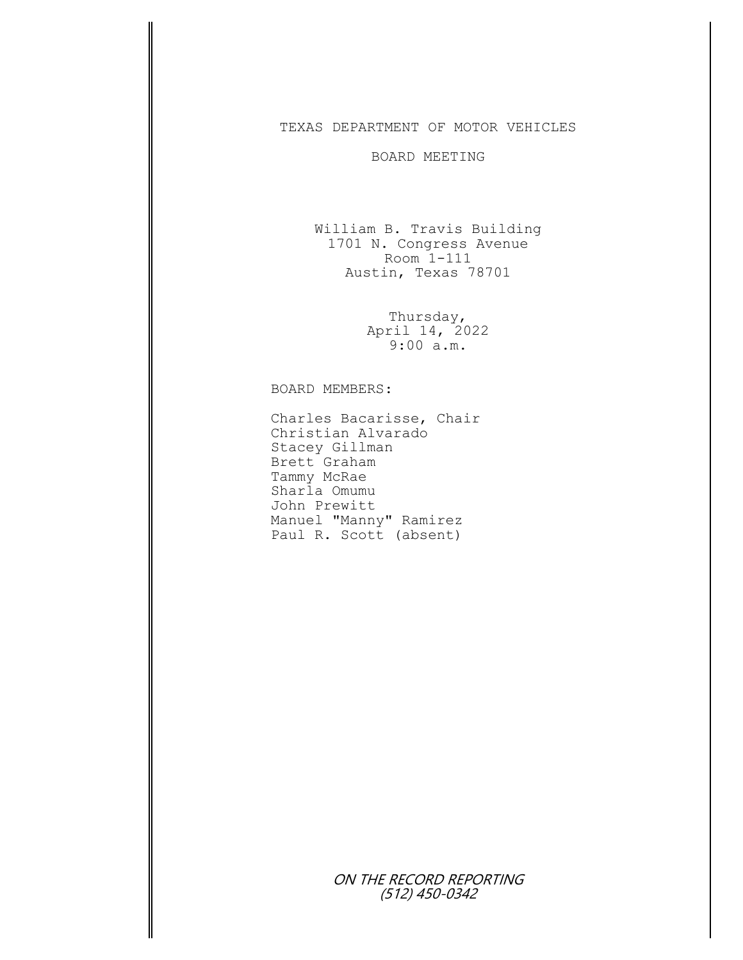## TEXAS DEPARTMENT OF MOTOR VEHICLES

## BOARD MEETING

William B. Travis Building 1701 N. Congress Avenue Room 1-111 Austin, Texas 78701

> Thursday, April 14, 2022 9:00 a.m.

## BOARD MEMBERS:

Charles Bacarisse, Chair Christian Alvarado Stacey Gillman Brett Graham Tammy McRae Sharla Omumu John Prewitt Manuel "Manny" Ramirez Paul R. Scott (absent)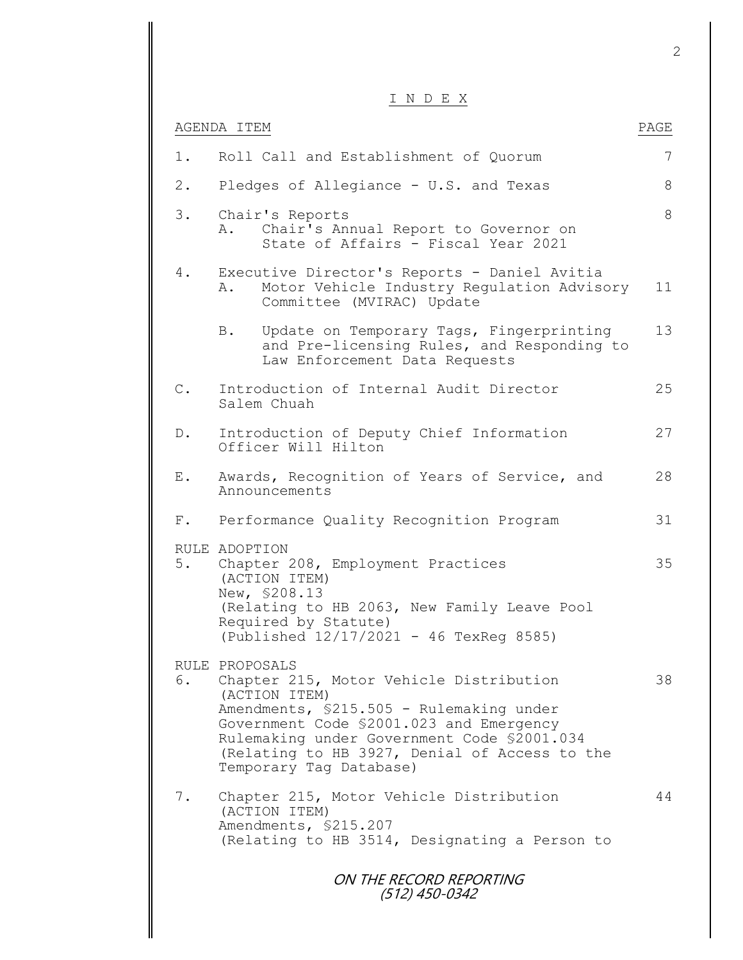I N D E X

|                | ע בו שנו ב                                                                                                                                                                                                                                                                                    |      |
|----------------|-----------------------------------------------------------------------------------------------------------------------------------------------------------------------------------------------------------------------------------------------------------------------------------------------|------|
|                | AGENDA ITEM                                                                                                                                                                                                                                                                                   | PAGE |
| 1.             | Roll Call and Establishment of Quorum                                                                                                                                                                                                                                                         | 7    |
| $2$ .          | Pledges of Allegiance - U.S. and Texas                                                                                                                                                                                                                                                        | 8    |
| $3$ .          | Chair's Reports<br>Chair's Annual Report to Governor on<br>Α.<br>State of Affairs - Fiscal Year 2021                                                                                                                                                                                          | 8    |
| 4.             | Executive Director's Reports - Daniel Avitia<br>Motor Vehicle Industry Regulation Advisory<br>Α.<br>Committee (MVIRAC) Update                                                                                                                                                                 | 11   |
|                | Update on Temporary Tags, Fingerprinting<br>B.<br>and Pre-licensing Rules, and Responding to<br>Law Enforcement Data Requests                                                                                                                                                                 | 13   |
| $\mathsf{C}$ . | Introduction of Internal Audit Director<br>Salem Chuah                                                                                                                                                                                                                                        | 25   |
| $D$ .          | Introduction of Deputy Chief Information<br>Officer Will Hilton                                                                                                                                                                                                                               | 27   |
| Ε.             | Awards, Recognition of Years of Service, and<br>Announcements                                                                                                                                                                                                                                 | 28   |
| $F$ .          | Performance Quality Recognition Program                                                                                                                                                                                                                                                       | 31   |
| 5.             | RULE ADOPTION<br>Chapter 208, Employment Practices<br>(ACTION ITEM)<br>New, \$208.13<br>(Relating to HB 2063, New Family Leave Pool<br>Required by Statute)<br>(Published 12/17/2021 - 46 TexReg 8585)                                                                                        | 35   |
| 6.             | RULE PROPOSALS<br>Chapter 215, Motor Vehicle Distribution<br>(ACTION ITEM)<br>Amendments, \$215.505 - Rulemaking under<br>Government Code \$2001.023 and Emergency<br>Rulemaking under Government Code \$2001.034<br>(Relating to HB 3927, Denial of Access to the<br>Temporary Tag Database) | 38   |
| 7.             | Chapter 215, Motor Vehicle Distribution<br>(ACTION ITEM)<br>Amendments, \$215.207<br>(Relating to HB 3514, Designating a Person to                                                                                                                                                            | 44   |
|                | ON THE RECORD REPORTING<br>(512) 450-0342                                                                                                                                                                                                                                                     |      |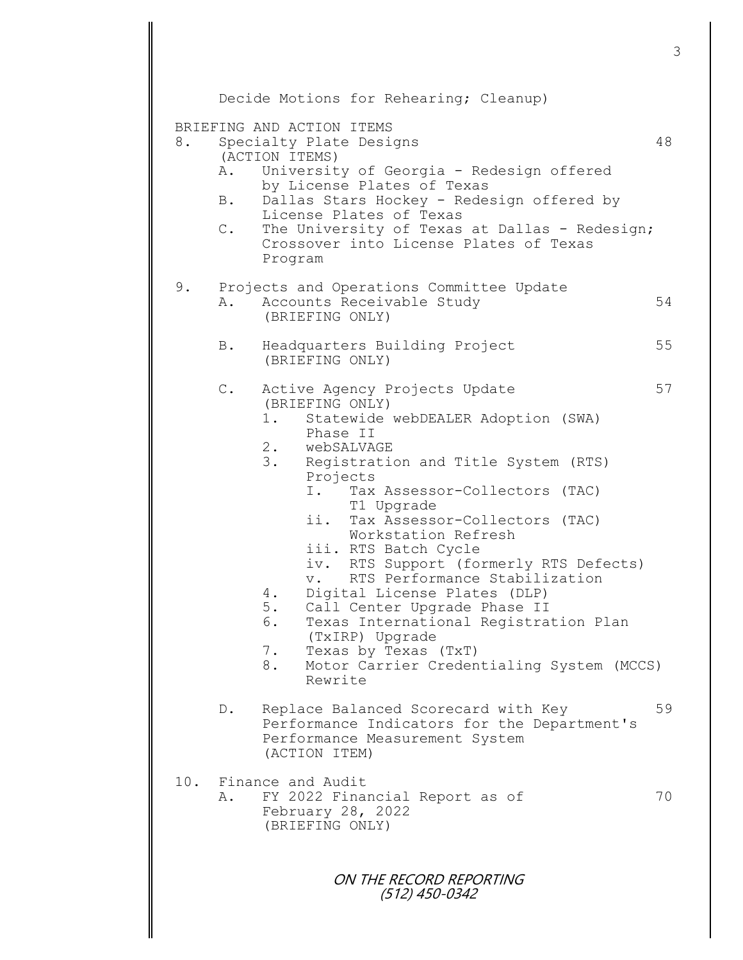ON THE RECORD REPORTING (512) 450-0342 Decide Motions for Rehearing; Cleanup) BRIEFING AND ACTION ITEMS 8. Specialty Plate Designs 48 (ACTION ITEMS) A. University of Georgia - Redesign offered by License Plates of Texas B. Dallas Stars Hockey - Redesign offered by License Plates of Texas C. The University of Texas at Dallas - Redesign; Crossover into License Plates of Texas Program 9. Projects and Operations Committee Update A. Accounts Receivable Study 54 (BRIEFING ONLY) B. Headquarters Building Project 55 (BRIEFING ONLY) C. Active Agency Projects Update 57 (BRIEFING ONLY) 1. Statewide webDEALER Adoption (SWA) Phase II 2. webSALVAGE 3. Registration and Title System (RTS) Projects I. Tax Assessor-Collectors (TAC) T1 Upgrade ii. Tax Assessor-Collectors (TAC) Workstation Refresh iii. RTS Batch Cycle iv. RTS Support (formerly RTS Defects) v. RTS Performance Stabilization 4. Digital License Plates (DLP) 5. Call Center Upgrade Phase II 6. Texas International Registration Plan (TxIRP) Upgrade 7. Texas by Texas (TxT) 8. Motor Carrier Credentialing System (MCCS) Rewrite D. Replace Balanced Scorecard with Key 59 Performance Indicators for the Department's Performance Measurement System (ACTION ITEM) 10. Finance and Audit A. FY 2022 Financial Report as of 70 February 28, 2022 (BRIEFING ONLY)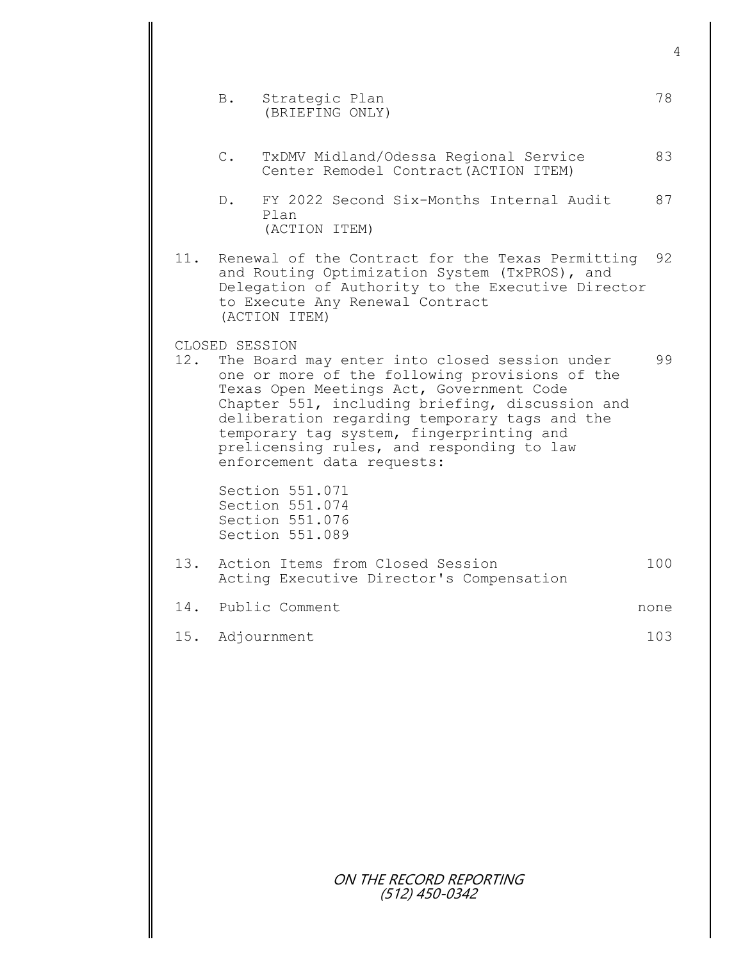|     | B.             | Strategic Plan<br>(BRIEFING ONLY)                                                                                                                                                                                                                                                                                                                                      | 78   |
|-----|----------------|------------------------------------------------------------------------------------------------------------------------------------------------------------------------------------------------------------------------------------------------------------------------------------------------------------------------------------------------------------------------|------|
|     | $\mathsf{C}$ . | TxDMV Midland/Odessa Regional Service<br>Center Remodel Contract (ACTION ITEM)                                                                                                                                                                                                                                                                                         | 83   |
|     | D.             | FY 2022 Second Six-Months Internal Audit<br>Plan<br>(ACTION ITEM)                                                                                                                                                                                                                                                                                                      | 87   |
| 11. |                | Renewal of the Contract for the Texas Permitting<br>and Routing Optimization System (TxPROS), and<br>Delegation of Authority to the Executive Director<br>to Execute Any Renewal Contract<br>(ACTION ITEM)                                                                                                                                                             | 92   |
| 12. | CLOSED SESSION | The Board may enter into closed session under<br>one or more of the following provisions of the<br>Texas Open Meetings Act, Government Code<br>Chapter 551, including briefing, discussion and<br>deliberation regarding temporary tags and the<br>temporary tag system, fingerprinting and<br>prelicensing rules, and responding to law<br>enforcement data requests: | 99   |
|     |                | Section 551.071<br>Section 551.074<br>Section 551.076<br>Section 551.089                                                                                                                                                                                                                                                                                               |      |
| 13. |                | Action Items from Closed Session<br>Acting Executive Director's Compensation                                                                                                                                                                                                                                                                                           | 100  |
|     |                | 14. Public Comment                                                                                                                                                                                                                                                                                                                                                     | none |
|     |                | 15. Adjournment                                                                                                                                                                                                                                                                                                                                                        | 103  |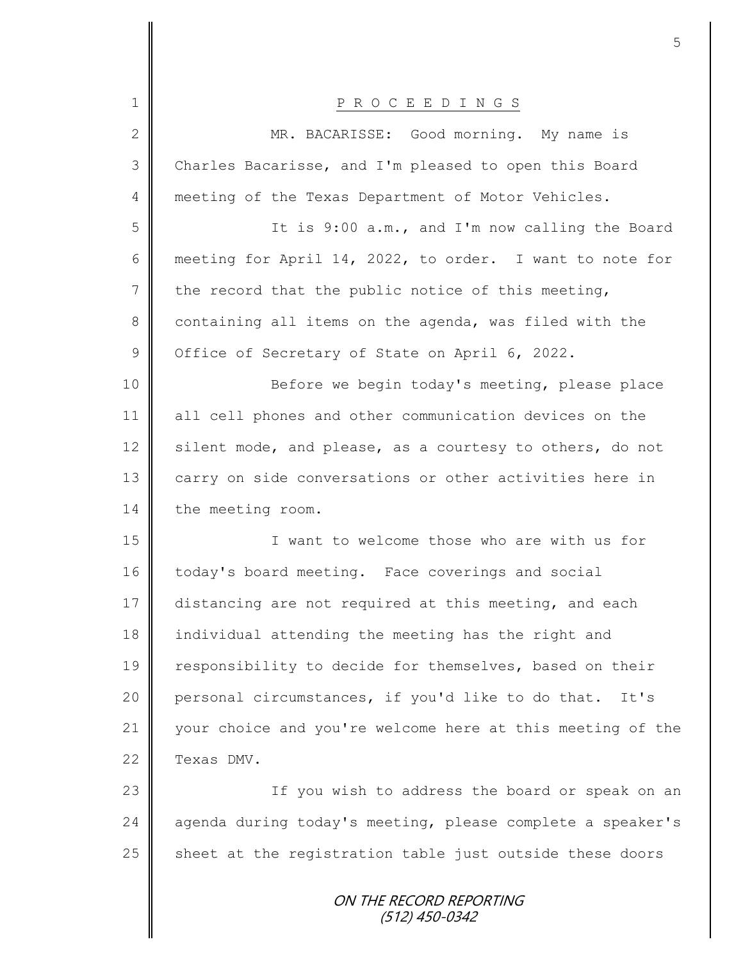| 1              | P R O C E E D I N G S                                      |
|----------------|------------------------------------------------------------|
| $\overline{2}$ | MR. BACARISSE: Good morning. My name is                    |
| 3              | Charles Bacarisse, and I'm pleased to open this Board      |
| $\overline{4}$ | meeting of the Texas Department of Motor Vehicles.         |
| 5              | It is 9:00 a.m., and I'm now calling the Board             |
| 6              | meeting for April 14, 2022, to order. I want to note for   |
| $7\phantom{.}$ | the record that the public notice of this meeting,         |
| 8              | containing all items on the agenda, was filed with the     |
| $\mathcal{G}$  | Office of Secretary of State on April 6, 2022.             |
| 10             | Before we begin today's meeting, please place              |
| 11             | all cell phones and other communication devices on the     |
| 12             | silent mode, and please, as a courtesy to others, do not   |
| 13             | carry on side conversations or other activities here in    |
| 14             | the meeting room.                                          |
| 15             | I want to welcome those who are with us for                |
| 16             | today's board meeting. Face coverings and social           |
| 17             | distancing are not required at this meeting, and each      |
| 18             | individual attending the meeting has the right and         |
| 19             | responsibility to decide for themselves, based on their    |
| 20             | personal circumstances, if you'd like to do that. It's     |
| 21             | your choice and you're welcome here at this meeting of the |
| 22             | Texas DMV.                                                 |
| 23             | If you wish to address the board or speak on an            |
| 24             | agenda during today's meeting, please complete a speaker's |
| 25             | sheet at the registration table just outside these doors   |
|                | ON THE RECORD REPORTING<br>$(512)$ 450-0342                |

∥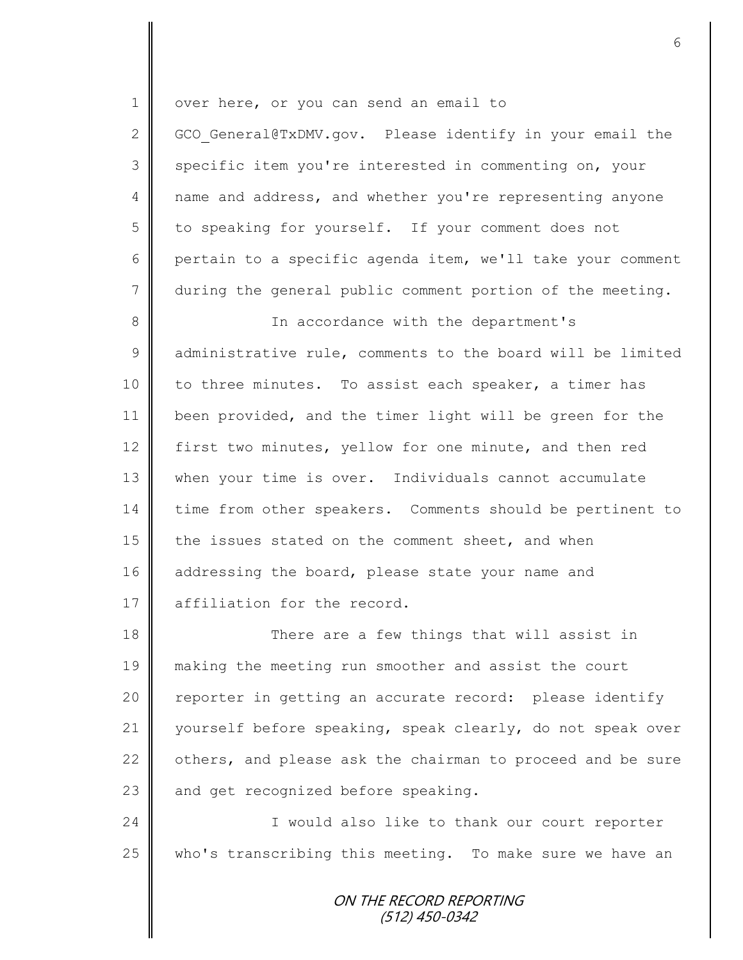ON THE RECORD REPORTING (512) 450-0342 1 | over here, or you can send an email to 2 GCO General@TxDMV.gov. Please identify in your email the 3 specific item you're interested in commenting on, your 4 | name and address, and whether you're representing anyone 5 to speaking for yourself. If your comment does not 6 pertain to a specific agenda item, we'll take your comment 7 during the general public comment portion of the meeting. 8 In accordance with the department's  $9 \parallel$  administrative rule, comments to the board will be limited 10 to three minutes. To assist each speaker, a timer has 11 been provided, and the timer light will be green for the 12 first two minutes, yellow for one minute, and then red 13 when your time is over. Individuals cannot accumulate 14 time from other speakers. Comments should be pertinent to 15 the issues stated on the comment sheet, and when 16 addressing the board, please state your name and 17 affiliation for the record. 18 There are a few things that will assist in 19 making the meeting run smoother and assist the court 20 || reporter in getting an accurate record: please identify 21 yourself before speaking, speak clearly, do not speak over 22  $\parallel$  others, and please ask the chairman to proceed and be sure 23  $\parallel$  and get recognized before speaking. 24 | Chamber 1 would also like to thank our court reporter 25 who's transcribing this meeting. To make sure we have an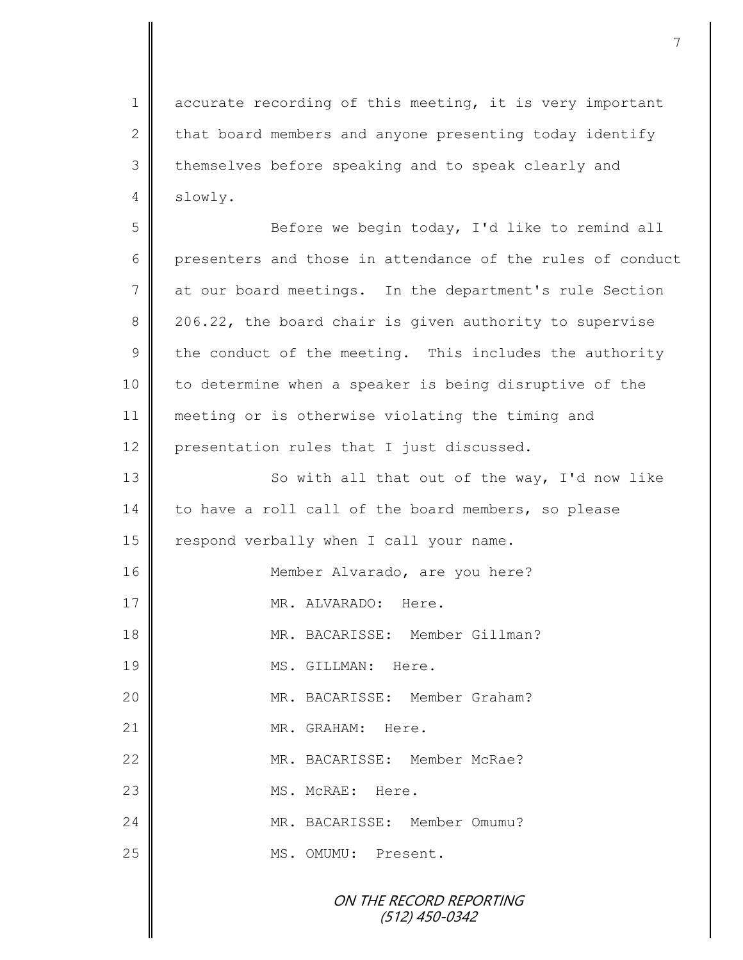1 accurate recording of this meeting, it is very important 2 that board members and anyone presenting today identify 3 themselves before speaking and to speak clearly and 4 slowly.

7

5 || Before we begin today, I'd like to remind all 6 presenters and those in attendance of the rules of conduct 7 at our board meetings. In the department's rule Section 8 206.22, the board chair is given authority to supervise  $9 \parallel$  the conduct of the meeting. This includes the authority 10 to determine when a speaker is being disruptive of the 11 meeting or is otherwise violating the timing and 12 presentation rules that I just discussed.

ON THE RECORD REPORTING 13 || So with all that out of the way, I'd now like 14 to have a roll call of the board members, so please 15 | respond verbally when I call your name. 16 || Member Alvarado, are you here? 17 MR. ALVARADO: Here. 18 MR. BACARISSE: Member Gillman? 19 || MS. GILLMAN: Here. 20 MR. BACARISSE: Member Graham? 21 || MR. GRAHAM: Here. 22 MR. BACARISSE: Member McRae? 23 || MS. McRAE: Here. 24 MR. BACARISSE: Member Omumu? 25 | MS. OMUMU: Present.

(512) 450-0342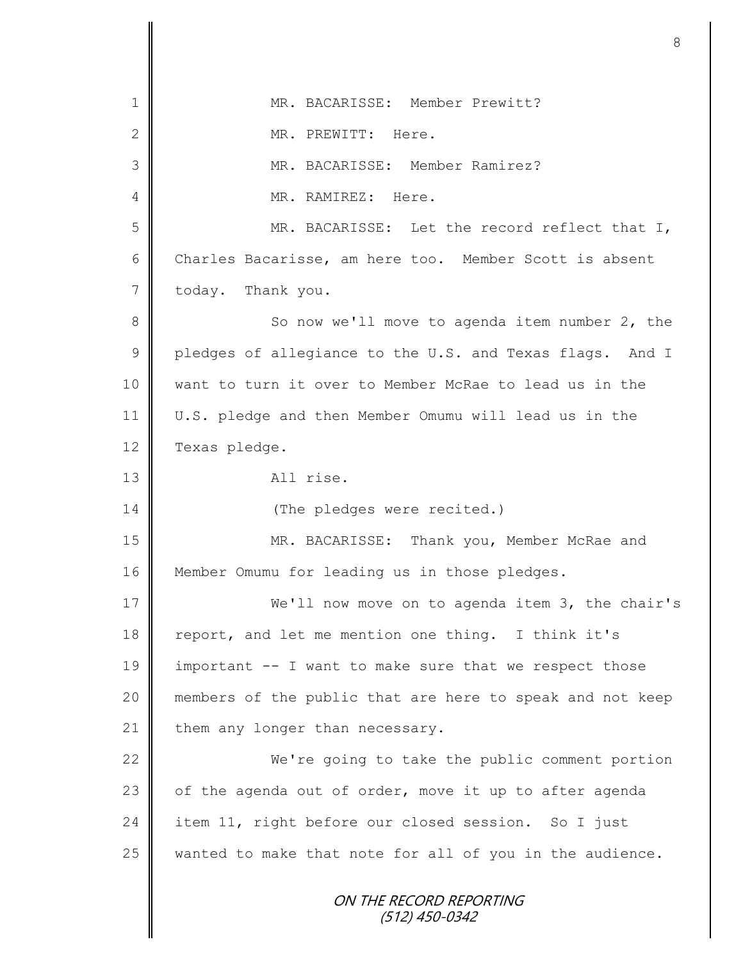|                | 8                                                         |
|----------------|-----------------------------------------------------------|
| 1              | MR. BACARISSE: Member Prewitt?                            |
| $\mathbf{2}$   | MR. PREWITT: Here.                                        |
| 3              | MR. BACARISSE: Member Ramirez?                            |
| 4              | MR. RAMIREZ: Here.                                        |
| 5              | MR. BACARISSE: Let the record reflect that I,             |
| $6\,$          | Charles Bacarisse, am here too. Member Scott is absent    |
| $\overline{7}$ | today. Thank you.                                         |
| 8              | So now we'll move to agenda item number 2, the            |
| $\mathcal{G}$  | pledges of allegiance to the U.S. and Texas flags. And I  |
| 10             | want to turn it over to Member McRae to lead us in the    |
| 11             | U.S. pledge and then Member Omumu will lead us in the     |
| 12             | Texas pledge.                                             |
| 13             | All rise.                                                 |
| 14             | (The pledges were recited.)                               |
| 15             | MR. BACARISSE:<br>Thank you, Member McRae and             |
| 16             | Member Omumu for leading us in those pledges.             |
| 17             | We'll now move on to agenda item 3, the chair's           |
| 18             | report, and let me mention one thing. I think it's        |
| 19             | important -- I want to make sure that we respect those    |
| 20             | members of the public that are here to speak and not keep |
| 21             | them any longer than necessary.                           |
| 22             | We're going to take the public comment portion            |
| 23             | of the agenda out of order, move it up to after agenda    |
| 24             | item 11, right before our closed session. So I just       |
| 25             | wanted to make that note for all of you in the audience.  |
|                | ON THE RECORD REPORTING<br>(512) 450-0342                 |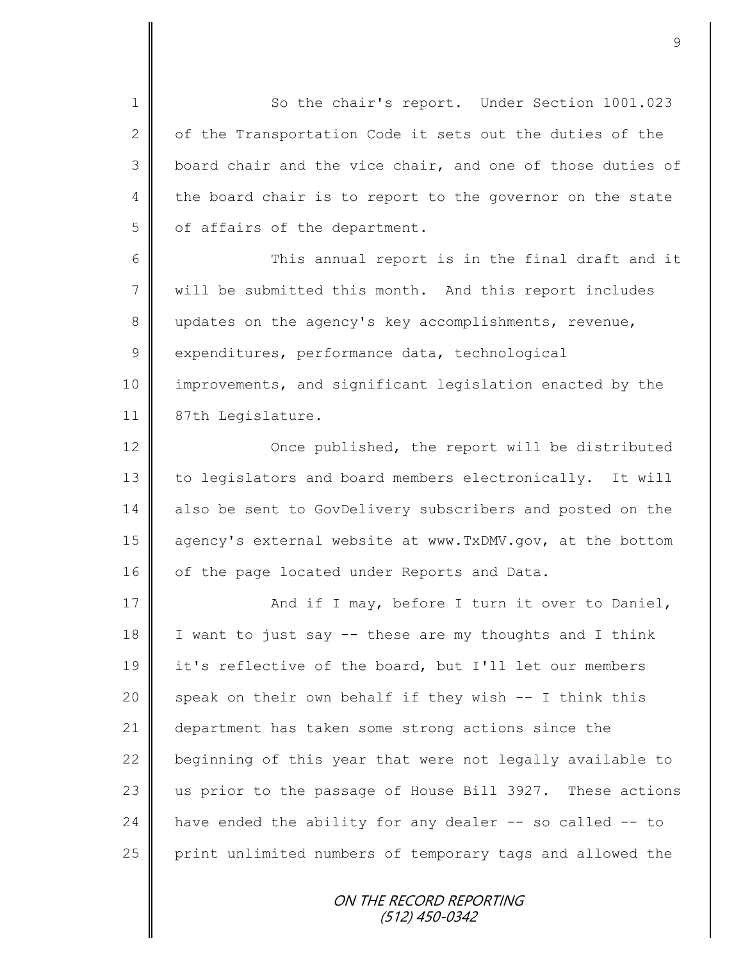1 So the chair's report. Under Section 1001.023  $2 \parallel$  of the Transportation Code it sets out the duties of the  $3 \parallel$  board chair and the vice chair, and one of those duties of 4 the board chair is to report to the governor on the state 5 | of affairs of the department.

6 || This annual report is in the final draft and it 7 will be submitted this month. And this report includes 8 updates on the agency's key accomplishments, revenue, 9 expenditures, performance data, technological 10 improvements, and significant legislation enacted by the 11 | 87th Legislature.

12 | Once published, the report will be distributed 13 to legislators and board members electronically. It will 14 also be sent to GovDelivery subscribers and posted on the 15 agency's external website at www.TxDMV.gov, at the bottom 16 of the page located under Reports and Data.

17 | Richard if I may, before I turn it over to Daniel, 18 I I want to just say  $-$  these are my thoughts and I think 19 it's reflective of the board, but I'll let our members 20 speak on their own behalf if they wish  $-$  I think this 21 department has taken some strong actions since the 22  $\parallel$  beginning of this year that were not legally available to 23 us prior to the passage of House Bill 3927. These actions  $24$  have ended the ability for any dealer -- so called -- to 25 | print unlimited numbers of temporary tags and allowed the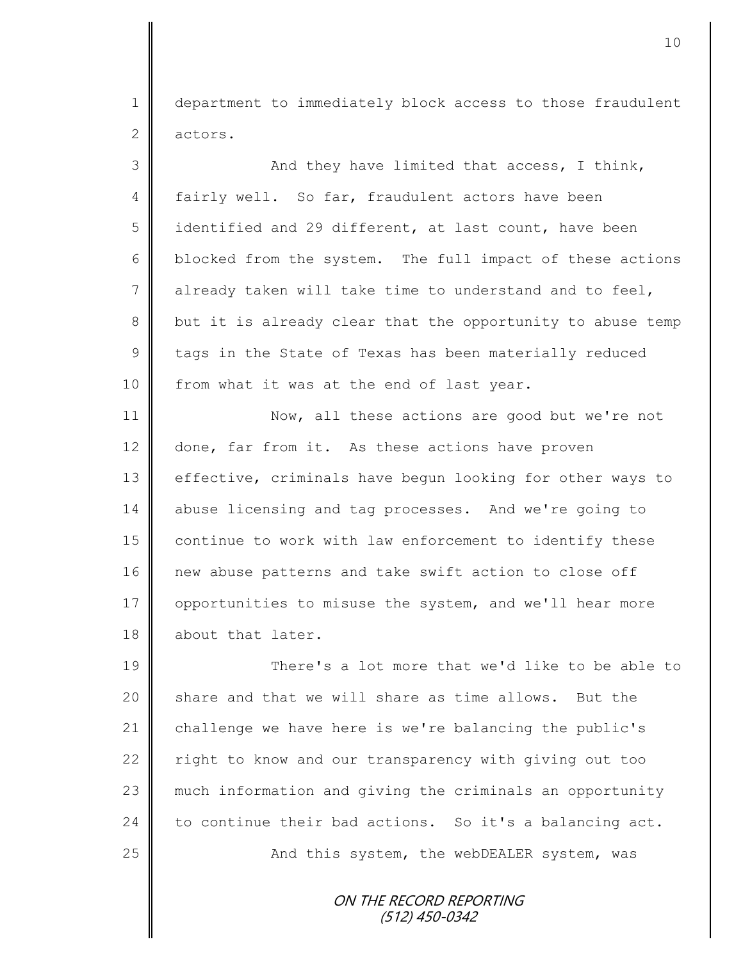1 department to immediately block access to those fraudulent 2 actors.

3 || And they have limited that access, I think, 4 fairly well. So far, fraudulent actors have been 5 didentified and 29 different, at last count, have been 6 blocked from the system. The full impact of these actions 7 already taken will take time to understand and to feel, 8 || but it is already clear that the opportunity to abuse temp  $9 \parallel$  tags in the State of Texas has been materially reduced 10 | from what it was at the end of last year. 11 Now, all these actions are good but we're not 12 done, far from it. As these actions have proven 13 effective, criminals have begun looking for other ways to 14 abuse licensing and tag processes. And we're going to 15 | continue to work with law enforcement to identify these 16 | new abuse patterns and take swift action to close off 17 | opportunities to misuse the system, and we'll hear more 18 about that later.

19 There's a lot more that we'd like to be able to 20  $\parallel$  share and that we will share as time allows. But the 21 challenge we have here is we're balancing the public's 22 | right to know and our transparency with giving out too 23 || much information and giving the criminals an opportunity 24 to continue their bad actions. So it's a balancing act. 25 || And this system, the webDEALER system, was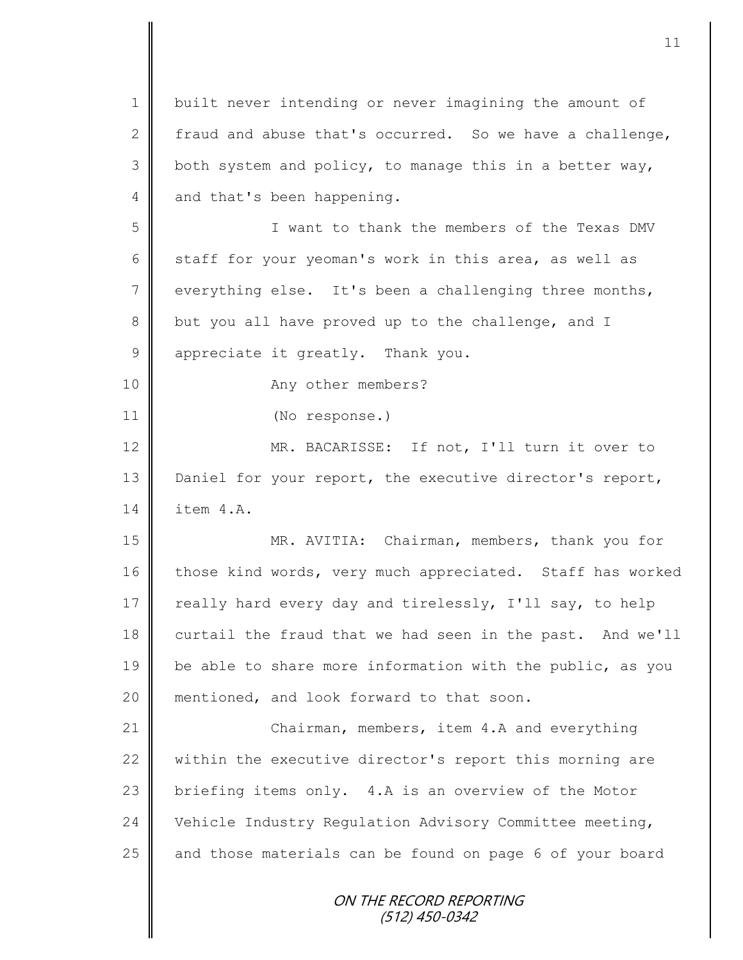ON THE RECORD REPORTING (512) 450-0342 1 | built never intending or never imagining the amount of 2 fraud and abuse that's occurred. So we have a challenge,  $3 \parallel$  both system and policy, to manage this in a better way, 4 and that's been happening. 5 I want to thank the members of the Texas DMV 6 staff for your yeoman's work in this area, as well as  $7 \parallel$  everything else. It's been a challenging three months, 8 but you all have proved up to the challenge, and I 9 appreciate it greatly. Thank you. 10 No. 2 Any other members? 11 (No response.) 12 MR. BACARISSE: If not, I'll turn it over to 13 Daniel for your report, the executive director's report, 14 item 4.A. 15 MR. AVITIA: Chairman, members, thank you for 16 those kind words, very much appreciated. Staff has worked 17 | really hard every day and tirelessly, I'll say, to help 18 curtail the fraud that we had seen in the past. And we'll 19 be able to share more information with the public, as you 20 || mentioned, and look forward to that soon. 21 | Chairman, members, item 4.A and everything 22 within the executive director's report this morning are 23 briefing items only. 4.A is an overview of the Motor 24 Vehicle Industry Regulation Advisory Committee meeting,  $25$  and those materials can be found on page 6 of your board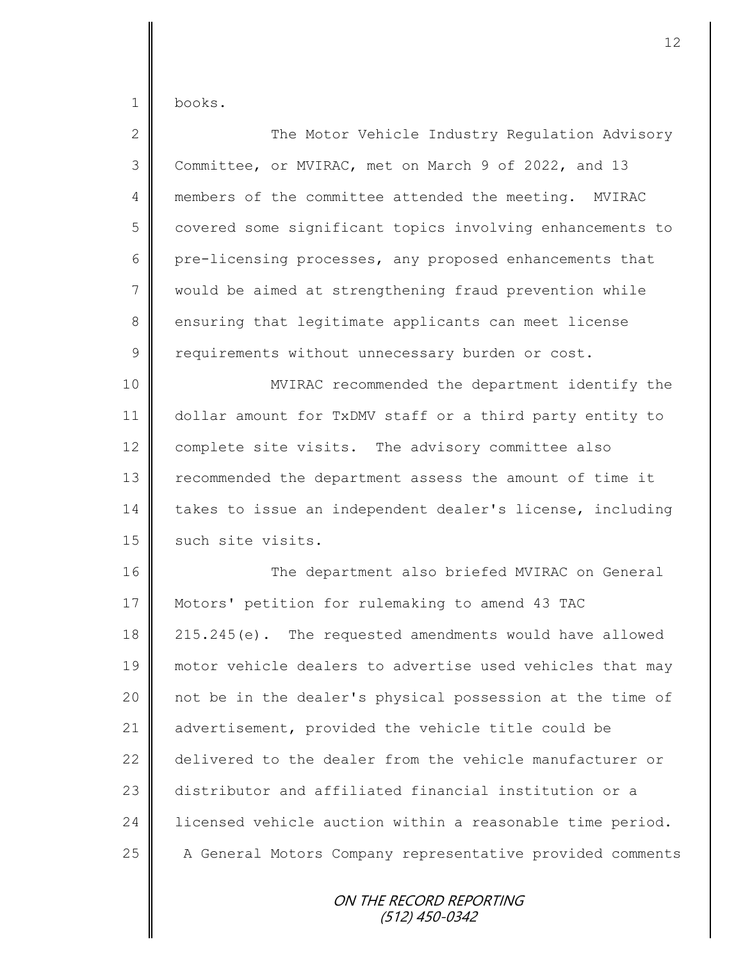books.

| $\overline{2}$ | The Motor Vehicle Industry Regulation Advisory            |
|----------------|-----------------------------------------------------------|
| 3              | Committee, or MVIRAC, met on March 9 of 2022, and 13      |
| 4              | members of the committee attended the meeting. MVIRAC     |
| 5              | covered some significant topics involving enhancements to |
| 6              | pre-licensing processes, any proposed enhancements that   |
| 7              | would be aimed at strengthening fraud prevention while    |
| 8              | ensuring that legitimate applicants can meet license      |
| $\mathsf 9$    | requirements without unnecessary burden or cost.          |
| 10             | MVIRAC recommended the department identify the            |
| 11             | dollar amount for TxDMV staff or a third party entity to  |
| 12             | complete site visits. The advisory committee also         |
| 13             | recommended the department assess the amount of time it   |
| 14             | takes to issue an independent dealer's license, including |
| 15             | such site visits.                                         |
| 16             | The department also briefed MVIRAC on General             |
| 17             | Motors' petition for rulemaking to amend 43 TAC           |
| 18             | 215.245(e). The requested amendments would have allowed   |
| 19             | motor vehicle dealers to advertise used vehicles that may |
| 20             | not be in the dealer's physical possession at the time of |
| 21             | advertisement, provided the vehicle title could be        |
| 22             | delivered to the dealer from the vehicle manufacturer or  |
| 23             | distributor and affiliated financial institution or a     |
| 24             | licensed vehicle auction within a reasonable time period. |
| 25             | A General Motors Company representative provided comments |
|                | ON THE RECORD REPORTING<br>(512) 450-0342                 |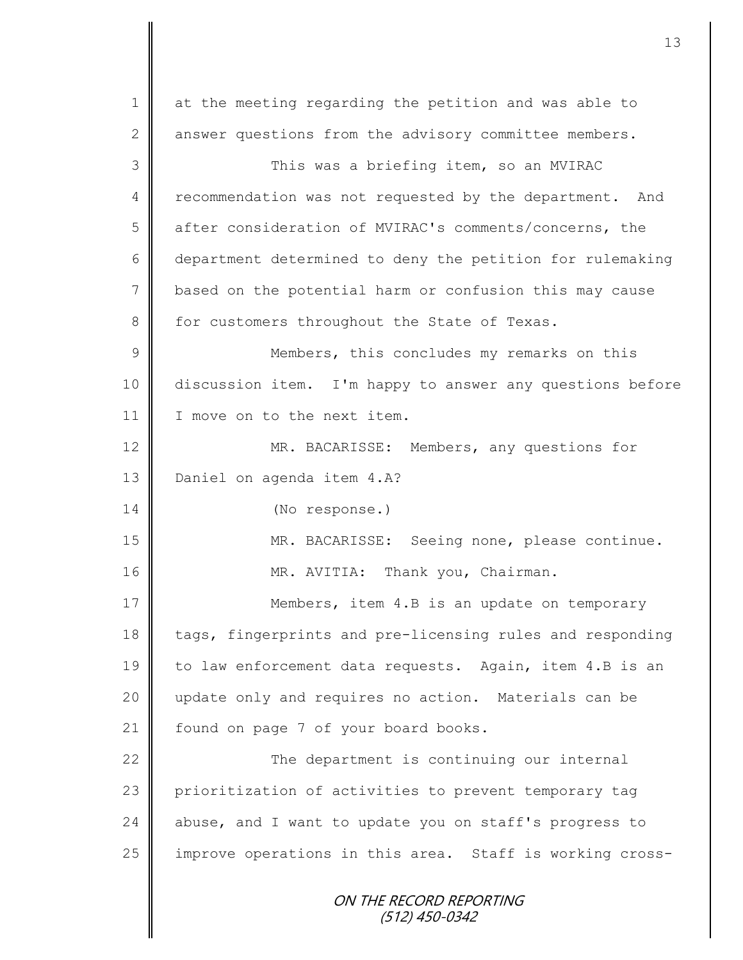| $\mathbf 1$    | at the meeting regarding the petition and was able to     |
|----------------|-----------------------------------------------------------|
| 2              | answer questions from the advisory committee members.     |
| 3              | This was a briefing item, so an MVIRAC                    |
| 4              | recommendation was not requested by the department. And   |
| 5              | after consideration of MVIRAC's comments/concerns, the    |
| 6              | department determined to deny the petition for rulemaking |
| $7\phantom{.}$ | based on the potential harm or confusion this may cause   |
| 8              | for customers throughout the State of Texas.              |
| $\mathcal{G}$  | Members, this concludes my remarks on this                |
| 10             | discussion item. I'm happy to answer any questions before |
| 11             | I move on to the next item.                               |
| 12             | MR. BACARISSE: Members, any questions for                 |
| 13             | Daniel on agenda item 4.A?                                |
| 14             | (No response.)                                            |
| 15             | MR. BACARISSE: Seeing none, please continue.              |
| 16             | MR. AVITIA: Thank you, Chairman.                          |
| 17             | Members, item 4.B is an update on temporary               |
| 18             | tags, fingerprints and pre-licensing rules and responding |
| 19             | to law enforcement data requests. Again, item 4.B is an   |
| 20             | update only and requires no action. Materials can be      |
| 21             | found on page 7 of your board books.                      |
| 22             | The department is continuing our internal                 |
| 23             | prioritization of activities to prevent temporary tag     |
| 24             | abuse, and I want to update you on staff's progress to    |
| 25             | improve operations in this area. Staff is working cross-  |
|                | ON THE RECORD REPORTING<br>$(512)$ 450-0342               |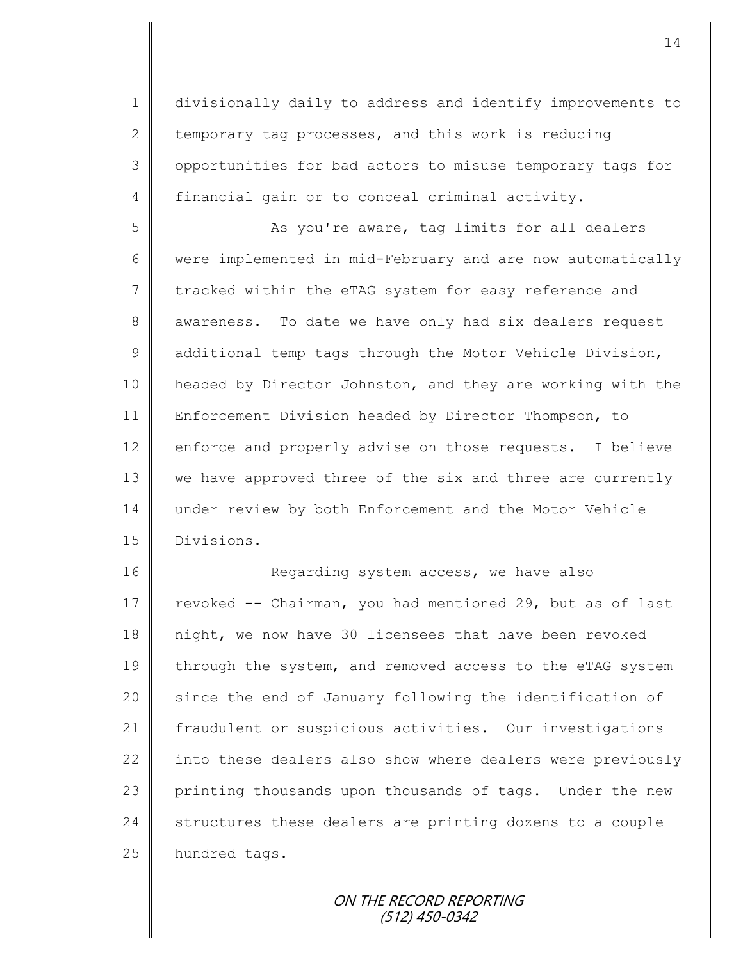1 divisionally daily to address and identify improvements to 2 temporary tag processes, and this work is reducing 3 | opportunities for bad actors to misuse temporary tags for 4 financial gain or to conceal criminal activity.

5 || As you're aware, tag limits for all dealers 6 were implemented in mid-February and are now automatically 7 tracked within the eTAG system for easy reference and 8 awareness. To date we have only had six dealers request  $9 \parallel$  additional temp tags through the Motor Vehicle Division, 10 | headed by Director Johnston, and they are working with the 11 Enforcement Division headed by Director Thompson, to 12 enforce and properly advise on those requests. I believe 13 we have approved three of the six and three are currently 14 under review by both Enforcement and the Motor Vehicle 15 Divisions.

16 Regarding system access, we have also 17 revoked -- Chairman, you had mentioned 29, but as of last 18 night, we now have 30 licensees that have been revoked 19 through the system, and removed access to the eTAG system 20 | since the end of January following the identification of 21 Fraudulent or suspicious activities. Our investigations 22 into these dealers also show where dealers were previously 23 printing thousands upon thousands of tags. Under the new  $24$  structures these dealers are printing dozens to a couple 25 hundred tags.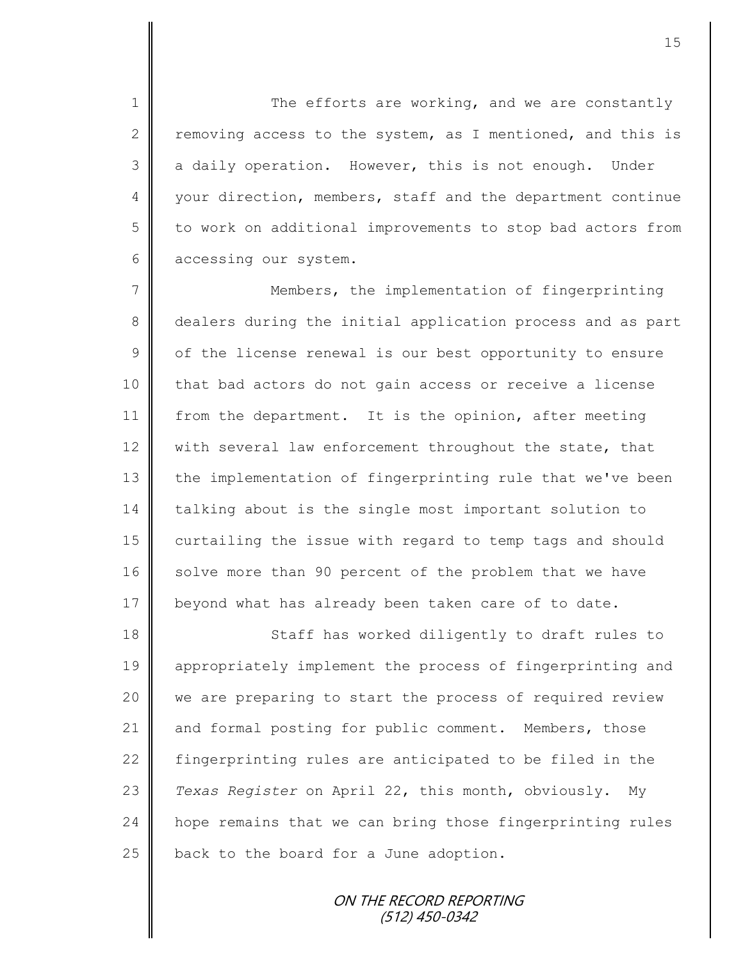1 The efforts are working, and we are constantly 2 T removing access to the system, as I mentioned, and this is  $3 \parallel$  a daily operation. However, this is not enough. Under 4 your direction, members, staff and the department continue  $5 \parallel$  to work on additional improvements to stop bad actors from 6 accessing our system.

7 || Members, the implementation of fingerprinting 8 dealers during the initial application process and as part  $9 \parallel$  of the license renewal is our best opportunity to ensure 10 that bad actors do not gain access or receive a license 11 from the department. It is the opinion, after meeting 12  $\parallel$  with several law enforcement throughout the state, that 13 the implementation of fingerprinting rule that we've been 14 talking about is the single most important solution to 15 | curtailing the issue with regard to temp tags and should 16 solve more than 90 percent of the problem that we have 17 beyond what has already been taken care of to date.

18 || Staff has worked diligently to draft rules to 19 appropriately implement the process of fingerprinting and 20 we are preparing to start the process of required review 21 and formal posting for public comment. Members, those 22 fingerprinting rules are anticipated to be filed in the 23 *Texas Register* on April 22, this month, obviously. My 24 hope remains that we can bring those fingerprinting rules 25  $\parallel$  back to the board for a June adoption.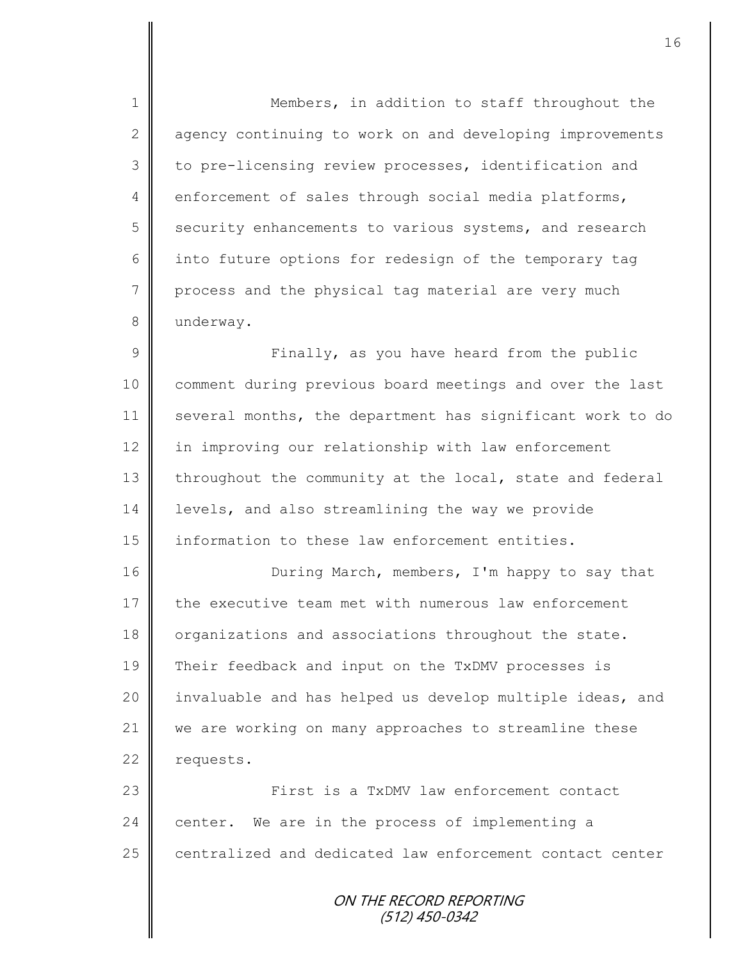1 || Members, in addition to staff throughout the 2 agency continuing to work on and developing improvements 3 to pre-licensing review processes, identification and  $4 \parallel$  enforcement of sales through social media platforms, 5 security enhancements to various systems, and research 6 into future options for redesign of the temporary tag  $7 \parallel$  process and the physical tag material are very much 8 underway.

9 || Finally, as you have heard from the public 10 comment during previous board meetings and over the last 11 several months, the department has significant work to do 12 in improving our relationship with law enforcement  $13$  throughout the community at the local, state and federal 14 levels, and also streamlining the way we provide 15 information to these law enforcement entities.

16 **During March, members, I'm happy to say that** 17 the executive team met with numerous law enforcement 18 organizations and associations throughout the state. 19 Their feedback and input on the TxDMV processes is 20 | invaluable and has helped us develop multiple ideas, and 21 we are working on many approaches to streamline these  $22$  requests.

23 First is a TxDMV law enforcement contact  $24$  center. We are in the process of implementing a 25 centralized and dedicated law enforcement contact center

> ON THE RECORD REPORTING (512) 450-0342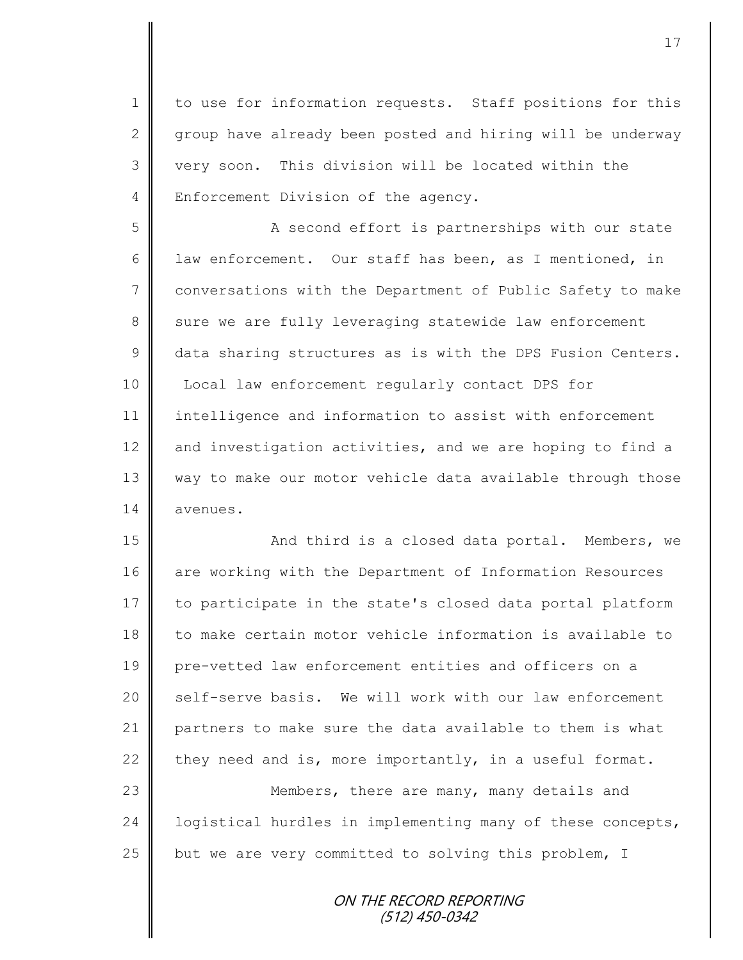1 | to use for information requests. Staff positions for this  $2 \parallel$  group have already been posted and hiring will be underway 3 very soon. This division will be located within the 4 | Enforcement Division of the agency.

5 || A second effort is partnerships with our state 6 Law enforcement. Our staff has been, as I mentioned, in 7 conversations with the Department of Public Safety to make 8 sure we are fully leveraging statewide law enforcement 9 data sharing structures as is with the DPS Fusion Centers. 10 | Local law enforcement regularly contact DPS for 11 intelligence and information to assist with enforcement 12  $\parallel$  and investigation activities, and we are hoping to find a 13 way to make our motor vehicle data available through those 14 avenues.

15 | Chang and third is a closed data portal. Members, we 16 are working with the Department of Information Resources 17 to participate in the state's closed data portal platform 18 to make certain motor vehicle information is available to 19 pre-vetted law enforcement entities and officers on a 20 || self-serve basis. We will work with our law enforcement 21 partners to make sure the data available to them is what 22 they need and is, more importantly, in a useful format. 23 **Members, there are many, many details and** 

24 | logistical hurdles in implementing many of these concepts, 25  $\parallel$  but we are very committed to solving this problem, I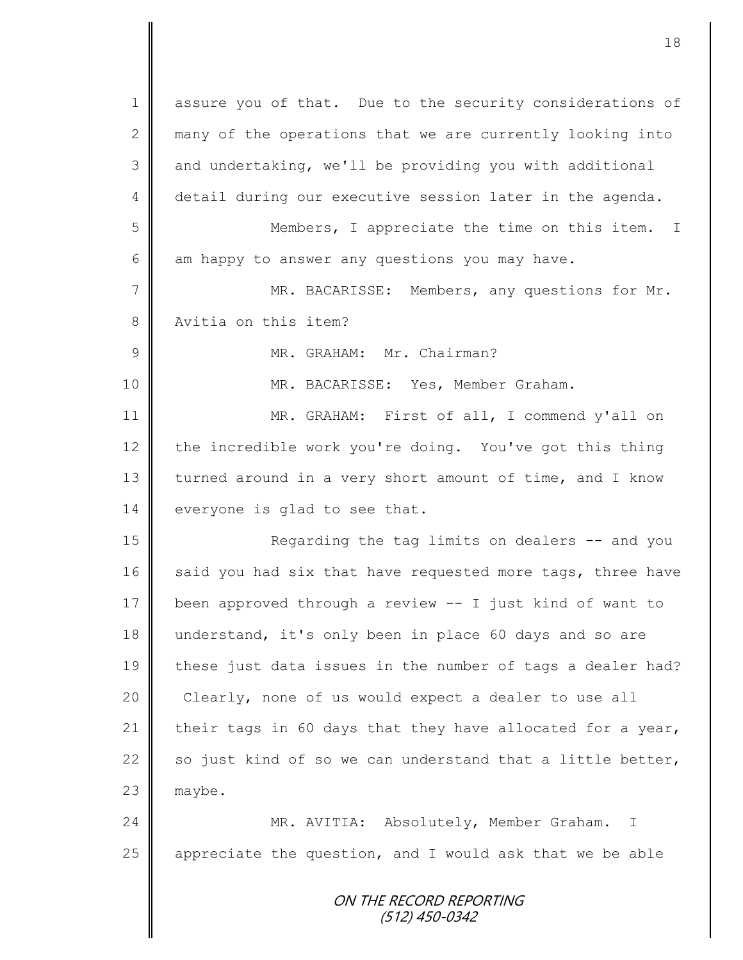ON THE RECORD REPORTING (512) 450-0342 1 assure you of that. Due to the security considerations of 2 many of the operations that we are currently looking into 3 and undertaking, we'll be providing you with additional 4 detail during our executive session later in the agenda. 5 || Members, I appreciate the time on this item. I 6  $\parallel$  am happy to answer any questions you may have. 7 || MR. BACARISSE: Members, any questions for Mr. 8 Nexitia on this item? 9 | MR. GRAHAM: Mr. Chairman? 10 || MR. BACARISSE: Yes, Member Graham. 11 MR. GRAHAM: First of all, I commend y'all on 12 the incredible work you're doing. You've got this thing 13 turned around in a very short amount of time, and I know 14 everyone is glad to see that. 15 || Regarding the tag limits on dealers -- and you 16 said you had six that have requested more tags, three have 17 been approved through a review  $-$  I just kind of want to 18 understand, it's only been in place 60 days and so are 19 these just data issues in the number of tags a dealer had? 20 Clearly, none of us would expect a dealer to use all 21 their tags in 60 days that they have allocated for a year, 22  $\parallel$  so just kind of so we can understand that a little better,  $23$  maybe. 24 | MR. AVITIA: Absolutely, Member Graham. I 25  $\parallel$  appreciate the question, and I would ask that we be able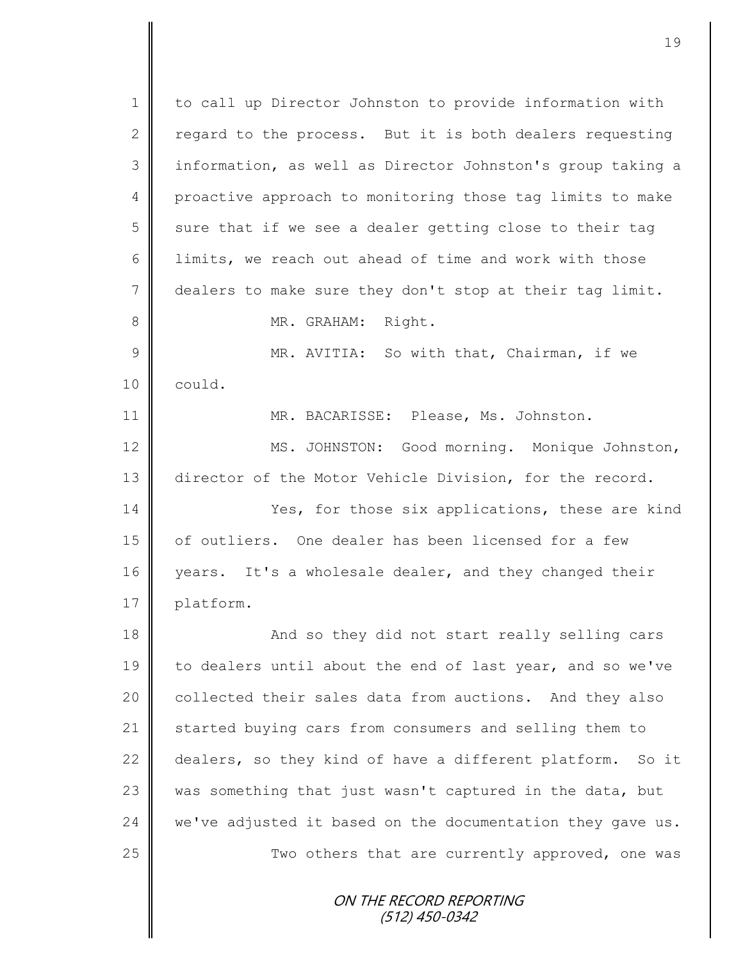ON THE RECORD REPORTING (512) 450-0342 1 to call up Director Johnston to provide information with 2 regard to the process. But it is both dealers requesting 3 | information, as well as Director Johnston's group taking a 4 proactive approach to monitoring those tag limits to make  $5 \parallel$  sure that if we see a dealer getting close to their tag 6  $\parallel$  limits, we reach out ahead of time and work with those 7 dealers to make sure they don't stop at their tag limit. 8 || MR. GRAHAM: Right. 9 || MR. AVITIA: So with that, Chairman, if we 10 could. 11 | MR. BACARISSE: Please, Ms. Johnston. 12 | MS. JOHNSTON: Good morning. Monique Johnston, 13 director of the Motor Vehicle Division, for the record. 14 Yes, for those six applications, these are kind 15 | of outliers. One dealer has been licensed for a few 16 years. It's a wholesale dealer, and they changed their 17 | platform. 18 || And so they did not start really selling cars 19 to dealers until about the end of last year, and so we've 20 collected their sales data from auctions. And they also 21 Started buying cars from consumers and selling them to 22 dealers, so they kind of have a different platform. So it 23  $\parallel$  was something that just wasn't captured in the data, but 24  $\parallel$  we've adjusted it based on the documentation they gave us. 25  $\parallel$  Two others that are currently approved, one was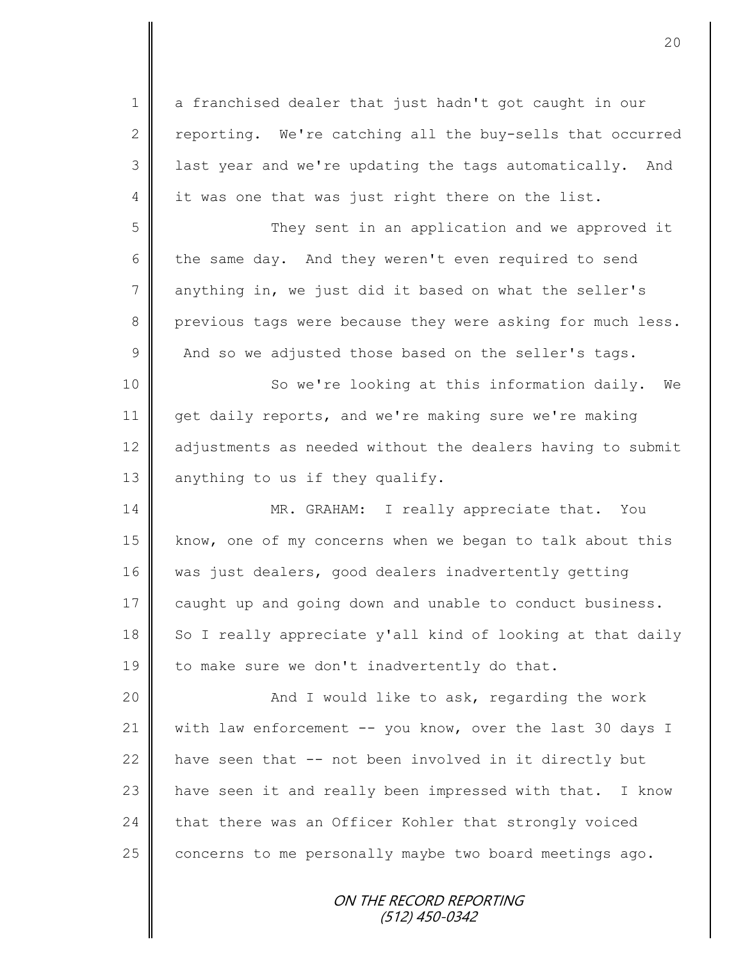ON THE RECORD REPORTING 1 || a franchised dealer that just hadn't got caught in our 2  $\parallel$  reporting. We're catching all the buy-sells that occurred 3 | last year and we're updating the tags automatically. And  $4 \parallel$  it was one that was just right there on the list. 5 || They sent in an application and we approved it 6 the same day. And they weren't even required to send 7 anything in, we just did it based on what the seller's 8 previous tags were because they were asking for much less.  $9 \parallel$  And so we adjusted those based on the seller's tags. 10 || So we're looking at this information daily. We 11 get daily reports, and we're making sure we're making 12 adjustments as needed without the dealers having to submit 13 anything to us if they qualify. 14 MR. GRAHAM: I really appreciate that. You 15 know, one of my concerns when we began to talk about this 16 was just dealers, good dealers inadvertently getting 17 caught up and going down and unable to conduct business. 18 So I really appreciate y'all kind of looking at that daily 19  $\parallel$  to make sure we don't inadvertently do that. 20 | Kand I would like to ask, regarding the work 21 | with law enforcement -- you know, over the last 30 days I 22  $\parallel$  have seen that -- not been involved in it directly but 23 | have seen it and really been impressed with that. I know  $24$  that there was an Officer Kohler that strongly voiced 25 concerns to me personally maybe two board meetings ago.

(512) 450-0342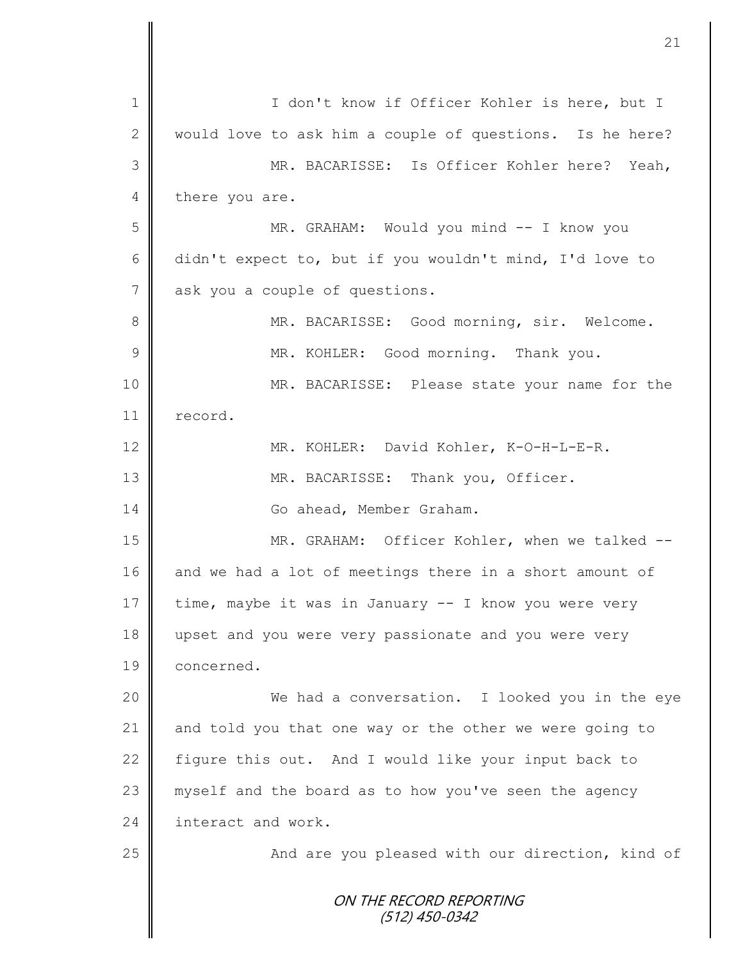|                 | 21                                                       |
|-----------------|----------------------------------------------------------|
|                 |                                                          |
| $\mathbf 1$     | I don't know if Officer Kohler is here, but I            |
| $\mathbf{2}$    | would love to ask him a couple of questions. Is he here? |
| 3               | MR. BACARISSE: Is Officer Kohler here? Yeah,             |
| 4               | there you are.                                           |
| 5               | MR. GRAHAM: Would you mind -- I know you                 |
| $6\,$           | didn't expect to, but if you wouldn't mind, I'd love to  |
| $7\phantom{.0}$ | ask you a couple of questions.                           |
| $8\,$           | MR. BACARISSE: Good morning, sir. Welcome.               |
| $\mathcal{G}$   | MR. KOHLER: Good morning. Thank you.                     |
| 10              | MR. BACARISSE: Please state your name for the            |
| 11              | record.                                                  |
| 12              | MR. KOHLER: David Kohler, K-O-H-L-E-R.                   |
| 13              | MR. BACARISSE: Thank you, Officer.                       |
| 14              | Go ahead, Member Graham.                                 |
| 15              | MR. GRAHAM: Officer Kohler, when we talked --            |
| 16              | and we had a lot of meetings there in a short amount of  |
| 17              | time, maybe it was in January -- I know you were very    |
| 18              | upset and you were very passionate and you were very     |
| 19              | concerned.                                               |
| 20              | We had a conversation. I looked you in the eye           |
| 21              | and told you that one way or the other we were going to  |
| 22              | figure this out. And I would like your input back to     |
| 23              | myself and the board as to how you've seen the agency    |
| 24              | interact and work.                                       |
| 25              | And are you pleased with our direction, kind of          |
|                 | ON THE RECORD REPORTING<br>(512) 450-0342                |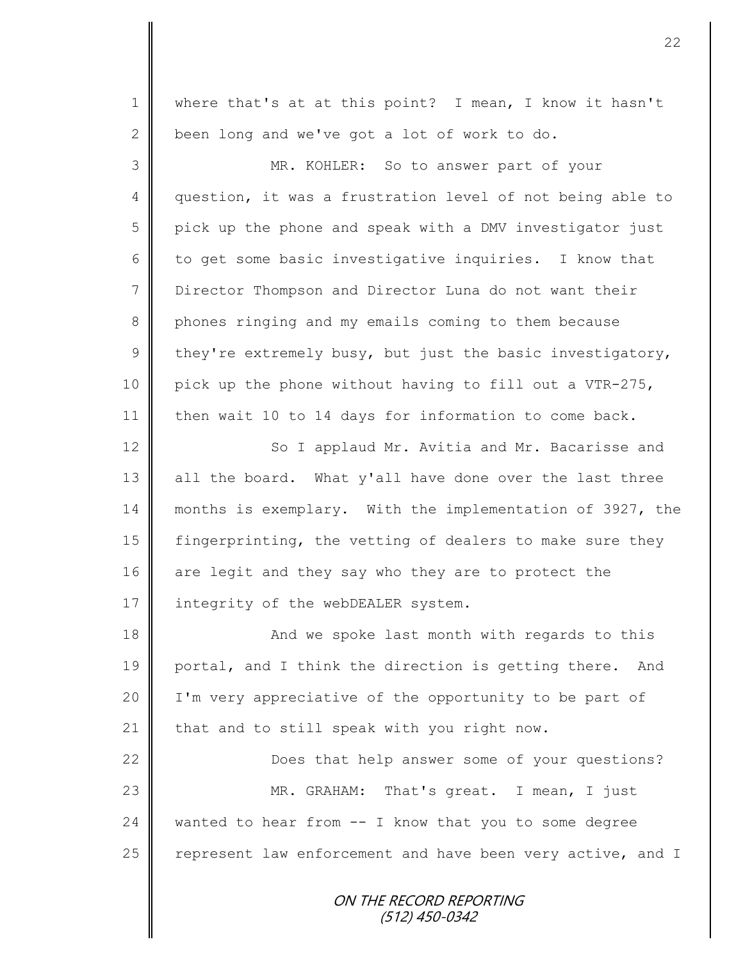ON THE RECORD REPORTING 1 || where that's at at this point? I mean, I know it hasn't 2 been long and we've got a lot of work to do. 3 MR. KOHLER: So to answer part of your 4 question, it was a frustration level of not being able to 5 pick up the phone and speak with a DMV investigator just 6 to get some basic investigative inquiries. I know that 7 Director Thompson and Director Luna do not want their 8 phones ringing and my emails coming to them because 9 they're extremely busy, but just the basic investigatory, 10 pick up the phone without having to fill out a VTR-275, 11 then wait 10 to 14 days for information to come back. 12 | So I applaud Mr. Avitia and Mr. Bacarisse and  $13$  all the board. What y'all have done over the last three 14 months is exemplary. With the implementation of 3927, the 15 | fingerprinting, the vetting of dealers to make sure they 16 are legit and they say who they are to protect the 17 | integrity of the webDEALER system. 18 || And we spoke last month with regards to this 19 portal, and I think the direction is getting there. And 20 | I'm very appreciative of the opportunity to be part of 21  $\parallel$  that and to still speak with you right now. 22 | Does that help answer some of your questions? 23 || MR. GRAHAM: That's great. I mean, I just 24 wanted to hear from  $-$  I know that you to some degree 25  $\parallel$  represent law enforcement and have been very active, and I

(512) 450-0342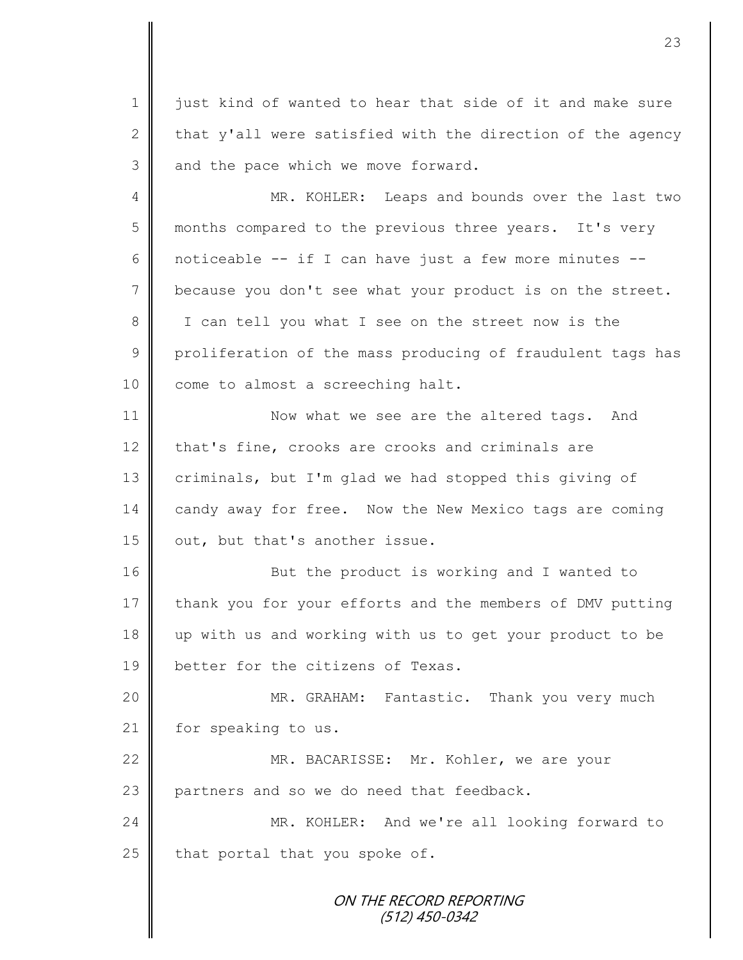1 just kind of wanted to hear that side of it and make sure 2  $\parallel$  that y'all were satisfied with the direction of the agency  $3$  and the pace which we move forward.

4 || MR. KOHLER: Leaps and bounds over the last two 5 months compared to the previous three years. It's very 6  $\parallel$  noticeable -- if I can have just a few more minutes --7 because you don't see what your product is on the street. 8 || I can tell you what I see on the street now is the 9 proliferation of the mass producing of fraudulent tags has 10 come to almost a screeching halt.

11 | Now what we see are the altered tags. And 12 that's fine, crooks are crooks and criminals are 13 criminals, but I'm glad we had stopped this giving of 14 candy away for free. Now the New Mexico tags are coming 15  $\vert$  out, but that's another issue.

16 || But the product is working and I wanted to 17 thank you for your efforts and the members of DMV putting 18 up with us and working with us to get your product to be 19 **better for the citizens of Texas.** 

20 || MR. GRAHAM: Fantastic. Thank you very much 21 | for speaking to us.

22 MR. BACARISSE: Mr. Kohler, we are your 23 | partners and so we do need that feedback.

24 MR. KOHLER: And we're all looking forward to  $25$  that portal that you spoke of.

> ON THE RECORD REPORTING (512) 450-0342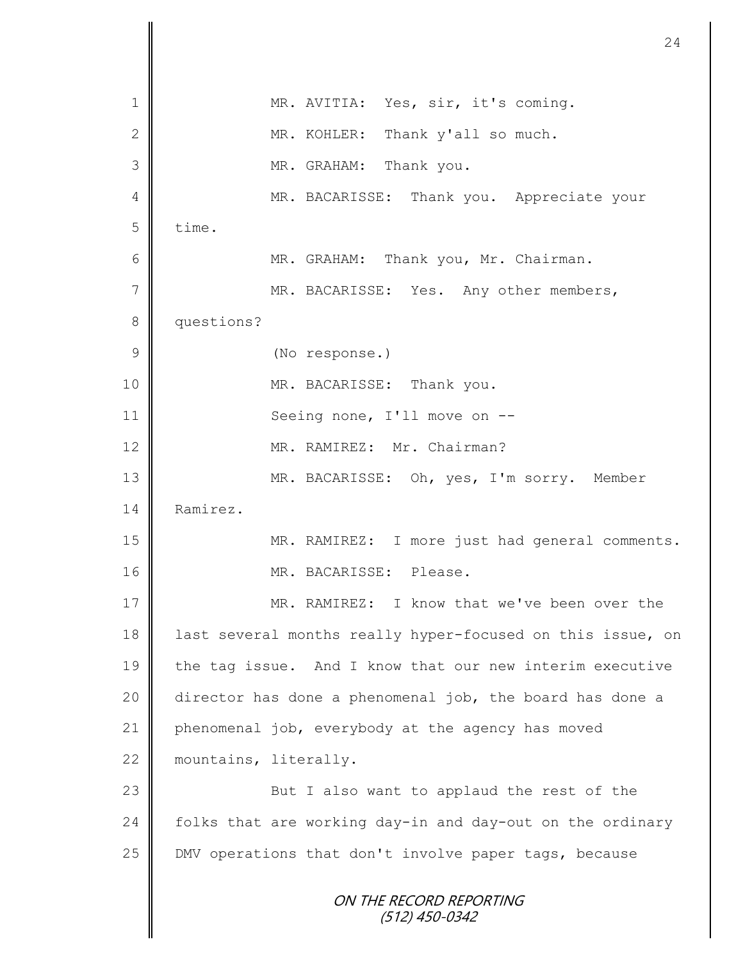|                | 24                                                         |
|----------------|------------------------------------------------------------|
| 1              | MR. AVITIA: Yes, sir, it's coming.                         |
| $\mathbf{2}$   | MR. KOHLER: Thank y'all so much.                           |
| 3              | MR. GRAHAM: Thank you.                                     |
| 4              | MR. BACARISSE: Thank you. Appreciate your                  |
| 5              | time.                                                      |
| 6              | MR. GRAHAM: Thank you, Mr. Chairman.                       |
| $\overline{7}$ | MR. BACARISSE: Yes. Any other members,                     |
| $\,8\,$        | questions?                                                 |
| $\mathcal{G}$  | (No response.)                                             |
| 10             | MR. BACARISSE: Thank you.                                  |
| 11             | Seeing none, I'll move on --                               |
| 12             | MR. RAMIREZ: Mr. Chairman?                                 |
| 13             | MR. BACARISSE: Oh, yes, I'm sorry. Member                  |
| 14             | Ramirez.                                                   |
| 15             | MR. RAMIREZ: I more just had general comments.             |
| 16             | MR. BACARISSE: Please.                                     |
| 17             | MR. RAMIREZ: I know that we've been over the               |
| 18             | last several months really hyper-focused on this issue, on |
| 19             | the tag issue. And I know that our new interim executive   |
| 20             | director has done a phenomenal job, the board has done a   |
| 21             | phenomenal job, everybody at the agency has moved          |
| 22             | mountains, literally.                                      |
| 23             | But I also want to applaud the rest of the                 |
| 24             | folks that are working day-in and day-out on the ordinary  |
| 25             | DMV operations that don't involve paper tags, because      |
|                | ON THE RECORD REPORTING<br>(512) 450-0342                  |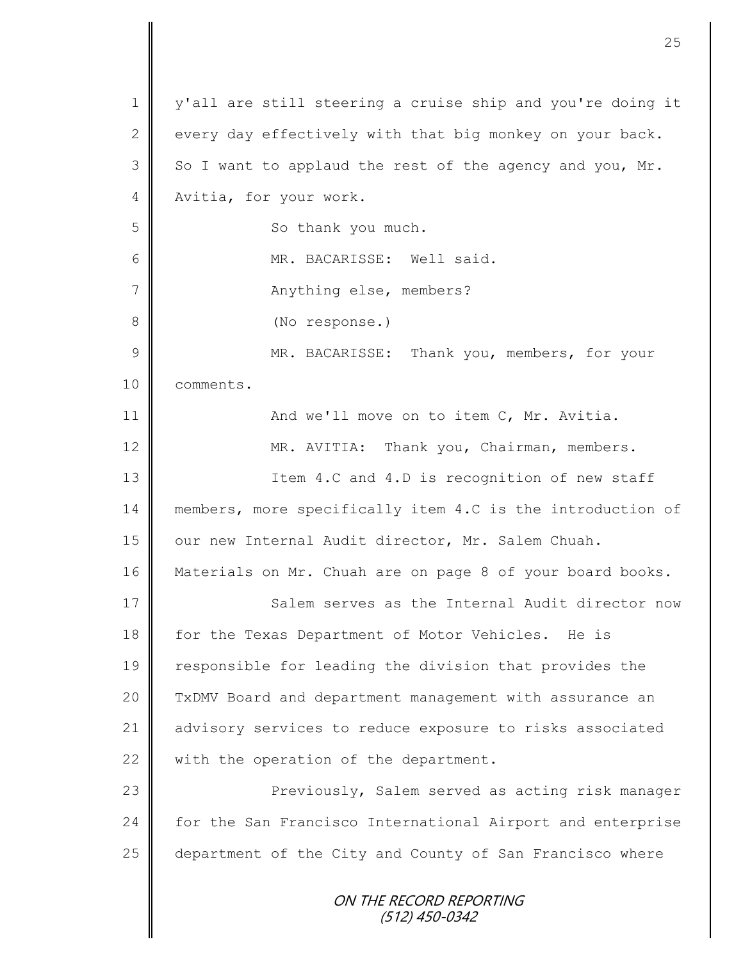ON THE RECORD REPORTING (512) 450-0342 1 | y'all are still steering a cruise ship and you're doing it 2 every day effectively with that big monkey on your back.  $3 \parallel$  So I want to applaud the rest of the agency and you, Mr. 4 Nvitia, for your work. 5 || So thank you much. 6 MR. BACARISSE: Well said. 7 | Anything else, members? 8 **(No response.)** 9 || MR. BACARISSE: Thank you, members, for your 10 comments. 11 **And we'll move on to item C, Mr. Avitia.** 12 | MR. AVITIA: Thank you, Chairman, members. 13 || Item 4.C and 4.D is recognition of new staff 14 members, more specifically item 4.C is the introduction of 15 | our new Internal Audit director, Mr. Salem Chuah. 16 Materials on Mr. Chuah are on page 8 of your board books. 17 Salem serves as the Internal Audit director now 18 for the Texas Department of Motor Vehicles. He is 19 responsible for leading the division that provides the 20 | TxDMV Board and department management with assurance an 21 | advisory services to reduce exposure to risks associated 22  $\parallel$  with the operation of the department. 23 | Previously, Salem served as acting risk manager 24 | for the San Francisco International Airport and enterprise 25 department of the City and County of San Francisco where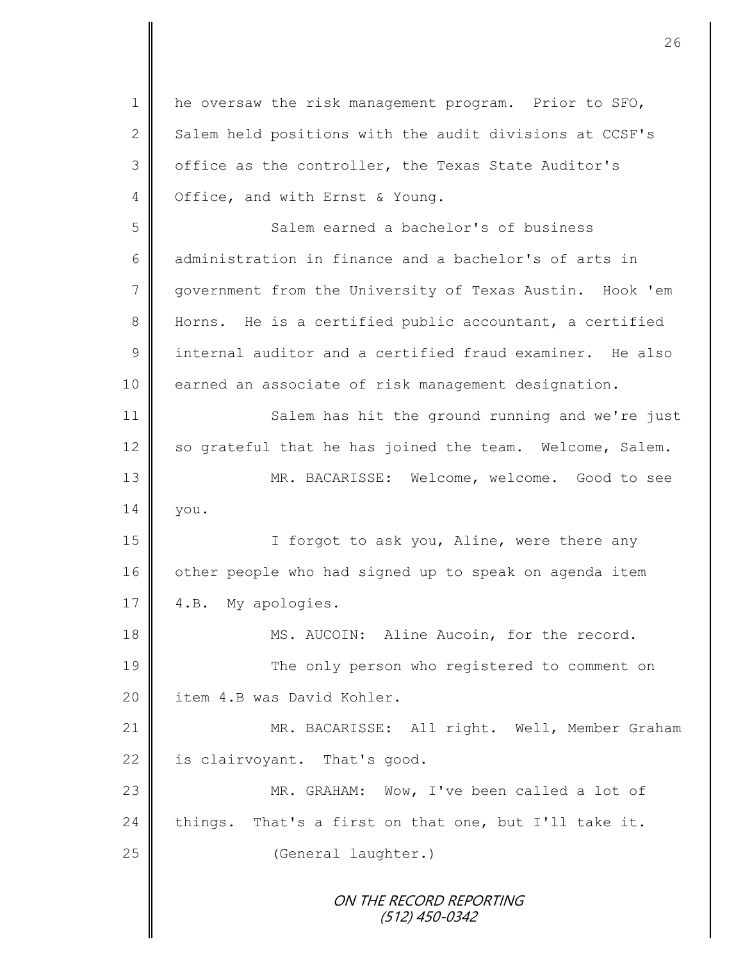ON THE RECORD REPORTING (512) 450-0342 1 | he oversaw the risk management program. Prior to SFO,  $2 \parallel$  Salem held positions with the audit divisions at CCSF's 3 | office as the controller, the Texas State Auditor's 4 | Office, and with Ernst & Young. 5 Salem earned a bachelor's of business 6 administration in finance and a bachelor's of arts in 7 government from the University of Texas Austin. Hook 'em 8 Horns. He is a certified public accountant, a certified 9 internal auditor and a certified fraud examiner. He also 10 earned an associate of risk management designation. 11 | Salem has hit the ground running and we're just 12 so grateful that he has joined the team. Welcome, Salem. 13 MR. BACARISSE: Welcome, welcome. Good to see  $14 \parallel$  you. 15 || I forgot to ask you, Aline, were there any 16 other people who had signed up to speak on agenda item 17 | 4.B. My apologies. 18 || MS. AUCOIN: Aline Aucoin, for the record. 19 The only person who registered to comment on 20 | item 4.B was David Kohler. 21 | MR. BACARISSE: All right. Well, Member Graham 22 is clairvoyant. That's good. 23 MR. GRAHAM: Wow, I've been called a lot of 24 things. That's a first on that one, but I'll take it. 25 **(General laughter.)**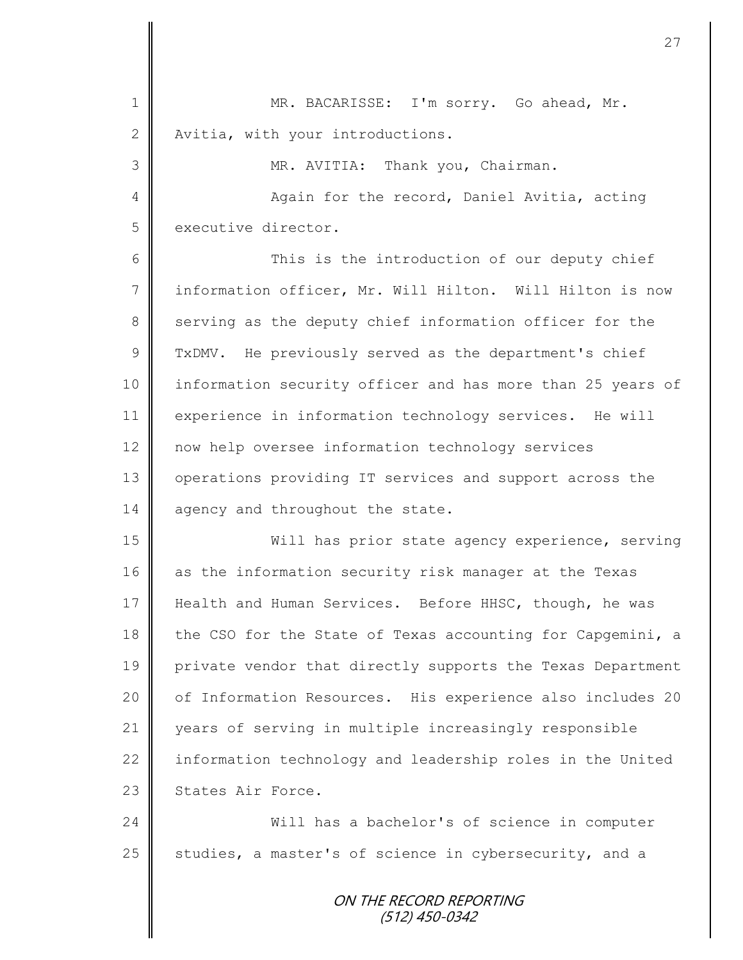1 MR. BACARISSE: I'm sorry. Go ahead, Mr. 2 Nvitia, with your introductions. 3 || MR. AVITIA: Thank you, Chairman. 4 || Again for the record, Daniel Avitia, acting 5 executive director. 6 || This is the introduction of our deputy chief 7 information officer, Mr. Will Hilton. Will Hilton is now 8 serving as the deputy chief information officer for the 9 TxDMV. He previously served as the department's chief 10 | information security officer and has more than 25 years of 11 experience in information technology services. He will 12 now help oversee information technology services 13 | operations providing IT services and support across the 14 agency and throughout the state. 15 Will has prior state agency experience, serving 16 as the information security risk manager at the Texas 17 Health and Human Services. Before HHSC, though, he was 18 the CSO for the State of Texas accounting for Capgemini, a 19 private vendor that directly supports the Texas Department 20 | of Information Resources. His experience also includes 20 21 years of serving in multiple increasingly responsible 22 information technology and leadership roles in the United 23 States Air Force. 24 Will has a bachelor's of science in computer 25 studies, a master's of science in cybersecurity, and a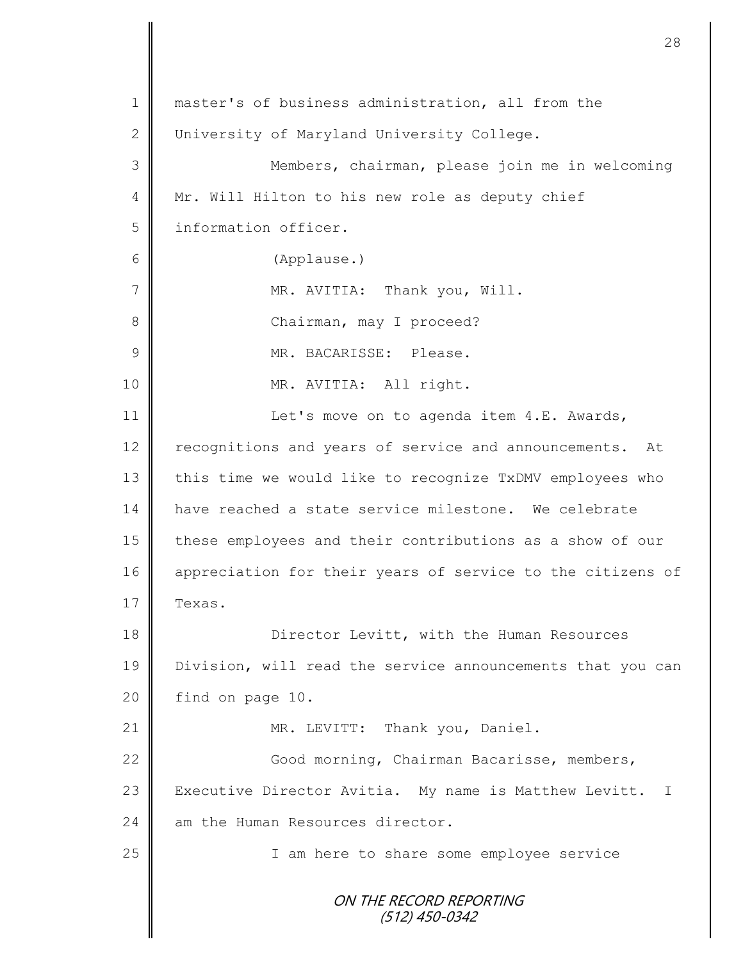ON THE RECORD REPORTING (512) 450-0342 1 || master's of business administration, all from the 2 University of Maryland University College. 3 Members, chairman, please join me in welcoming 4 | Mr. Will Hilton to his new role as deputy chief 5 information officer. 6 (Applause.) 7 | MR. AVITIA: Thank you, Will. 8 | Chairman, may I proceed? 9 || MR. BACARISSE: Please. 10 || MR. AVITIA: All right. 11 | Let's move on to agenda item 4.E. Awards, 12 | recognitions and years of service and announcements. At 13 this time we would like to recognize TxDMV employees who 14 || have reached a state service milestone. We celebrate 15 | these employees and their contributions as a show of our 16 appreciation for their years of service to the citizens of  $17 \parallel$  Texas. 18 Director Levitt, with the Human Resources 19 Division, will read the service announcements that you can 20 find on page 10. 21 | MR. LEVITT: Thank you, Daniel. 22 | Good morning, Chairman Bacarisse, members, 23 | Executive Director Avitia. My name is Matthew Levitt. I 24  $\parallel$  am the Human Resources director. 25 | T am here to share some employee service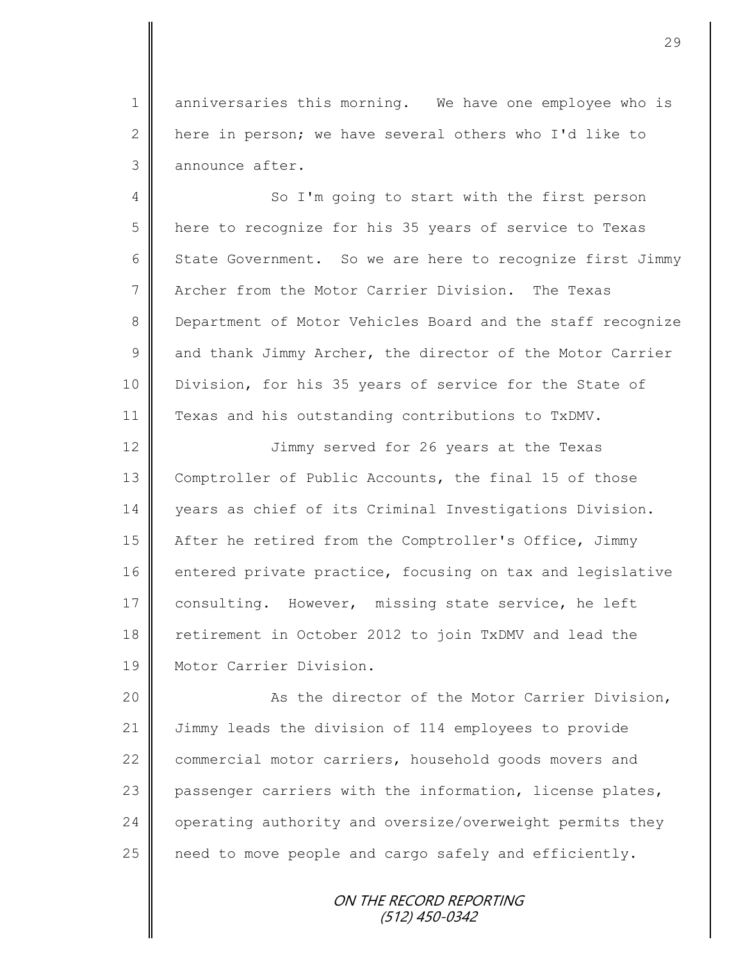1 anniversaries this morning. We have one employee who is 2  $\parallel$  here in person; we have several others who I'd like to 3 announce after.

4 So I'm going to start with the first person 5 here to recognize for his 35 years of service to Texas 6 State Government. So we are here to recognize first Jimmy 7 Archer from the Motor Carrier Division. The Texas 8 Department of Motor Vehicles Board and the staff recognize  $9 \parallel$  and thank Jimmy Archer, the director of the Motor Carrier 10 | Division, for his 35 years of service for the State of 11 Texas and his outstanding contributions to TxDMV.

12  $\parallel$  Jimmy served for 26 years at the Texas 13 Comptroller of Public Accounts, the final 15 of those 14 years as chief of its Criminal Investigations Division. 15 | After he retired from the Comptroller's Office, Jimmy 16 entered private practice, focusing on tax and legislative 17 consulting. However, missing state service, he left 18 retirement in October 2012 to join TxDMV and lead the 19 Motor Carrier Division.

20 | Resettion and the Motor Carrier Division, 21 Jimmy leads the division of 114 employees to provide 22 commercial motor carriers, household goods movers and 23 passenger carriers with the information, license plates, 24 operating authority and oversize/overweight permits they 25  $\parallel$  need to move people and cargo safely and efficiently.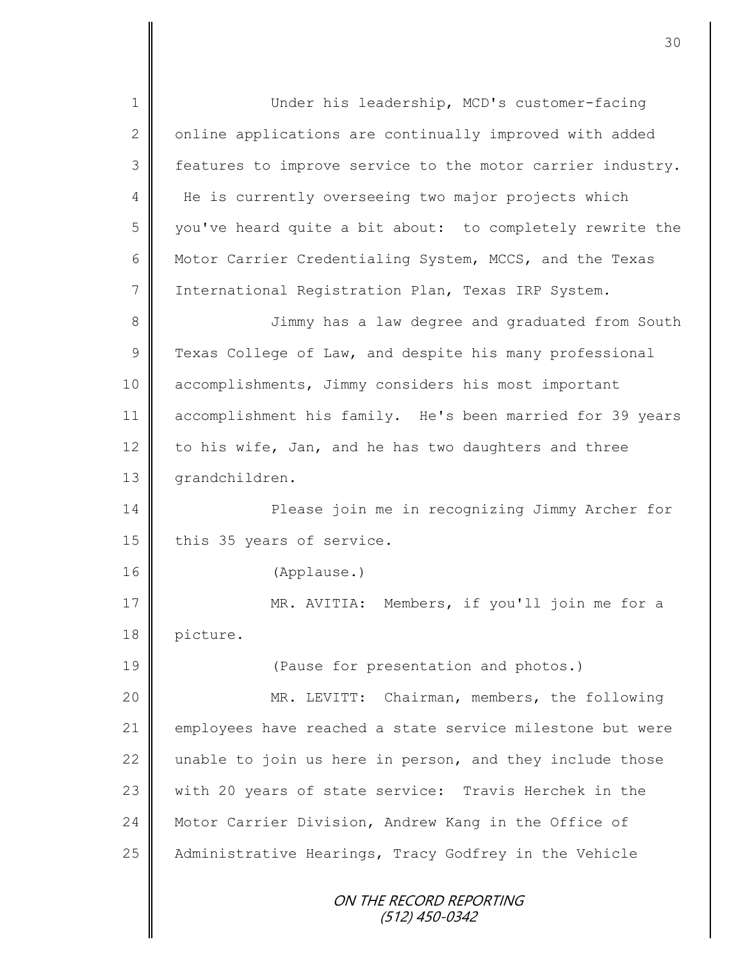ON THE RECORD REPORTING (512) 450-0342 1 Under his leadership, MCD's customer-facing  $2 \parallel$  online applications are continually improved with added 3 features to improve service to the motor carrier industry. 4 | He is currently overseeing two major projects which 5 || you've heard quite a bit about: to completely rewrite the 6 Motor Carrier Credentialing System, MCCS, and the Texas 7 | International Registration Plan, Texas IRP System. 8 || Jimmy has a law degree and graduated from South 9 Texas College of Law, and despite his many professional 10 accomplishments, Jimmy considers his most important 11 accomplishment his family. He's been married for 39 years 12 to his wife, Jan, and he has two daughters and three 13 | grandchildren. 14 **Please** join me in recognizing Jimmy Archer for 15 | this 35 years of service. 16 (Applause.) 17 || MR. AVITIA: Members, if you'll join me for a 18 picture. 19 **(Pause for presentation and photos.)** 20 MR. LEVITT: Chairman, members, the following 21 employees have reached a state service milestone but were  $22$  unable to join us here in person, and they include those 23 with 20 years of state service: Travis Herchek in the 24 Motor Carrier Division, Andrew Kang in the Office of 25 Administrative Hearings, Tracy Godfrey in the Vehicle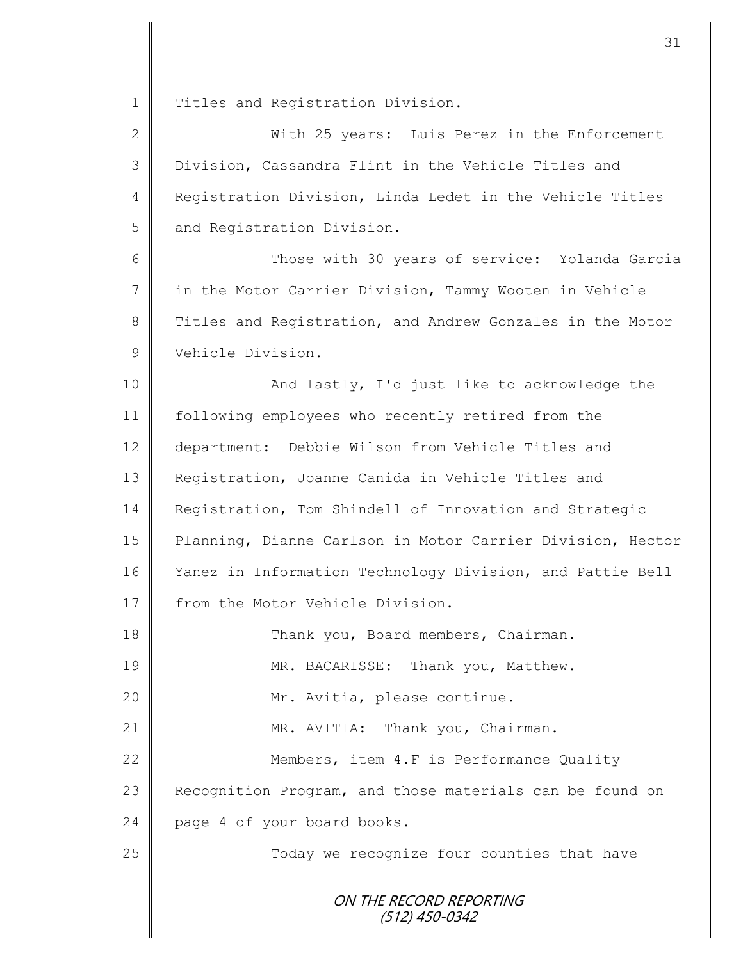1 Titles and Registration Division.

| $\overline{2}$ | With 25 years: Luis Perez in the Enforcement               |
|----------------|------------------------------------------------------------|
| 3              | Division, Cassandra Flint in the Vehicle Titles and        |
| 4              | Registration Division, Linda Ledet in the Vehicle Titles   |
| 5              | and Registration Division.                                 |
| 6              | Those with 30 years of service: Yolanda Garcia             |
| $\overline{7}$ | in the Motor Carrier Division, Tammy Wooten in Vehicle     |
| $\,8\,$        | Titles and Registration, and Andrew Gonzales in the Motor  |
| $\mathcal{G}$  | Vehicle Division.                                          |
| 10             | And lastly, I'd just like to acknowledge the               |
| 11             | following employees who recently retired from the          |
| 12             | department: Debbie Wilson from Vehicle Titles and          |
| 13             | Registration, Joanne Canida in Vehicle Titles and          |
| 14             | Registration, Tom Shindell of Innovation and Strategic     |
| 15             | Planning, Dianne Carlson in Motor Carrier Division, Hector |
| 16             | Yanez in Information Technology Division, and Pattie Bell  |
| 17             | from the Motor Vehicle Division.                           |
| 18             | Thank you, Board members, Chairman.                        |
| 19             | MR. BACARISSE: Thank you, Matthew.                         |
| 20             | Mr. Avitia, please continue.                               |
| 21             | MR. AVITIA: Thank you, Chairman.                           |
| 22             | Members, item 4.F is Performance Quality                   |
| 23             | Recognition Program, and those materials can be found on   |
| 24             | page 4 of your board books.                                |
| 25             | Today we recognize four counties that have                 |
|                | ON THE RECORD REPORTING                                    |

(512) 450-0342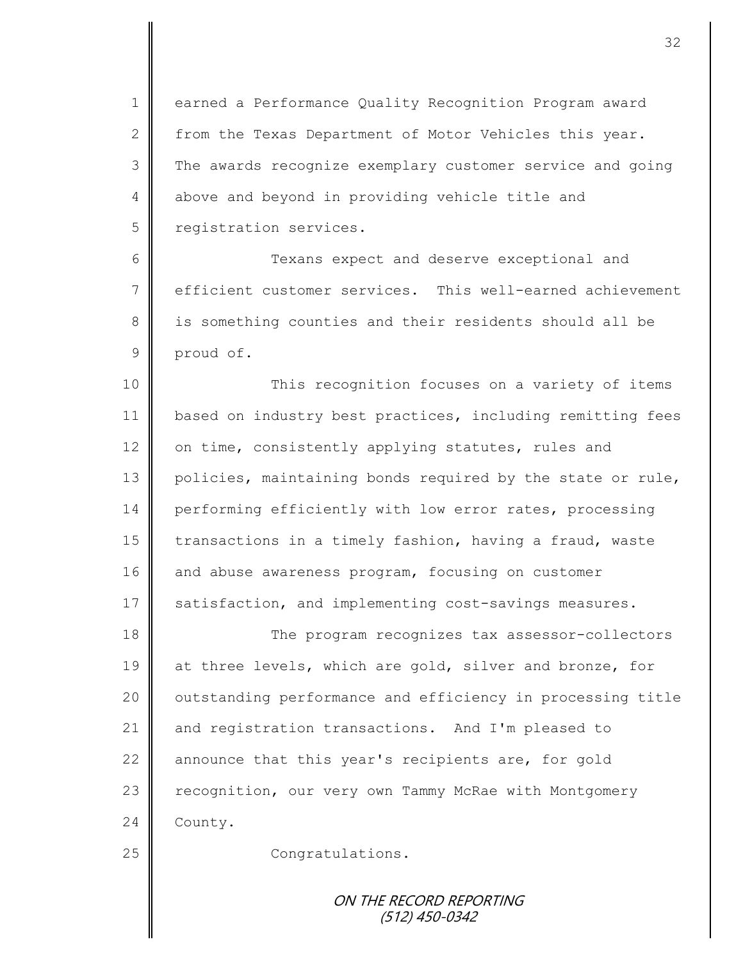1 earned a Performance Quality Recognition Program award 2 from the Texas Department of Motor Vehicles this year. 3 The awards recognize exemplary customer service and going 4 above and beyond in providing vehicle title and 5 | registration services.

6 Texans expect and deserve exceptional and 7 efficient customer services. This well-earned achievement 8 || is something counties and their residents should all be 9 proud of.

10 || This recognition focuses on a variety of items 11 | based on industry best practices, including remitting fees 12  $\parallel$  on time, consistently applying statutes, rules and 13 policies, maintaining bonds required by the state or rule, 14 performing efficiently with low error rates, processing 15 transactions in a timely fashion, having a fraud, waste 16 and abuse awareness program, focusing on customer 17 satisfaction, and implementing cost-savings measures.

18 The program recognizes tax assessor-collectors 19 at three levels, which are gold, silver and bronze, for 20 | outstanding performance and efficiency in processing title 21 and registration transactions. And I'm pleased to 22  $\parallel$  announce that this year's recipients are, for gold 23 | recognition, our very own Tammy McRae with Montgomery 24 County.

25 || Congratulations.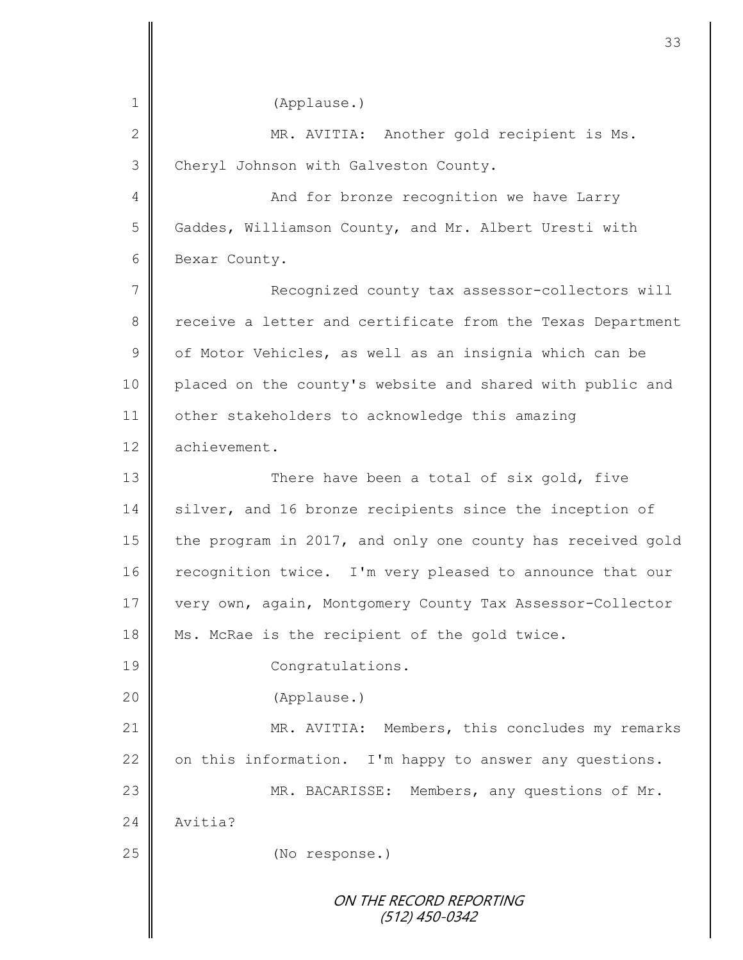ON THE RECORD REPORTING (512) 450-0342 1 (Applause.) 2 || MR. AVITIA: Another gold recipient is Ms. 3 Cheryl Johnson with Galveston County. 4 And for bronze recognition we have Larry 5 Gaddes, Williamson County, and Mr. Albert Uresti with 6 Bexar County. 7 | Recognized county tax assessor-collectors will 8 receive a letter and certificate from the Texas Department  $9 \parallel$  of Motor Vehicles, as well as an insignia which can be 10 | placed on the county's website and shared with public and 11 | other stakeholders to acknowledge this amazing 12 achievement. 13 || There have been a total of six gold, five 14 silver, and 16 bronze recipients since the inception of 15 the program in 2017, and only one county has received gold 16 recognition twice. I'm very pleased to announce that our 17 very own, again, Montgomery County Tax Assessor-Collector 18 Ms. McRae is the recipient of the gold twice. 19 || Congratulations. 20 (Applause.) 21 MR. AVITIA: Members, this concludes my remarks 22  $\parallel$  on this information. I'm happy to answer any questions. 23 || MR. BACARISSE: Members, any questions of Mr. 24 | Avitia? 25 **(No response.)**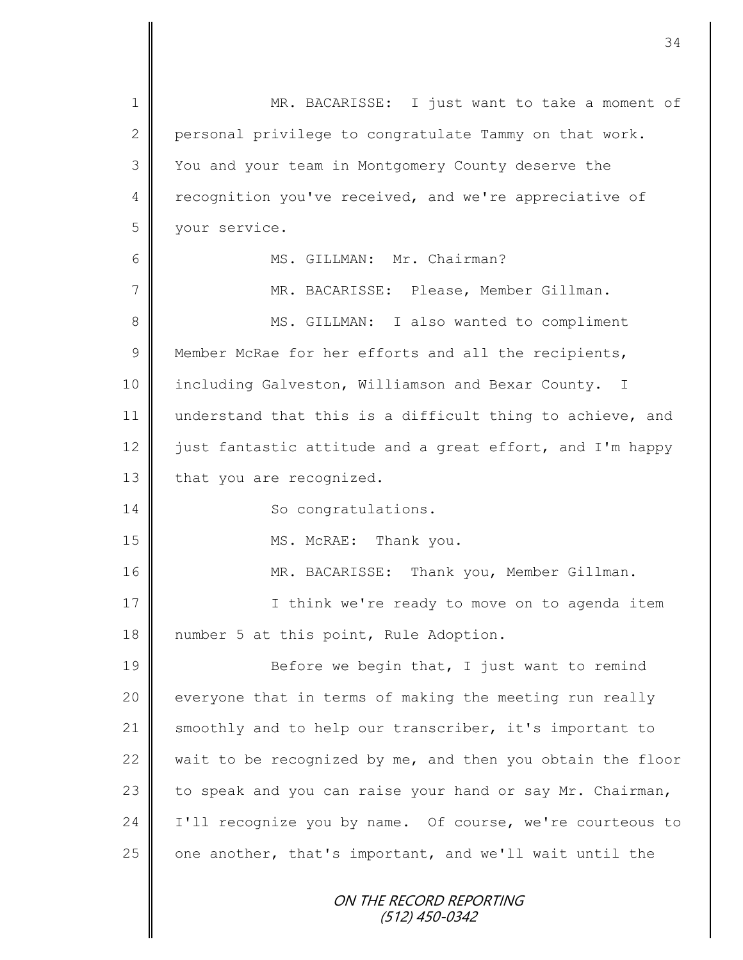ON THE RECORD REPORTING (512) 450-0342 1 || MR. BACARISSE: I just want to take a moment of 2 personal privilege to congratulate Tammy on that work. 3 You and your team in Montgomery County deserve the 4 recognition you've received, and we're appreciative of 5 your service. 6 MS. GILLMAN: Mr. Chairman? 7 MR. BACARISSE: Please, Member Gillman. 8 || MS. GILLMAN: I also wanted to compliment 9 Member McRae for her efforts and all the recipients, 10 | including Galveston, Williamson and Bexar County. I 11 understand that this is a difficult thing to achieve, and 12 | just fantastic attitude and a great effort, and I'm happy 13 that you are recognized. 14 So congratulations. 15 || MS. McRAE: Thank you. 16 | MR. BACARISSE: Thank you, Member Gillman. 17 || **I** think we're ready to move on to agenda item 18 || number 5 at this point, Rule Adoption. 19 Before we begin that, I just want to remind  $20$  everyone that in terms of making the meeting run really 21 smoothly and to help our transcriber, it's important to 22  $\parallel$  wait to be recognized by me, and then you obtain the floor 23  $\parallel$  to speak and you can raise your hand or say Mr. Chairman, 24 I'll recognize you by name. Of course, we're courteous to  $25$  one another, that's important, and we'll wait until the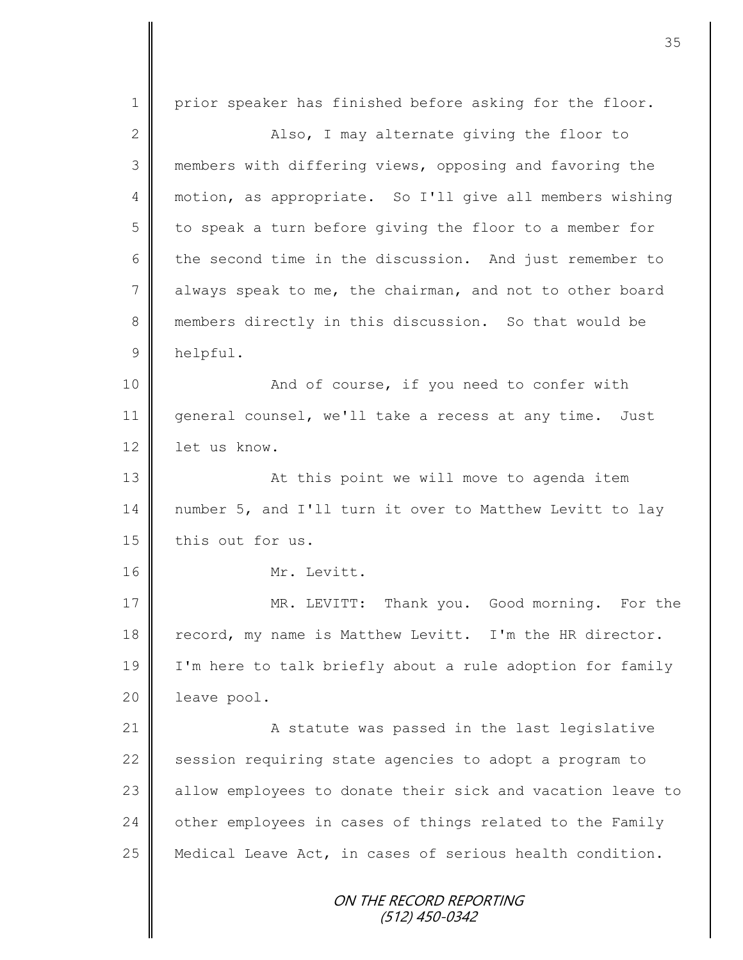ON THE RECORD REPORTING (512) 450-0342 1 prior speaker has finished before asking for the floor. 2 Also, I may alternate giving the floor to 3 members with differing views, opposing and favoring the 4 motion, as appropriate. So I'll give all members wishing  $5 \parallel$  to speak a turn before giving the floor to a member for 6 the second time in the discussion. And just remember to 7 always speak to me, the chairman, and not to other board 8 members directly in this discussion. So that would be 9 helpful. 10 || And of course, if you need to confer with 11 general counsel, we'll take a recess at any time. Just 12 | let us know. 13 || At this point we will move to agenda item 14 number 5, and I'll turn it over to Matthew Levitt to lay 15 this out for us. 16 Mr. Levitt. 17 | MR. LEVITT: Thank you. Good morning. For the 18 record, my name is Matthew Levitt. I'm the HR director. 19 I'm here to talk briefly about a rule adoption for family 20 | leave pool. 21 | A statute was passed in the last legislative 22 | session requiring state agencies to adopt a program to 23 allow employees to donate their sick and vacation leave to  $24$   $\parallel$  other employees in cases of things related to the Family 25 | Medical Leave Act, in cases of serious health condition.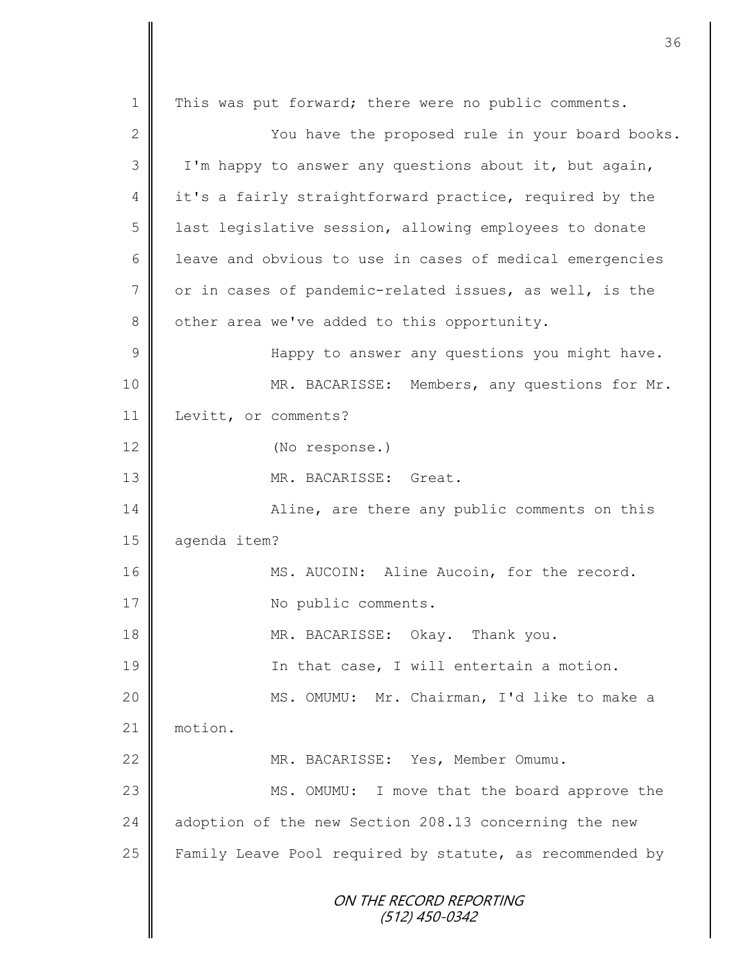ON THE RECORD REPORTING (512) 450-0342 1 | This was put forward; there were no public comments. 2 You have the proposed rule in your board books. 3 | I'm happy to answer any questions about it, but again, 4 it's a fairly straightforward practice, required by the 5 | last legislative session, allowing employees to donate  $6$  | leave and obvious to use in cases of medical emergencies 7 or in cases of pandemic-related issues, as well, is the 8 | other area we've added to this opportunity. 9 || Happy to answer any questions you might have. 10 | MR. BACARISSE: Members, any questions for Mr. 11 | Levitt, or comments? 12 (No response.) 13 MR. BACARISSE: Great. 14 | Aline, are there any public comments on this 15 | agenda item? 16 || MS. AUCOIN: Aline Aucoin, for the record. 17 | No public comments. 18 **MR. BACARISSE:** Okay. Thank you. 19 || In that case, I will entertain a motion. 20 MS. OMUMU: Mr. Chairman, I'd like to make a 21 | motion. 22 || MR. BACARISSE: Yes, Member Omumu. 23 || MS. OMUMU: I move that the board approve the 24 adoption of the new Section 208.13 concerning the new 25  $\parallel$  Family Leave Pool required by statute, as recommended by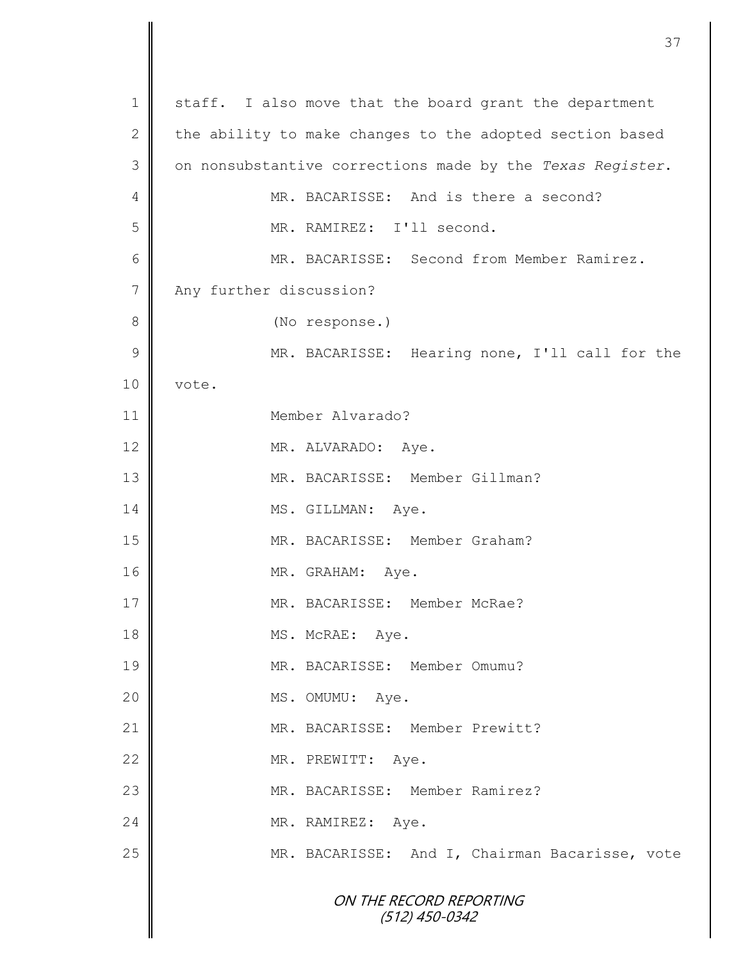| $\mathbf 1$    | staff. I also move that the board grant the department    |
|----------------|-----------------------------------------------------------|
| 2              | the ability to make changes to the adopted section based  |
| 3              | on nonsubstantive corrections made by the Texas Register. |
| 4              | MR. BACARISSE: And is there a second?                     |
| 5              | MR. RAMIREZ: I'll second.                                 |
| 6              | MR. BACARISSE: Second from Member Ramirez.                |
| $\overline{7}$ | Any further discussion?                                   |
| 8              | (No response.)                                            |
| 9              | MR. BACARISSE: Hearing none, I'll call for the            |
| 10             | vote.                                                     |
| 11             | Member Alvarado?                                          |
| 12             | MR. ALVARADO: Aye.                                        |
| 13             | MR. BACARISSE: Member Gillman?                            |
| 14             | MS. GILLMAN: Aye.                                         |
| 15             | MR. BACARISSE: Member Graham?                             |
| 16             | MR. GRAHAM: Aye.                                          |
| $17\,$         | MR. BACARISSE: Member McRae?                              |
| 18             | MS. McRAE: Aye.                                           |
| 19             | MR. BACARISSE: Member Omumu?                              |
| 20             | MS. OMUMU: Aye.                                           |
| 21             | MR. BACARISSE: Member Prewitt?                            |
| 22             | MR. PREWITT: Aye.                                         |
| 23             | MR. BACARISSE: Member Ramirez?                            |
| 24             | MR. RAMIREZ:<br>Aye.                                      |
| 25             | MR. BACARISSE: And I, Chairman Bacarisse, vote            |
|                | ON THE RECORD REPORTING<br>$(512)$ 450-0342               |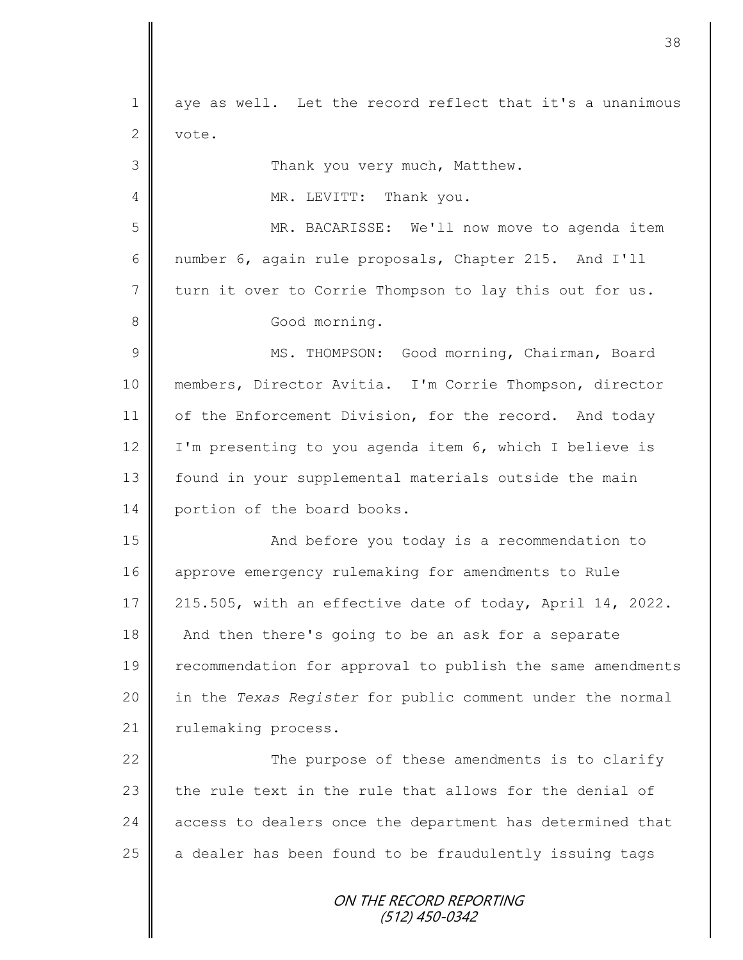ON THE RECORD REPORTING (512) 450-0342 1 aye as well. Let the record reflect that it's a unanimous 2 vote. 3 | Thank you very much, Matthew. 4 || MR. LEVITT: Thank you. 5 MR. BACARISSE: We'll now move to agenda item 6 mumber 6, again rule proposals, Chapter 215. And I'll 7 turn it over to Corrie Thompson to lay this out for us. 8 || Good morning. 9 || MS. THOMPSON: Good morning, Chairman, Board 10 members, Director Avitia. I'm Corrie Thompson, director 11 | of the Enforcement Division, for the record. And today 12 | I'm presenting to you agenda item 6, which I believe is 13 | found in your supplemental materials outside the main 14 portion of the board books. 15 | Chang and before you today is a recommendation to 16 approve emergency rulemaking for amendments to Rule 17 215.505, with an effective date of today, April 14, 2022. 18 And then there's going to be an ask for a separate 19 | recommendation for approval to publish the same amendments 20 in the *Texas Register* for public comment under the normal 21 | rulemaking process. 22 | The purpose of these amendments is to clarify 23  $\parallel$  the rule text in the rule that allows for the denial of 24 | access to dealers once the department has determined that  $25$  a dealer has been found to be fraudulently issuing tags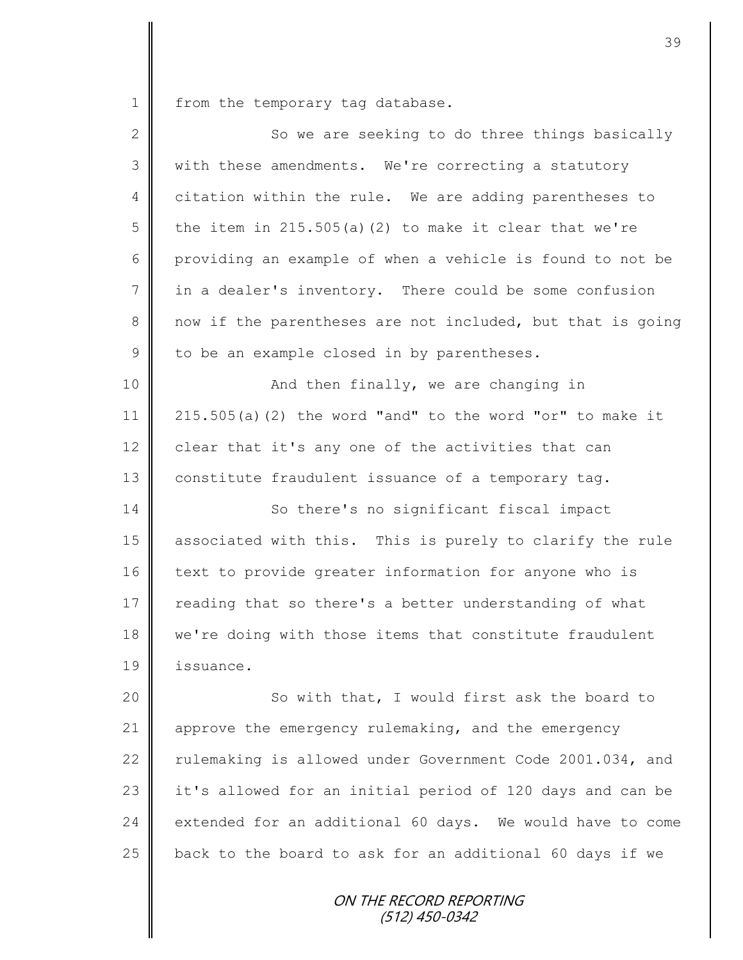1 from the temporary tag database.

| $\overline{2}$ | So we are seeking to do three things basically              |
|----------------|-------------------------------------------------------------|
| 3              | with these amendments. We're correcting a statutory         |
| 4              | citation within the rule. We are adding parentheses to      |
| 5              | the item in $215.505(a)$ (2) to make it clear that we're    |
| 6              | providing an example of when a vehicle is found to not be   |
| 7              | in a dealer's inventory. There could be some confusion      |
| 8              | now if the parentheses are not included, but that is going  |
| 9              | to be an example closed in by parentheses.                  |
| 10             | And then finally, we are changing in                        |
| 11             | $215.505(a)$ (2) the word "and" to the word "or" to make it |
| 12             | clear that it's any one of the activities that can          |
| 13             | constitute fraudulent issuance of a temporary tag.          |
| 14             | So there's no significant fiscal impact                     |
| 15             | associated with this. This is purely to clarify the rule    |
| 16             | text to provide greater information for anyone who is       |
| 17             | reading that so there's a better understanding of what      |
| 18             | we're doing with those items that constitute fraudulent     |
| 19             | issuance.                                                   |
| 20             | So with that, I would first ask the board to                |
| 21             | approve the emergency rulemaking, and the emergency         |
| 22             | rulemaking is allowed under Government Code 2001.034, and   |
| 23             | it's allowed for an initial period of 120 days and can be   |
| 24             | extended for an additional 60 days. We would have to come   |
| 25             | back to the board to ask for an additional 60 days if we    |
|                |                                                             |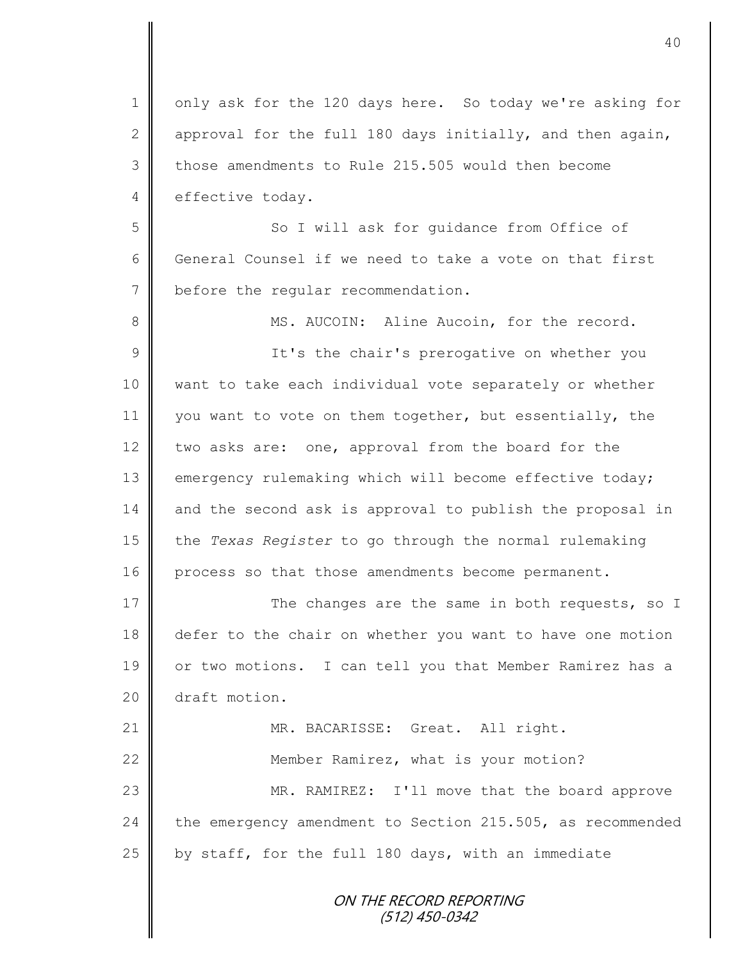1 | only ask for the 120 days here. So today we're asking for 2 approval for the full 180 days initially, and then again, 3 those amendments to Rule 215.505 would then become 4 effective today.

5 So I will ask for quidance from Office of 6 General Counsel if we need to take a vote on that first 7 before the regular recommendation.

8 || MS. AUCOIN: Aline Aucoin, for the record. 9 || It's the chair's prerogative on whether you 10 want to take each individual vote separately or whether 11 you want to vote on them together, but essentially, the 12 two asks are: one, approval from the board for the 13 emergency rulemaking which will become effective today; 14 and the second ask is approval to publish the proposal in 15 the *Texas Register* to go through the normal rulemaking 16 process so that those amendments become permanent.

17 The changes are the same in both requests, so I 18 defer to the chair on whether you want to have one motion 19 or two motions. I can tell you that Member Ramirez has a 20 draft motion.

21 | MR. BACARISSE: Great. All right. 22 **Member Ramirez, what is your motion?** 23 || MR. RAMIREZ: I'll move that the board approve 24 | the emergency amendment to Section 215.505, as recommended  $25$  by staff, for the full 180 days, with an immediate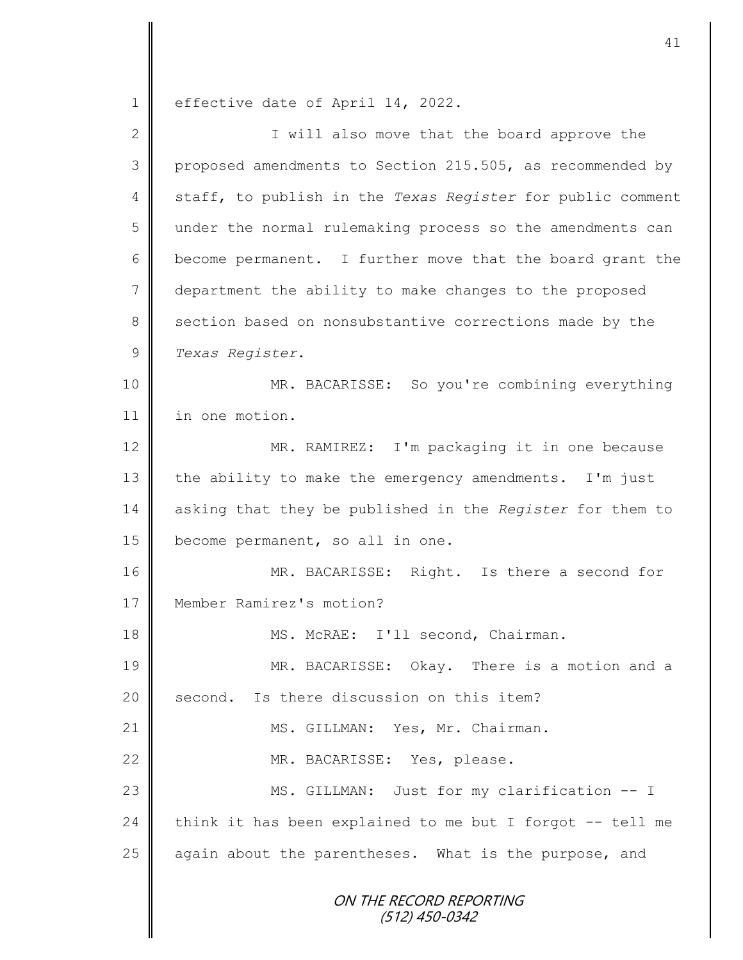1 effective date of April 14, 2022.

| $\overline{2}$ | I will also move that the board approve the                |
|----------------|------------------------------------------------------------|
| 3              | proposed amendments to Section 215.505, as recommended by  |
| 4              | staff, to publish in the Texas Register for public comment |
| 5              | under the normal rulemaking process so the amendments can  |
| 6              | become permanent. I further move that the board grant the  |
| 7              | department the ability to make changes to the proposed     |
| 8              | section based on nonsubstantive corrections made by the    |
| $\mathcal{G}$  | Texas Register.                                            |
| 10             | MR. BACARISSE: So you're combining everything              |
| 11             | in one motion.                                             |
| 12             | MR. RAMIREZ: I'm packaging it in one because               |
| 13             | the ability to make the emergency amendments. I'm just     |
| 14             | asking that they be published in the Register for them to  |
| 15             | become permanent, so all in one.                           |
| 16             | MR. BACARISSE: Right. Is there a second for                |
| 17             | Member Ramirez's motion?                                   |
| 18             | MS. McRAE: I'll second, Chairman.                          |
| 19             | MR. BACARISSE: Okay. There is a motion and a               |
| 20             | Is there discussion on this item?<br>second.               |
| 21             | MS. GILLMAN: Yes, Mr. Chairman.                            |
| 22             | MR. BACARISSE: Yes, please.                                |
| 23             | MS. GILLMAN: Just for my clarification -- I                |
| 24             | think it has been explained to me but I forgot -- tell me  |
| 25             | again about the parentheses. What is the purpose, and      |
|                | ON THE RECORD REPORTING<br>(512) 450-0342                  |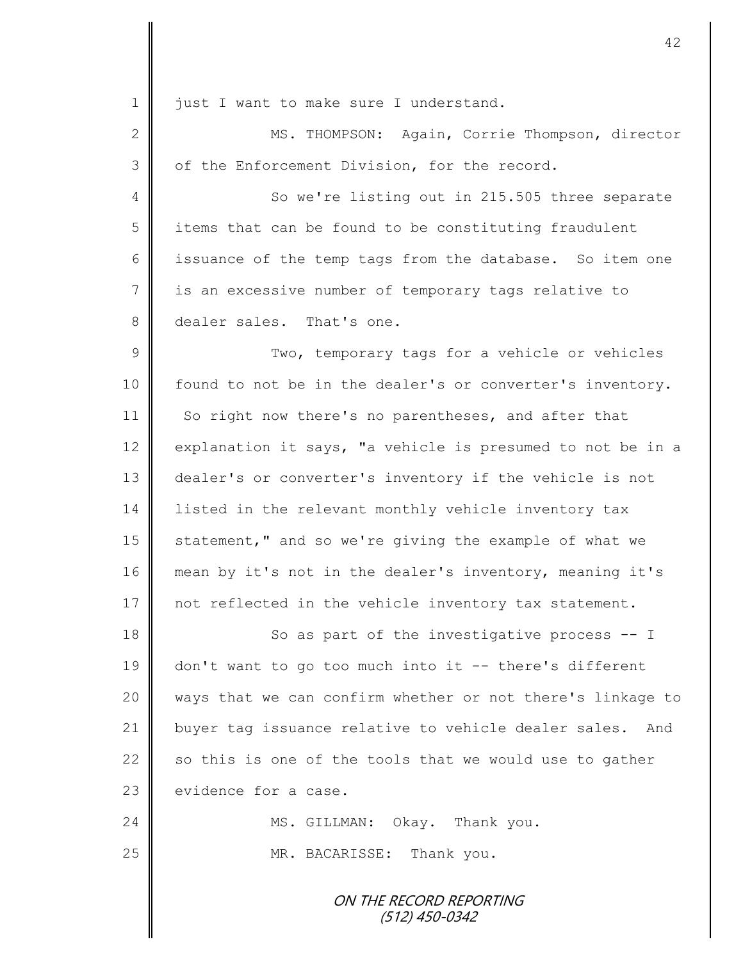1 just I want to make sure I understand.

2 || MS. THOMPSON: Again, Corrie Thompson, director 3 of the Enforcement Division, for the record.

4 So we're listing out in 215.505 three separate 5 items that can be found to be constituting fraudulent 6 issuance of the temp tags from the database. So item one 7 | is an excessive number of temporary tags relative to 8 dealer sales. That's one.

9 || Two, temporary tags for a vehicle or vehicles 10 | found to not be in the dealer's or converter's inventory. 11 So right now there's no parentheses, and after that 12 explanation it says, "a vehicle is presumed to not be in a 13 dealer's or converter's inventory if the vehicle is not 14 | listed in the relevant monthly vehicle inventory tax 15 statement," and so we're giving the example of what we 16 mean by it's not in the dealer's inventory, meaning it's 17 not reflected in the vehicle inventory tax statement.

18 || So as part of the investigative process -- I 19 don't want to go too much into it -- there's different 20 || ways that we can confirm whether or not there's linkage to 21 buyer tag issuance relative to vehicle dealer sales. And 22  $\parallel$  so this is one of the tools that we would use to gather  $23$   $\parallel$  evidence for a case.

24 || MS. GILLMAN: Okay. Thank you. 25 || MR. BACARISSE: Thank you.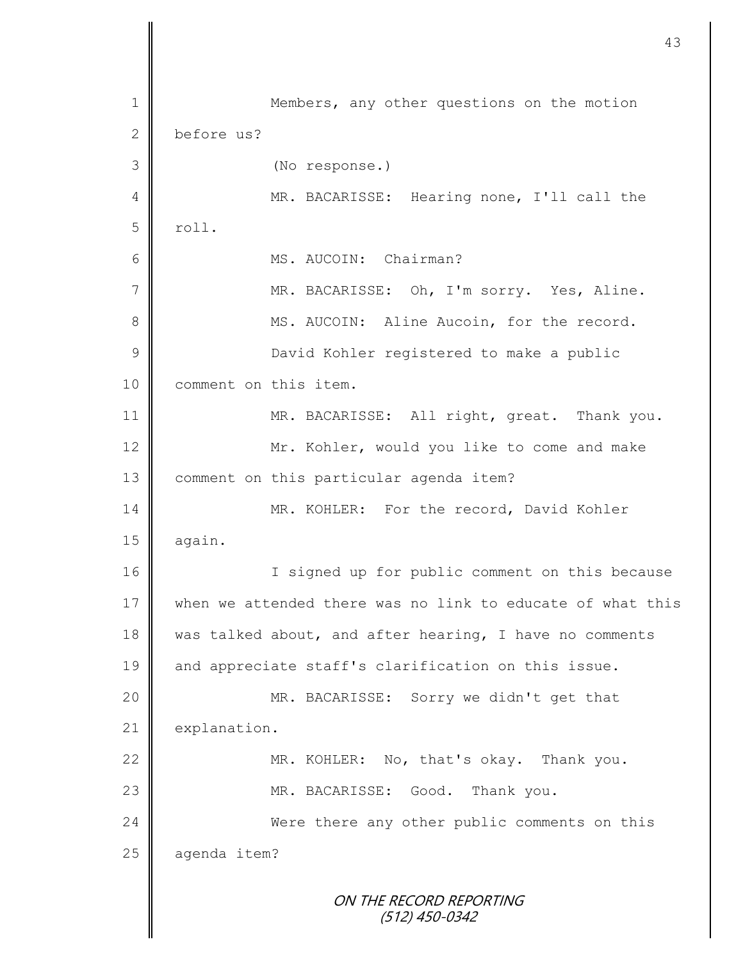ON THE RECORD REPORTING (512) 450-0342 1 Members, any other questions on the motion 2 before us? 3 (No response.) 4 || MR. BACARISSE: Hearing none, I'll call the  $5$  roll. 6 MS. AUCOIN: Chairman? 7 || MR. BACARISSE: Oh, I'm sorry. Yes, Aline. 8 MS. AUCOIN: Aline Aucoin, for the record. 9 || David Kohler registered to make a public 10 | comment on this item. 11 || MR. BACARISSE: All right, great. Thank you. 12 Mr. Kohler, would you like to come and make 13 | comment on this particular agenda item? 14 || MR. KOHLER: For the record, David Kohler  $15$  again. 16 | T signed up for public comment on this because 17 when we attended there was no link to educate of what this 18 was talked about, and after hearing, I have no comments 19 and appreciate staff's clarification on this issue. 20 MR. BACARISSE: Sorry we didn't get that 21 explanation. 22 MR. KOHLER: No, that's okay. Thank you. 23 MR. BACARISSE: Good. Thank you. 24 Were there any other public comments on this 25 aqenda item?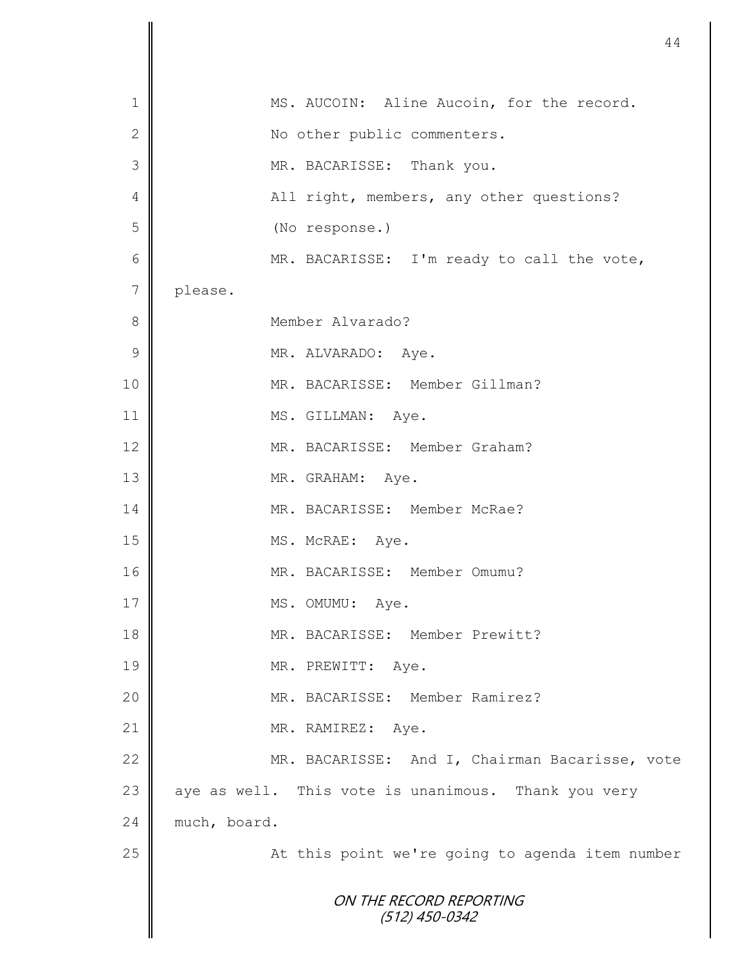|                 |                                                     | 44 |
|-----------------|-----------------------------------------------------|----|
| $\mathbf 1$     | MS. AUCOIN: Aline Aucoin, for the record.           |    |
| $\mathbf{2}$    | No other public commenters.                         |    |
| 3               | MR. BACARISSE: Thank you.                           |    |
| 4               | All right, members, any other questions?            |    |
| 5               | (No response.)                                      |    |
| $6\phantom{1}6$ | MR. BACARISSE: I'm ready to call the vote,          |    |
| $\overline{7}$  | please.                                             |    |
| 8               | Member Alvarado?                                    |    |
| 9               | MR. ALVARADO: Aye.                                  |    |
| 10              | MR. BACARISSE: Member Gillman?                      |    |
| 11              | MS. GILLMAN: Aye.                                   |    |
| 12              | MR. BACARISSE: Member Graham?                       |    |
| 13              | MR. GRAHAM: Aye.                                    |    |
| 14              | MR. BACARISSE: Member McRae?                        |    |
| 15              | MS. McRAE: Aye.                                     |    |
| 16              | MR. BACARISSE: Member Omumu?                        |    |
| 17              | MS. OMUMU: Aye.                                     |    |
| 18              | MR. BACARISSE: Member Prewitt?                      |    |
| 19              | MR. PREWITT: Aye.                                   |    |
| 20              | MR. BACARISSE: Member Ramirez?                      |    |
| 21              | MR. RAMIREZ:<br>Aye.                                |    |
| 22              | MR. BACARISSE: And I, Chairman Bacarisse, vote      |    |
| 23              | aye as well. This vote is unanimous. Thank you very |    |
| 24              | much, board.                                        |    |
| 25              | At this point we're going to agenda item number     |    |
|                 | ON THE RECORD REPORTING<br>$(512)$ 450-0342         |    |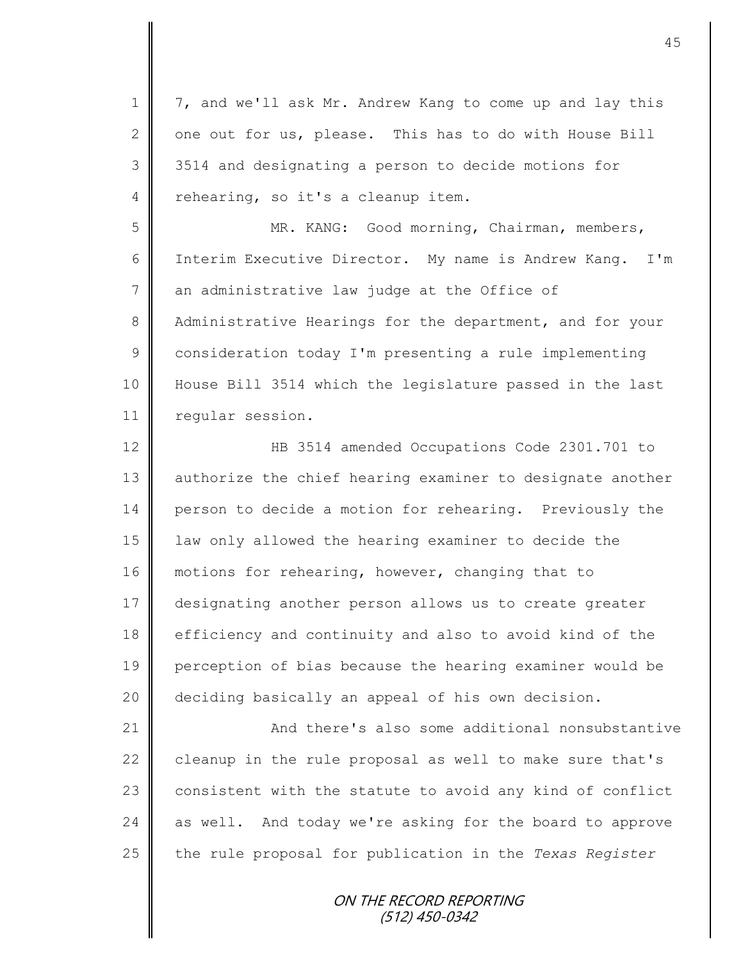1 | 7, and we'll ask Mr. Andrew Kang to come up and lay this 2  $\parallel$  one out for us, please. This has to do with House Bill 3 3514 and designating a person to decide motions for 4 rehearing, so it's a cleanup item.

5 MR. KANG: Good morning, Chairman, members, 6 Interim Executive Director. My name is Andrew Kang. I'm 7 an administrative law judge at the Office of 8 Administrative Hearings for the department, and for your 9 | consideration today I'm presenting a rule implementing 10 House Bill 3514 which the legislature passed in the last 11 | regular session.

12 | HB 3514 amended Occupations Code 2301.701 to 13 | authorize the chief hearing examiner to designate another 14 person to decide a motion for rehearing. Previously the 15 law only allowed the hearing examiner to decide the 16 motions for rehearing, however, changing that to 17 designating another person allows us to create greater 18 efficiency and continuity and also to avoid kind of the 19 perception of bias because the hearing examiner would be 20 deciding basically an appeal of his own decision.

21 **And there's also some additional nonsubstantive** 22  $\parallel$  cleanup in the rule proposal as well to make sure that's  $23$  consistent with the statute to avoid any kind of conflict 24 as well. And today we're asking for the board to approve 25 the rule proposal for publication in the *Texas Register*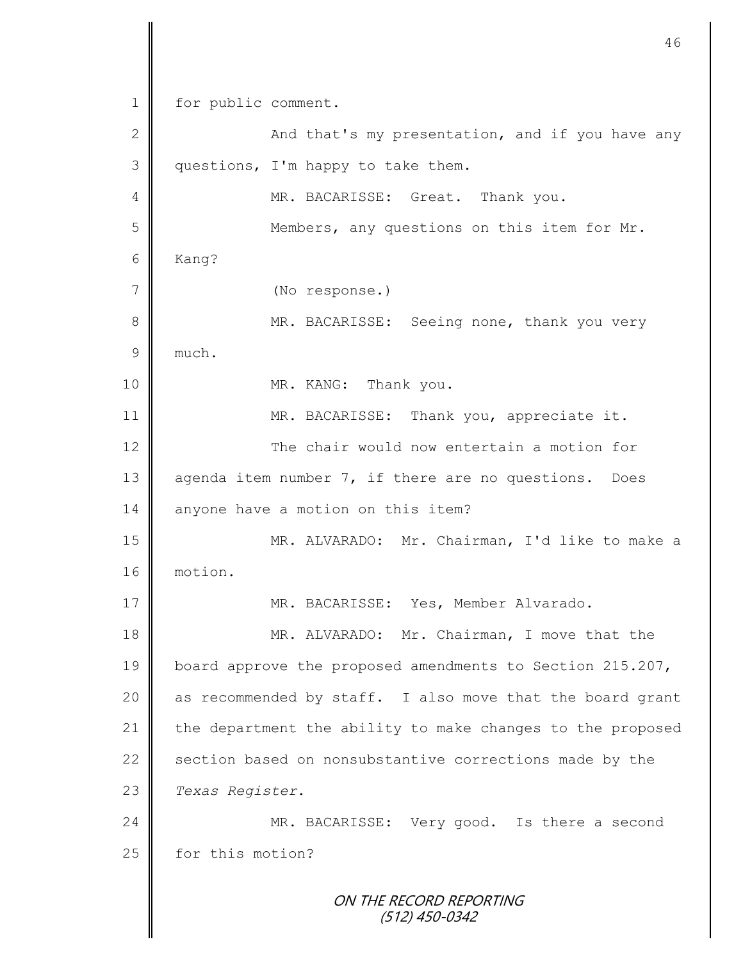ON THE RECORD REPORTING (512) 450-0342 1 | for public comment. 2 And that's my presentation, and if you have any 3 questions, I'm happy to take them. 4 MR. BACARISSE: Great. Thank you. 5 || Members, any questions on this item for Mr. 6 Kang? 7 (No response.) 8 MR. BACARISSE: Seeing none, thank you very 9 much. 10 MR. KANG: Thank you. 11 | MR. BACARISSE: Thank you, appreciate it. 12 The chair would now entertain a motion for 13 agenda item number 7, if there are no questions. Does 14 anyone have a motion on this item? 15 MR. ALVARADO: Mr. Chairman, I'd like to make a 16 motion. 17 || MR. BACARISSE: Yes, Member Alvarado. 18 MR. ALVARADO: Mr. Chairman, I move that the 19 board approve the proposed amendments to Section 215.207, 20  $\parallel$  as recommended by staff. I also move that the board grant 21  $\parallel$  the department the ability to make changes to the proposed 22  $\parallel$  section based on nonsubstantive corrections made by the 23 *Texas Register*. 24 MR. BACARISSE: Very good. Is there a second 25 for this motion?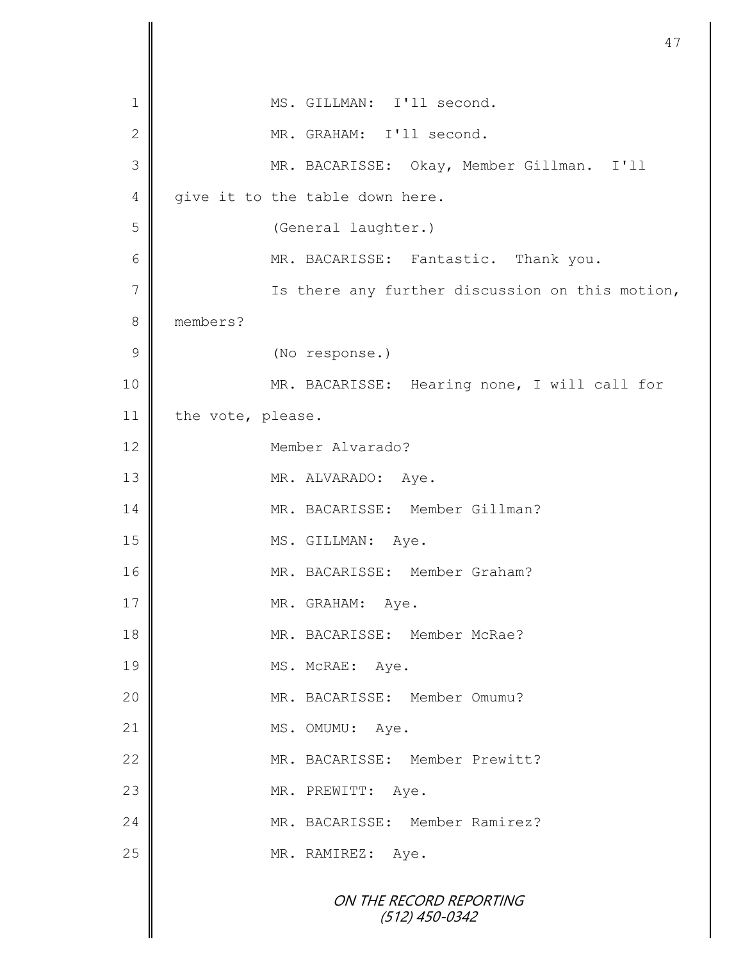| 1             | MS. GILLMAN: I'll second.                       |
|---------------|-------------------------------------------------|
| $\mathbf{2}$  | MR. GRAHAM: I'll second.                        |
| 3             | MR. BACARISSE: Okay, Member Gillman. I'll       |
| 4             | give it to the table down here.                 |
| 5             | (General laughter.)                             |
| 6             | MR. BACARISSE: Fantastic. Thank you.            |
| 7             | Is there any further discussion on this motion, |
| $8\,$         | members?                                        |
| $\mathcal{G}$ | (No response.)                                  |
| 10            | MR. BACARISSE: Hearing none, I will call for    |
| 11            | the vote, please.                               |
| 12            | Member Alvarado?                                |
| 13            | MR. ALVARADO: Aye.                              |
| 14            | MR. BACARISSE: Member Gillman?                  |
| 15            | MS. GILLMAN: Aye.                               |
| 16            | MR. BACARISSE: Member Graham?                   |
| $17$          | MR. GRAHAM: Aye.                                |
| 18            | MR. BACARISSE: Member McRae?                    |
| 19            | MS. McRAE: Aye.                                 |
| 20            | MR. BACARISSE: Member Omumu?                    |
| 21            | MS. OMUMU: Aye.                                 |
| 22            | MR. BACARISSE: Member Prewitt?                  |
| 23            | MR. PREWITT: Aye.                               |
| 24            | MR. BACARISSE: Member Ramirez?                  |
| 25            | MR. RAMIREZ: Aye.                               |
|               | ON THE RECORD REPORTING<br>$(512)$ 450-0342     |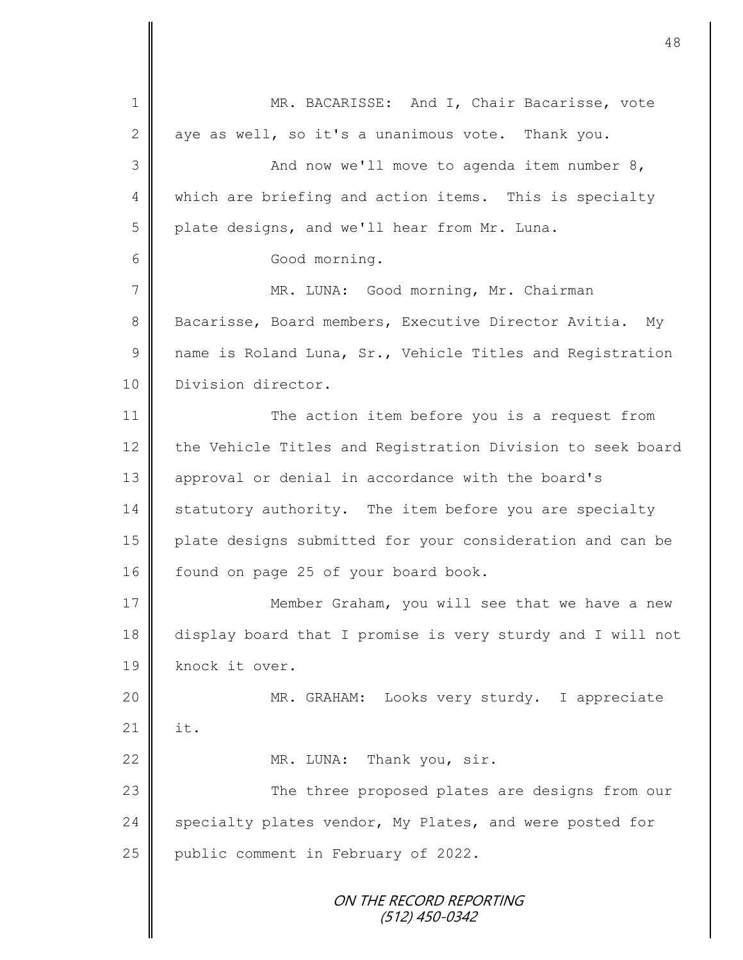ON THE RECORD REPORTING (512) 450-0342 1 || MR. BACARISSE: And I, Chair Bacarisse, vote 2 aye as well, so it's a unanimous vote. Thank you. 3 || And now we'll move to agenda item number 8, 4 | which are briefing and action items. This is specialty 5 plate designs, and we'll hear from Mr. Luna. 6 Good morning. 7 MR. LUNA: Good morning, Mr. Chairman 8 Bacarisse, Board members, Executive Director Avitia. My 9 mame is Roland Luna, Sr., Vehicle Titles and Registration 10 Division director. 11 The action item before you is a request from 12 the Vehicle Titles and Registration Division to seek board 13 || approval or denial in accordance with the board's 14 statutory authority. The item before you are specialty 15 plate designs submitted for your consideration and can be 16 found on page 25 of your board book. 17 **Member Graham,** you will see that we have a new 18 display board that I promise is very sturdy and I will not 19 knock it over. 20 MR. GRAHAM: Looks very sturdy. I appreciate  $21$   $\parallel$  it. 22 MR. LUNA: Thank you, sir. 23 | The three proposed plates are designs from our 24 specialty plates vendor, My Plates, and were posted for 25 | public comment in February of 2022.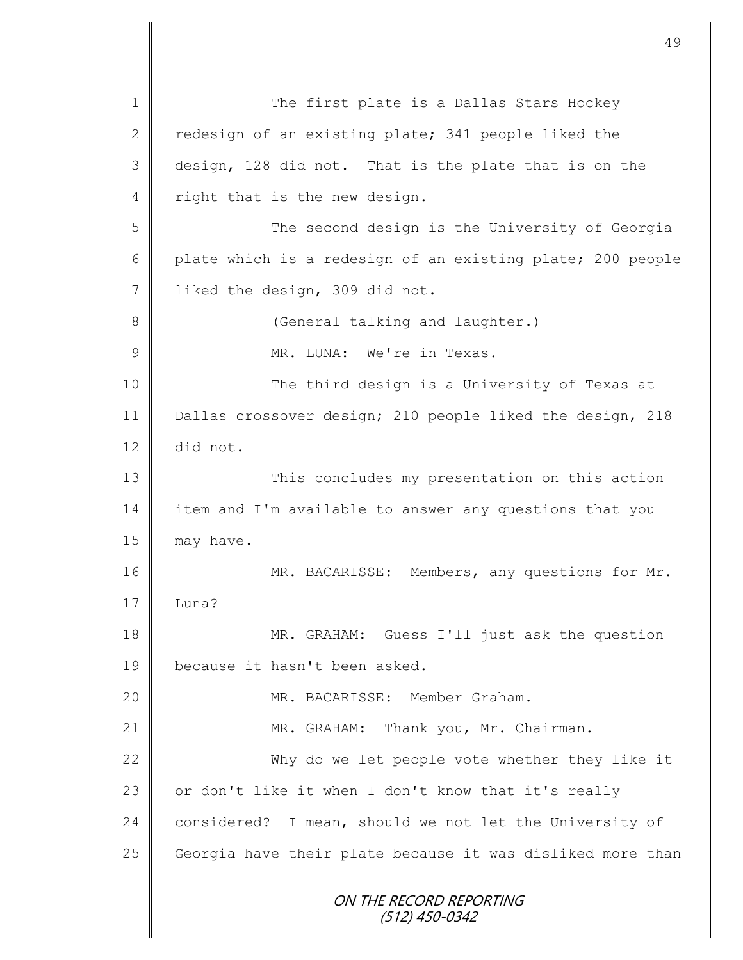ON THE RECORD REPORTING (512) 450-0342 1 The first plate is a Dallas Stars Hockey 2 redesign of an existing plate; 341 people liked the 3 design, 128 did not. That is the plate that is on the 4 right that is the new design. 5 || The second design is the University of Georgia 6 plate which is a redesign of an existing plate; 200 people 7 | liked the design, 309 did not. 8 || (General talking and laughter.) 9 MR. LUNA: We're in Texas. 10 The third design is a University of Texas at 11 Dallas crossover design; 210 people liked the design, 218 12 did not. 13 || This concludes my presentation on this action 14 item and I'm available to answer any questions that you  $15$  may have. 16 MR. BACARISSE: Members, any questions for Mr.  $17 \parallel$  Luna? 18 MR. GRAHAM: Guess I'll just ask the question 19 | because it hasn't been asked. 20 MR. BACARISSE: Member Graham. 21 | MR. GRAHAM: Thank you, Mr. Chairman. 22 Why do we let people vote whether they like it 23 | or don't like it when I don't know that it's really 24 considered? I mean, should we not let the University of 25 Georgia have their plate because it was disliked more than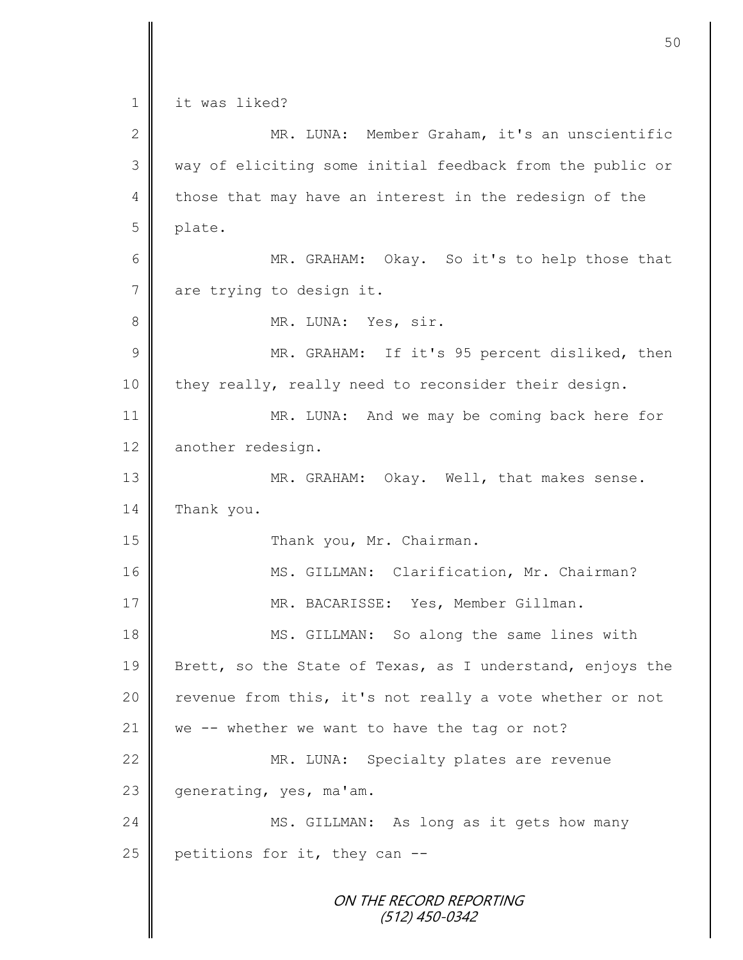ON THE RECORD REPORTING (512) 450-0342 1 it was liked? 2 MR. LUNA: Member Graham, it's an unscientific 3 || way of eliciting some initial feedback from the public or  $4 \parallel$  those that may have an interest in the redesign of the 5 plate. 6 || MR. GRAHAM: Okay. So it's to help those that 7 are trying to design it. 8 || MR. LUNA: Yes, sir. 9 || MR. GRAHAM: If it's 95 percent disliked, then 10 they really, really need to reconsider their design. 11 || MR. LUNA: And we may be coming back here for 12 another redesign. 13 MR. GRAHAM: Okay. Well, that makes sense. 14 Thank you. 15 || Thank you, Mr. Chairman. 16 || MS. GILLMAN: Clarification, Mr. Chairman? 17 | MR. BACARISSE: Yes, Member Gillman. 18 || MS. GILLMAN: So along the same lines with 19 Brett, so the State of Texas, as I understand, enjoys the  $20$  revenue from this, it's not really a vote whether or not 21  $\parallel$  we -- whether we want to have the tag or not? 22 MR. LUNA: Specialty plates are revenue 23  $\parallel$  generating, yes, ma'am. 24 MS. GILLMAN: As long as it gets how many 25 petitions for it, they can  $-$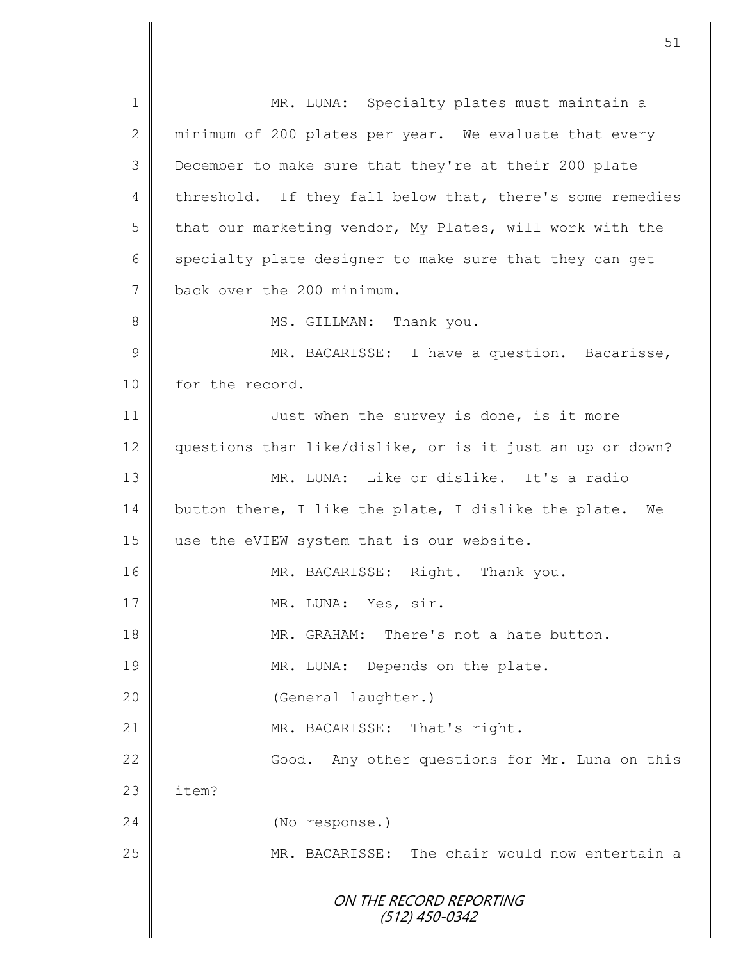ON THE RECORD REPORTING (512) 450-0342 1 MR. LUNA: Specialty plates must maintain a 2 minimum of 200 plates per year. We evaluate that every 3 December to make sure that they're at their 200 plate 4 threshold. If they fall below that, there's some remedies  $5 \parallel$  that our marketing vendor, My Plates, will work with the  $6 \parallel$  specialty plate designer to make sure that they can get 7 back over the 200 minimum. 8 | MS. GILLMAN: Thank you. 9 || MR. BACARISSE: I have a question. Bacarisse, 10 for the record. 11 | Just when the survey is done, is it more 12 questions than like/dislike, or is it just an up or down? 13 MR. LUNA: Like or dislike. It's a radio 14 button there, I like the plate, I dislike the plate. We 15 | use the eVIEW system that is our website. 16 | MR. BACARISSE: Right. Thank you. 17 NR. LUNA: Yes, sir. 18 MR. GRAHAM: There's not a hate button. 19 | MR. LUNA: Depends on the plate. 20 (General laughter.) 21 || MR. BACARISSE: That's right. 22 | Good. Any other questions for Mr. Luna on this  $23 \parallel$  item? 24 (No response.) 25 MR. BACARISSE: The chair would now entertain a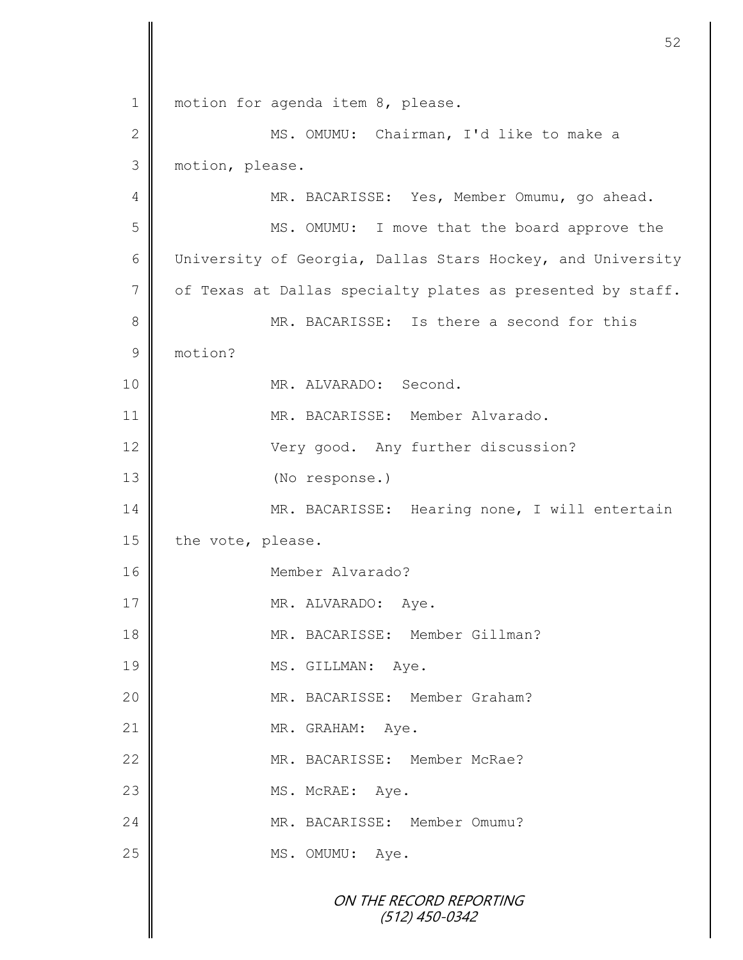ON THE RECORD REPORTING (512) 450-0342 1 | motion for agenda item 8, please. 2 || MS. OMUMU: Chairman, I'd like to make a 3 motion, please. 4 MR. BACARISSE: Yes, Member Omumu, go ahead. 5 || MS. OMUMU: I move that the board approve the 6 University of Georgia, Dallas Stars Hockey, and University 7 of Texas at Dallas specialty plates as presented by staff. 8 MR. BACARISSE: Is there a second for this 9 motion? 10 NR. ALVARADO: Second. 11 MR. BACARISSE: Member Alvarado. 12 Very good. Any further discussion? 13 (No response.) 14 | MR. BACARISSE: Hearing none, I will entertain 15 the vote, please. 16 || Member Alvarado? 17 || MR. ALVARADO: Aye. 18 | MR. BACARISSE: Member Gillman? 19 MS. GILLMAN: Aye. 20 || MR. BACARISSE: Member Graham? 21 MR. GRAHAM: Aye. 22 MR. BACARISSE: Member McRae? 23 MS. McRAE: Aye. 24 MR. BACARISSE: Member Omumu? 25 MS. OMUMU: Aye.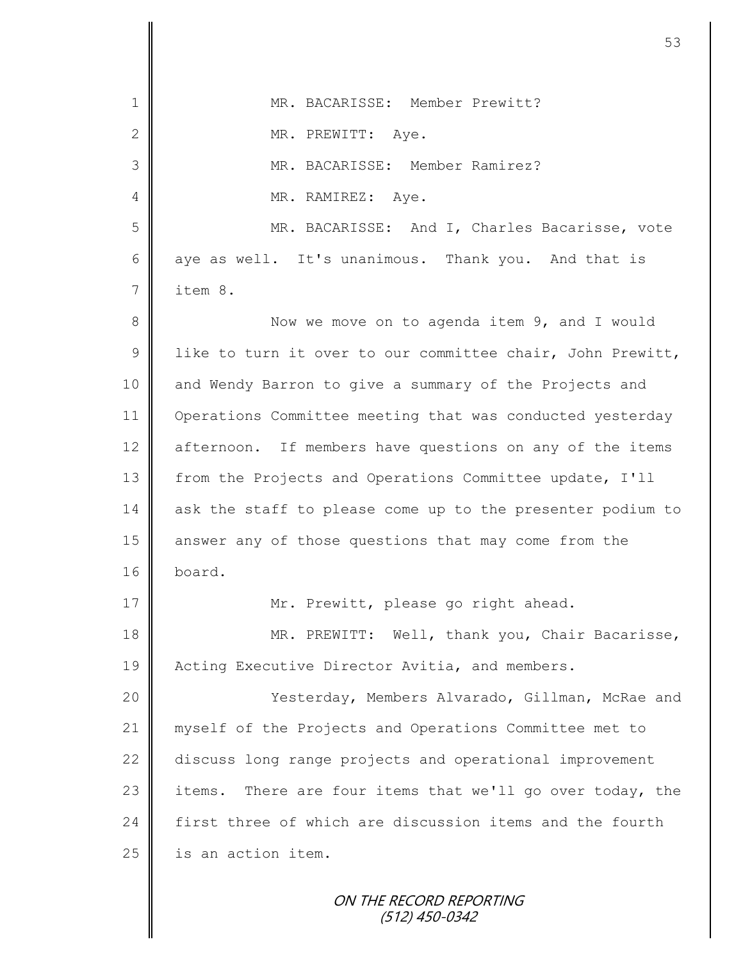| $\mathbf 1$     | MR. BACARISSE: Member Prewitt?                               |
|-----------------|--------------------------------------------------------------|
| 2               | MR. PREWITT: Aye.                                            |
| 3               | MR. BACARISSE: Member Ramirez?                               |
| 4               | MR. RAMIREZ: Aye.                                            |
| 5               | MR. BACARISSE: And I, Charles Bacarisse, vote                |
| 6               | aye as well. It's unanimous. Thank you. And that is          |
| $7\phantom{.0}$ | item 8.                                                      |
| $8\,$           | Now we move on to agenda item 9, and I would                 |
| $\mathcal{G}$   | like to turn it over to our committee chair, John Prewitt,   |
| 10              | and Wendy Barron to give a summary of the Projects and       |
| 11              | Operations Committee meeting that was conducted yesterday    |
| 12              | afternoon. If members have questions on any of the items     |
| 13              | from the Projects and Operations Committee update, I'll      |
| 14              | ask the staff to please come up to the presenter podium to   |
| 15              | answer any of those questions that may come from the         |
| 16              | board.                                                       |
| 17              | Mr. Prewitt, please go right ahead.                          |
| 18              | MR. PREWITT: Well, thank you, Chair Bacarisse,               |
| 19              | Acting Executive Director Avitia, and members.               |
| 20              | Yesterday, Members Alvarado, Gillman, McRae and              |
| 21              | myself of the Projects and Operations Committee met to       |
| 22              | discuss long range projects and operational improvement      |
| 23              | There are four items that we'll go over today, the<br>items. |
| 24              | first three of which are discussion items and the fourth     |
| 25              | is an action item.                                           |
|                 |                                                              |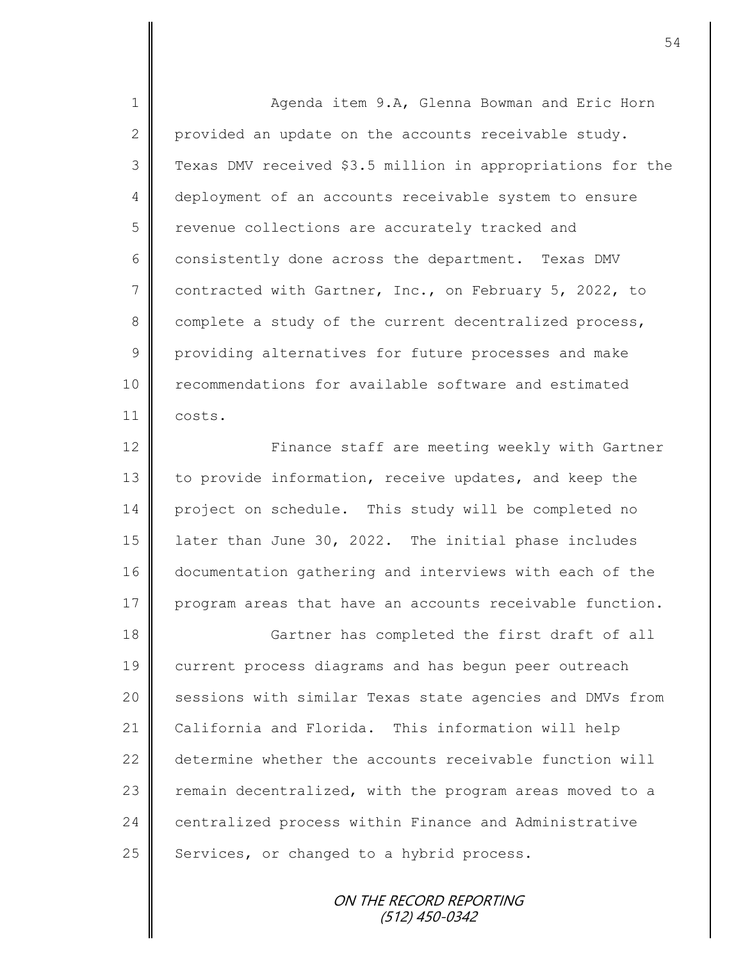1 Agenda item 9.A, Glenna Bowman and Eric Horn 2 provided an update on the accounts receivable study. 3 Texas DMV received \$3.5 million in appropriations for the 4 deployment of an accounts receivable system to ensure 5 | revenue collections are accurately tracked and  $6 \parallel$  consistently done across the department. Texas DMV 7 contracted with Gartner, Inc., on February 5, 2022, to 8 complete a study of the current decentralized process, 9 providing alternatives for future processes and make 10 **F** recommendations for available software and estimated 11 costs.

12 ||<br>
Finance staff are meeting weekly with Gartner 13 to provide information, receive updates, and keep the 14 project on schedule. This study will be completed no 15 | later than June 30, 2022. The initial phase includes 16 documentation gathering and interviews with each of the 17 program areas that have an accounts receivable function.

18 Gartner has completed the first draft of all 19 current process diagrams and has begun peer outreach 20 Sessions with similar Texas state agencies and DMVs from 21 California and Florida. This information will help 22 determine whether the accounts receivable function will 23 | remain decentralized, with the program areas moved to a 24 centralized process within Finance and Administrative 25 Services, or changed to a hybrid process.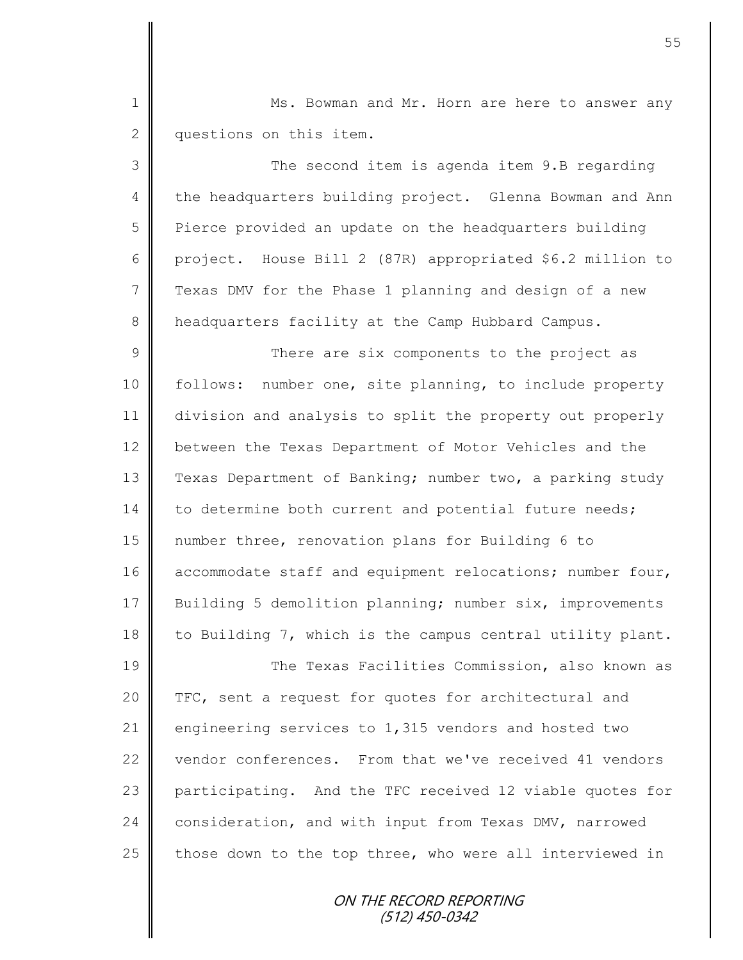1 Ms. Bowman and Mr. Horn are here to answer any 2 questions on this item.

3 The second item is agenda item 9.B regarding 4 the headquarters building project. Glenna Bowman and Ann 5 | Pierce provided an update on the headquarters building 6 project. House Bill 2 (87R) appropriated \$6.2 million to  $7 \parallel$  Texas DMV for the Phase 1 planning and design of a new 8 headquarters facility at the Camp Hubbard Campus.

9 || There are six components to the project as 10 | follows: number one, site planning, to include property 11 division and analysis to split the property out properly 12 between the Texas Department of Motor Vehicles and the 13 Texas Department of Banking; number two, a parking study 14 to determine both current and potential future needs; 15 number three, renovation plans for Building 6 to 16 accommodate staff and equipment relocations; number four, 17 Building 5 demolition planning; number six, improvements 18 | to Building 7, which is the campus central utility plant.

19 The Texas Facilities Commission, also known as 20 TFC, sent a request for quotes for architectural and 21 engineering services to 1,315 vendors and hosted two 22 vendor conferences. From that we've received 41 vendors 23 participating. And the TFC received 12 viable quotes for 24 consideration, and with input from Texas DMV, narrowed 25  $\parallel$  those down to the top three, who were all interviewed in

> ON THE RECORD REPORTING (512) 450-0342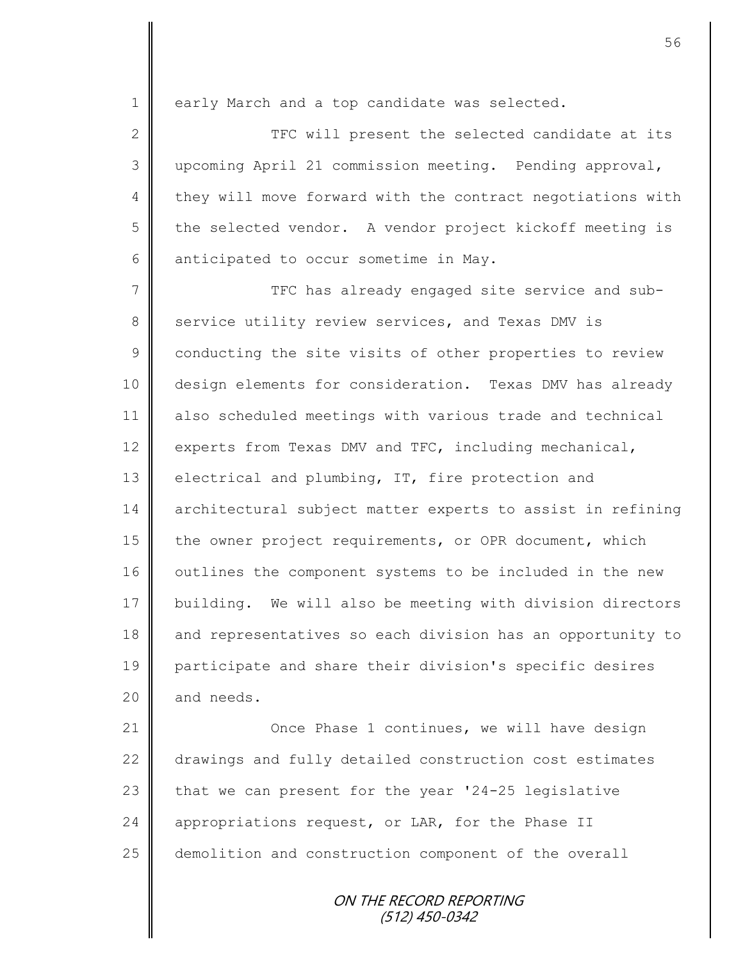1 early March and a top candidate was selected.

2 || TFC will present the selected candidate at its 3 upcoming April 21 commission meeting. Pending approval, 4 they will move forward with the contract negotiations with  $5 \parallel$  the selected vendor. A vendor project kickoff meeting is 6 anticipated to occur sometime in May.

7  $\parallel$  TFC has already engaged site service and sub-8 service utility review services, and Texas DMV is 9 conducting the site visits of other properties to review 10 design elements for consideration. Texas DMV has already 11 also scheduled meetings with various trade and technical 12 experts from Texas DMV and TFC, including mechanical, 13 electrical and plumbing, IT, fire protection and 14 architectural subject matter experts to assist in refining 15 the owner project requirements, or OPR document, which 16 | outlines the component systems to be included in the new 17 building. We will also be meeting with division directors 18 and representatives so each division has an opportunity to 19 participate and share their division's specific desires  $20$  and needs.

21 **Once Phase 1 continues, we will have design** 22 drawings and fully detailed construction cost estimates 23 that we can present for the year  $124-25$  legislative 24 appropriations request, or LAR, for the Phase II 25 demolition and construction component of the overall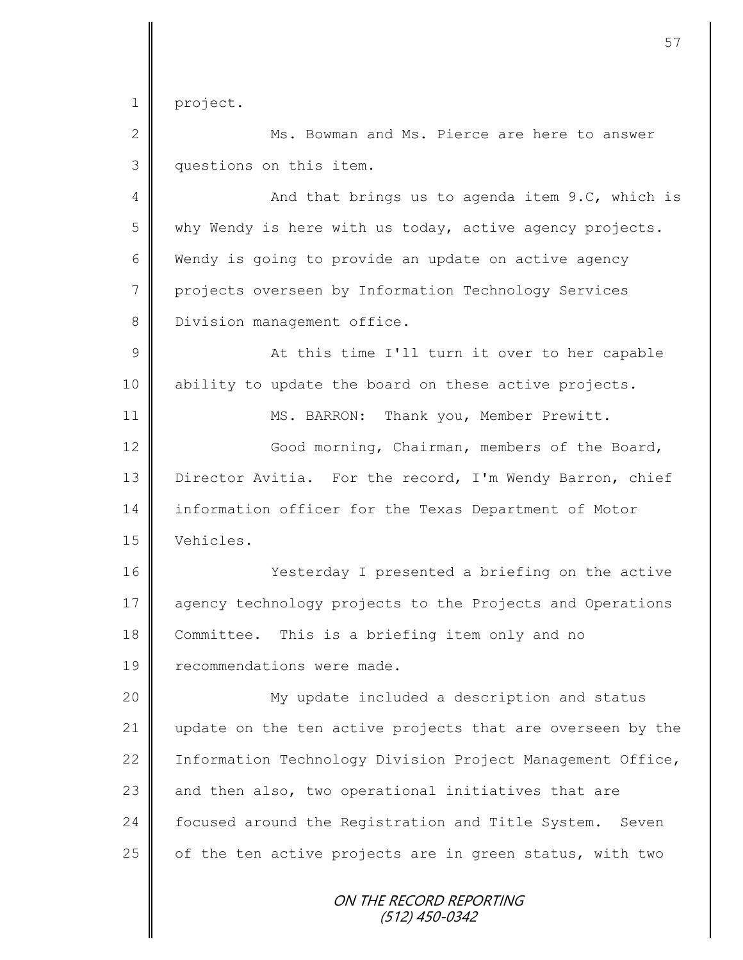1 | project.

2 || Ms. Bowman and Ms. Pierce are here to answer 3 questions on this item.

4 And that brings us to agenda item 9.C, which is  $5 \parallel$  why Wendy is here with us today, active agency projects. 6 Wendy is going to provide an update on active agency 7 projects overseen by Information Technology Services 8 | Division management office.

9 || At this time I'll turn it over to her capable 10 | ability to update the board on these active projects.

11 | MS. BARRON: Thank you, Member Prewitt.

12 | Good morning, Chairman, members of the Board, 13 | Director Avitia. For the record, I'm Wendy Barron, chief 14 information officer for the Texas Department of Motor

15 Vehicles.

16 | Yesterday I presented a briefing on the active 17 agency technology projects to the Projects and Operations 18 Committee. This is a briefing item only and no 19 **I** recommendations were made.

20 | My update included a description and status 21 update on the ten active projects that are overseen by the 22 | Information Technology Division Project Management Office,  $23$  and then also, two operational initiatives that are 24 Focused around the Registration and Title System. Seven 25  $\parallel$  of the ten active projects are in green status, with two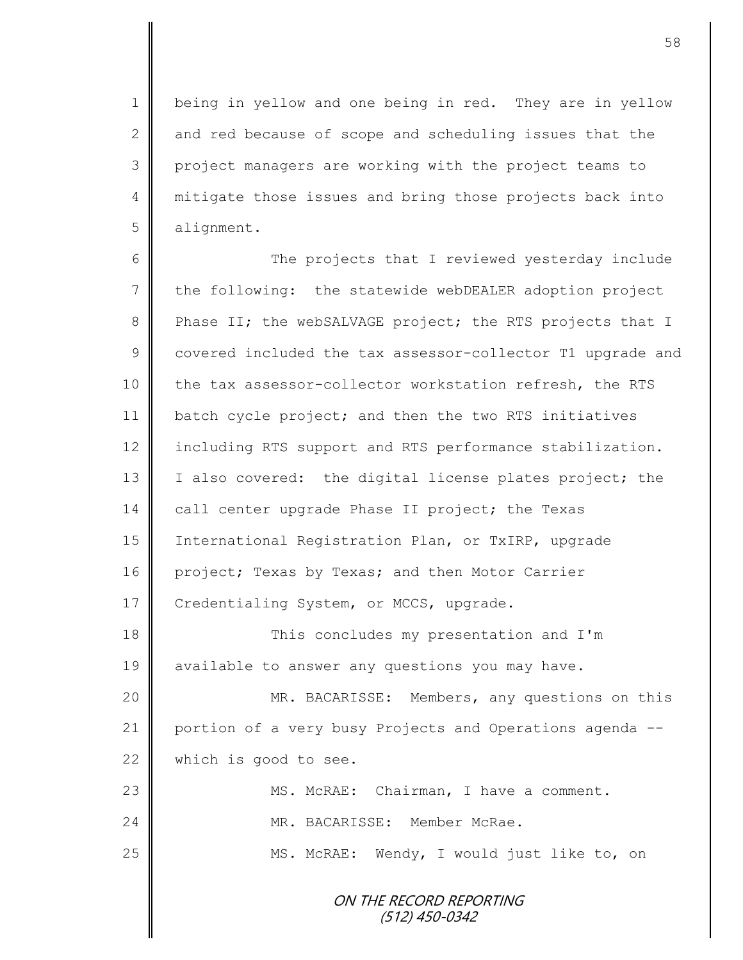1 | being in yellow and one being in red. They are in yellow 2 and red because of scope and scheduling issues that the 3 || project managers are working with the project teams to 4 || mitigate those issues and bring those projects back into 5 alignment.

6 The projects that I reviewed yesterday include 7 the following: the statewide webDEALER adoption project 8 Phase II; the webSALVAGE project; the RTS projects that I 9 covered included the tax assessor-collector T1 upgrade and 10 the tax assessor-collector workstation refresh, the RTS 11 batch cycle project; and then the two RTS initiatives 12 | including RTS support and RTS performance stabilization. 13 | I also covered: the digital license plates project; the 14 call center upgrade Phase II project; the Texas 15 International Registration Plan, or TxIRP, upgrade 16 project; Texas by Texas; and then Motor Carrier 17 Credentialing System, or MCCS, upgrade.

18 || This concludes my presentation and I'm 19 available to answer any questions you may have.

20 | MR. BACARISSE: Members, any questions on this 21 | portion of a very busy Projects and Operations agenda --22 which is good to see.

23 | MS. McRAE: Chairman, I have a comment. 24 MR. BACARISSE: Member McRae. 25 | MS. McRAE: Wendy, I would just like to, on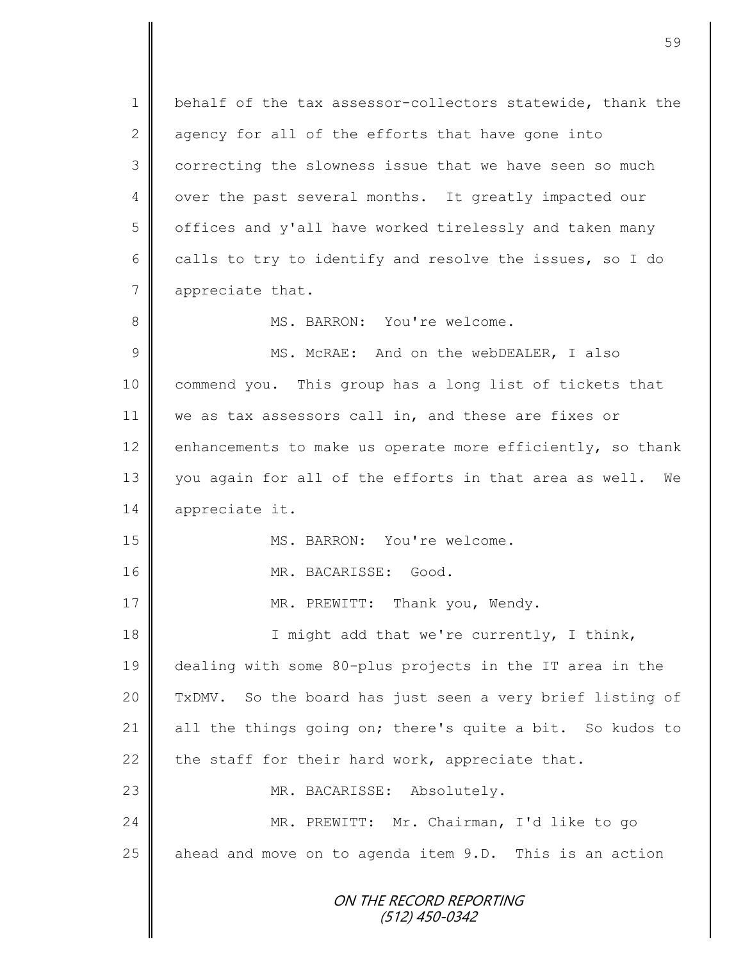ON THE RECORD REPORTING (512) 450-0342 1 | behalf of the tax assessor-collectors statewide, thank the  $2 \parallel$  agency for all of the efforts that have gone into 3 correcting the slowness issue that we have seen so much 4 | over the past several months. It greatly impacted our 5 | offices and y'all have worked tirelessly and taken many 6 calls to try to identify and resolve the issues, so I do 7 appreciate that. 8  $\parallel$  MS. BARRON: You're welcome. 9 || MS. McRAE: And on the webDEALER, I also 10 commend you. This group has a long list of tickets that 11 | we as tax assessors call in, and these are fixes or 12 enhancements to make us operate more efficiently, so thank 13 you again for all of the efforts in that area as well. We 14 appreciate it. 15 MS. BARRON: You're welcome. 16 || MR. BACARISSE: Good. 17 | MR. PREWITT: Thank you, Wendy. 18 || I might add that we're currently, I think, 19 dealing with some 80-plus projects in the IT area in the 20 TxDMV. So the board has just seen a very brief listing of 21 all the things going on; there's quite a bit. So kudos to 22 the staff for their hard work, appreciate that. 23 || MR. BACARISSE: Absolutely. 24 MR. PREWITT: Mr. Chairman, I'd like to go 25  $\parallel$  ahead and move on to agenda item 9.D. This is an action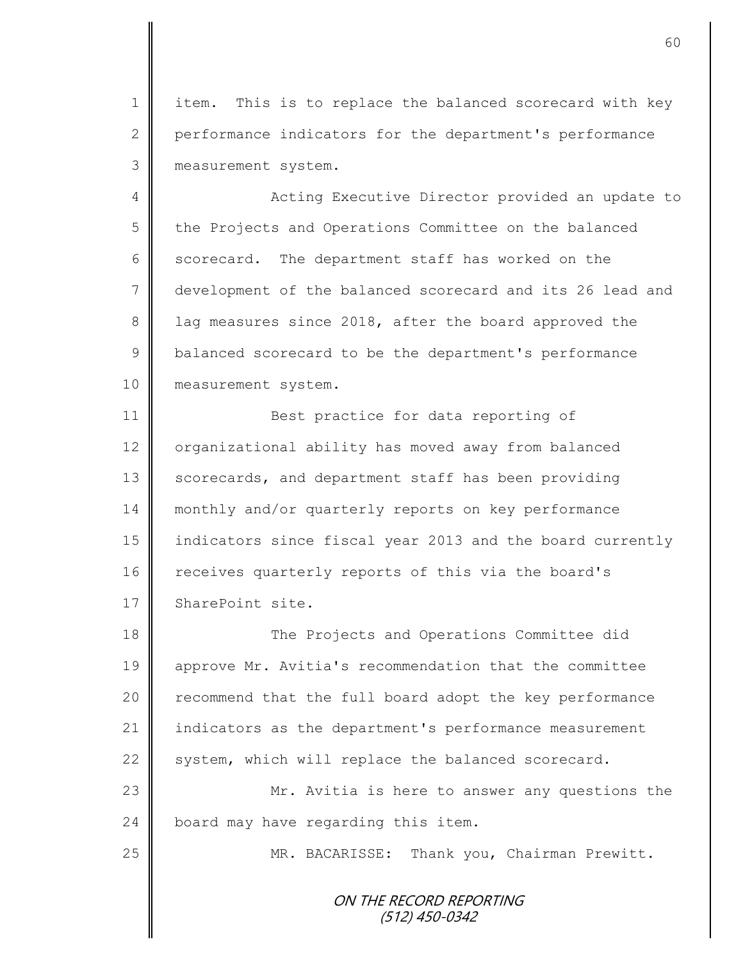1 || item. This is to replace the balanced scorecard with key 2 performance indicators for the department's performance 3 measurement system.

4 || Acting Executive Director provided an update to 5 | the Projects and Operations Committee on the balanced  $6 \parallel$  scorecard. The department staff has worked on the 7 development of the balanced scorecard and its 26 lead and 8 1 lag measures since 2018, after the board approved the 9 | balanced scorecard to be the department's performance 10 **measurement** system.

11 || Best practice for data reporting of 12 organizational ability has moved away from balanced 13 scorecards, and department staff has been providing 14 monthly and/or quarterly reports on key performance 15 indicators since fiscal year 2013 and the board currently 16 receives quarterly reports of this via the board's 17 SharePoint site.

18 || The Projects and Operations Committee did 19 approve Mr. Avitia's recommendation that the committee 20 | recommend that the full board adopt the key performance 21 indicators as the department's performance measurement 22 system, which will replace the balanced scorecard. 23 Mr. Avitia is here to answer any questions the 24 board may have regarding this item.

25 || MR. BACARISSE: Thank you, Chairman Prewitt.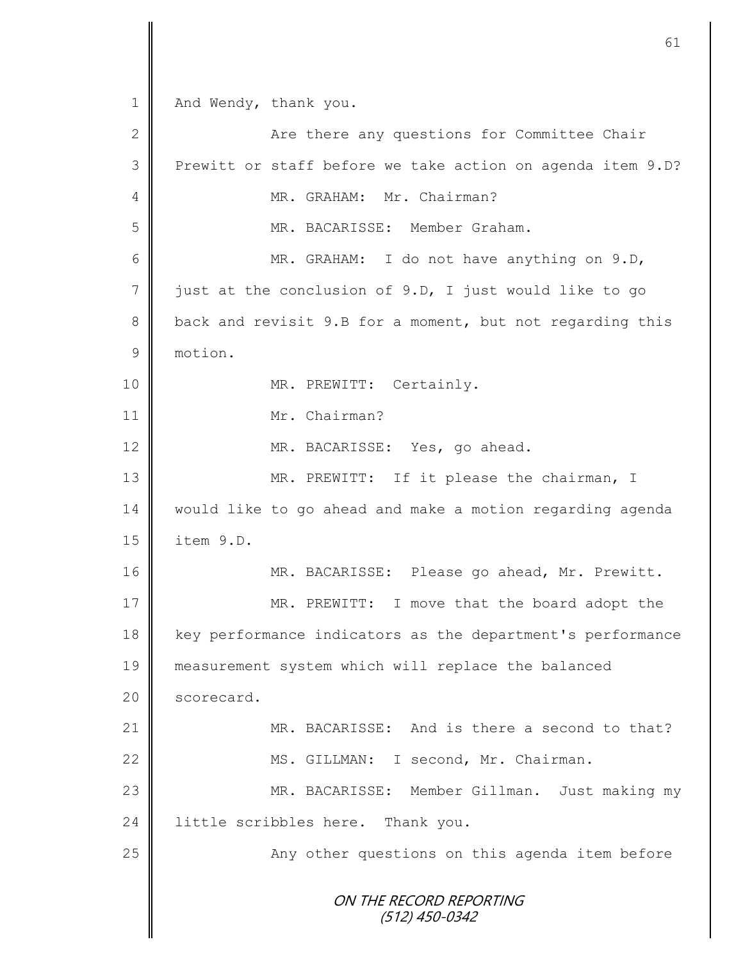ON THE RECORD REPORTING (512) 450-0342 1 And Wendy, thank you. 2 Are there any questions for Committee Chair 3 Prewitt or staff before we take action on agenda item 9.D? 4 | MR. GRAHAM: Mr. Chairman? 5 MR. BACARISSE: Member Graham. 6 MR. GRAHAM: I do not have anything on 9.D,  $7 \parallel$  just at the conclusion of 9.D, I just would like to go 8 back and revisit 9.B for a moment, but not regarding this 9 motion. 10 || MR. PREWITT: Certainly. 11 || Mr. Chairman? 12 MR. BACARISSE: Yes, go ahead. 13 || MR. PREWITT: If it please the chairman, I 14 | would like to go ahead and make a motion regarding agenda 15 item 9.D. 16 | MR. BACARISSE: Please go ahead, Mr. Prewitt. 17 MR. PREWITT: I move that the board adopt the 18 | key performance indicators as the department's performance 19 measurement system which will replace the balanced 20 | scorecard. 21 MR. BACARISSE: And is there a second to that? 22 | MS. GILLMAN: I second, Mr. Chairman. 23 MR. BACARISSE: Member Gillman. Just making my 24 little scribbles here. Thank you. 25 | Any other questions on this agenda item before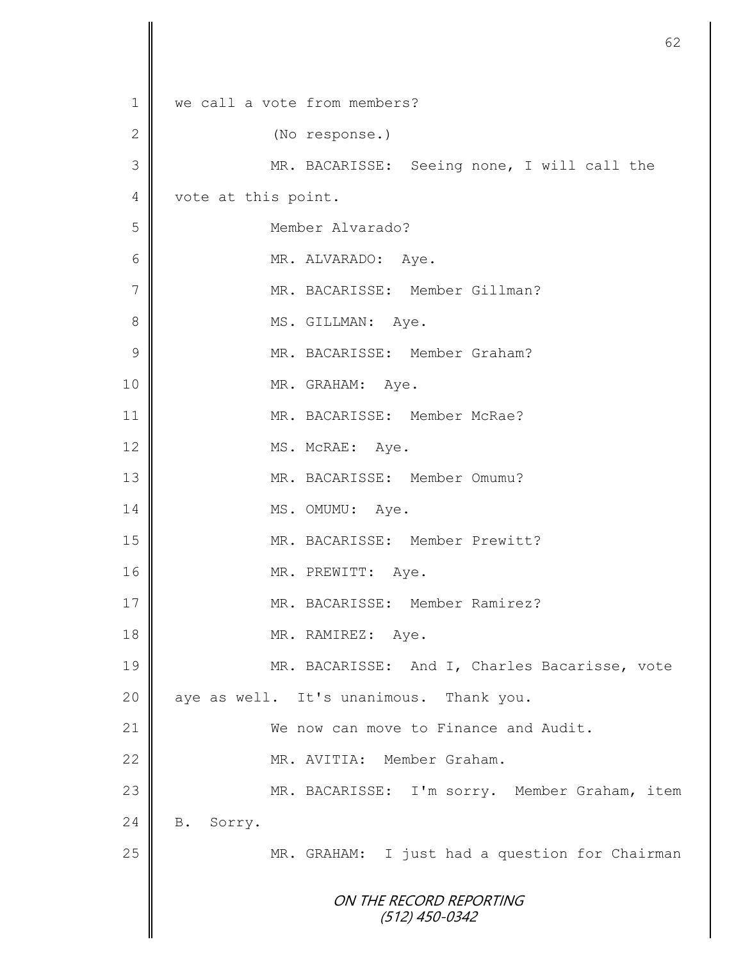| we call a vote from members?                   |
|------------------------------------------------|
| (No response.)                                 |
| MR. BACARISSE: Seeing none, I will call the    |
| vote at this point.                            |
| Member Alvarado?                               |
| MR. ALVARADO: Aye.                             |
| MR. BACARISSE: Member Gillman?                 |
| MS. GILLMAN: Aye.                              |
| MR. BACARISSE: Member Graham?                  |
| MR. GRAHAM: Aye.                               |
| MR. BACARISSE: Member McRae?                   |
| MS. McRAE: Aye.                                |
| MR. BACARISSE: Member Omumu?                   |
| MS. OMUMU: Aye.                                |
| MR. BACARISSE: Member Prewitt?                 |
| MR. PREWITT: Aye.                              |
| MR. BACARISSE: Member Ramirez?                 |
| MR. RAMIREZ: Aye.                              |
| MR. BACARISSE: And I, Charles Bacarisse, vote  |
| aye as well. It's unanimous. Thank you.        |
| We now can move to Finance and Audit.          |
| MR. AVITIA: Member Graham.                     |
| MR. BACARISSE: I'm sorry. Member Graham, item  |
| Sorry.<br><b>B</b> .                           |
| MR. GRAHAM: I just had a question for Chairman |
|                                                |
| ON THE RECORD REPORTING<br>$(512)$ 450-0342    |
|                                                |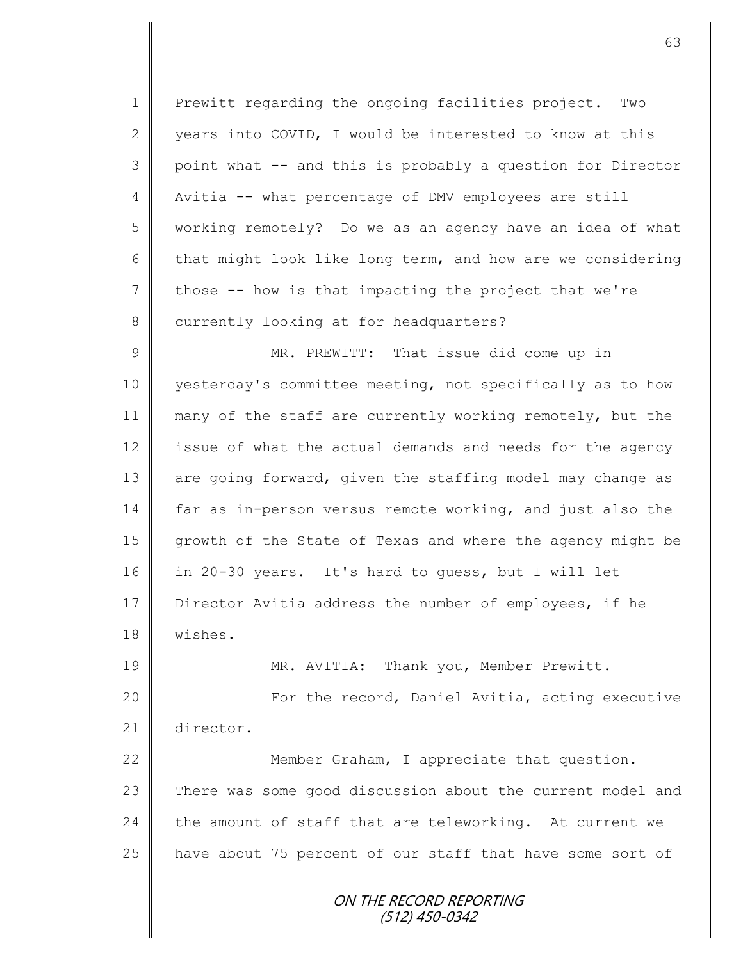1 Prewitt regarding the ongoing facilities project. Two 2 years into COVID, I would be interested to know at this 3 point what -- and this is probably a question for Director 4 | Avitia -- what percentage of DMV employees are still 5 working remotely? Do we as an agency have an idea of what 6 that might look like long term, and how are we considering  $7 \parallel$  those -- how is that impacting the project that we're 8 currently looking at for headquarters?

9 || MR. PREWITT: That issue did come up in 10 yesterday's committee meeting, not specifically as to how 11 many of the staff are currently working remotely, but the 12 issue of what the actual demands and needs for the agency 13 are going forward, given the staffing model may change as 14 far as in-person versus remote working, and just also the 15 growth of the State of Texas and where the agency might be 16 in 20-30 years. It's hard to guess, but I will let 17 Director Avitia address the number of employees, if he 18 wishes.

19 MR. AVITIA: Thank you, Member Prewitt. 20 | Tor the record, Daniel Avitia, acting executive 21 director.

22 **Member Graham, I appreciate that question.** 23 There was some good discussion about the current model and 24 the amount of staff that are teleworking. At current we 25 | have about 75 percent of our staff that have some sort of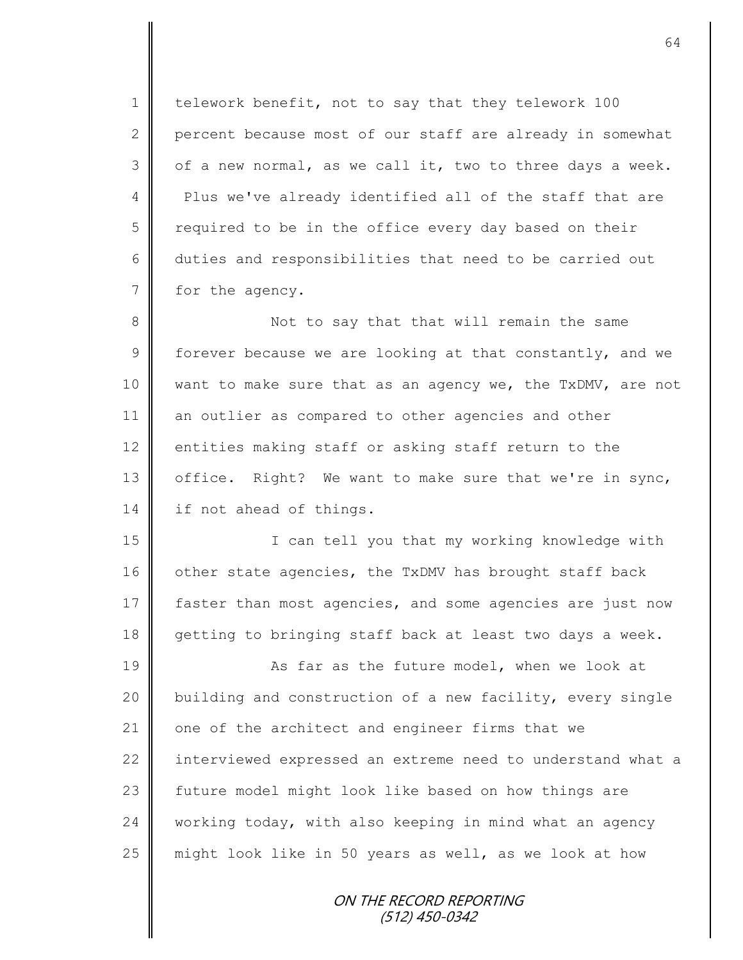1 | telework benefit, not to say that they telework 100 2 percent because most of our staff are already in somewhat  $3 \parallel$  of a new normal, as we call it, two to three days a week. 4 Plus we've already identified all of the staff that are  $5 \parallel$  required to be in the office every day based on their 6 duties and responsibilities that need to be carried out 7 for the agency.

8 || Not to say that that will remain the same 9  $\parallel$  forever because we are looking at that constantly, and we 10 want to make sure that as an agency we, the TxDMV, are not 11 an outlier as compared to other agencies and other 12 entities making staff or asking staff return to the 13 | office. Right? We want to make sure that we're in sync, 14 if not ahead of things.

15 || I can tell you that my working knowledge with 16 other state agencies, the TxDMV has brought staff back 17 faster than most agencies, and some agencies are just now 18 getting to bringing staff back at least two days a week.

19 **As far as the future model, when we look at** 20 building and construction of a new facility, every single 21 one of the architect and engineer firms that we 22 interviewed expressed an extreme need to understand what a 23 | future model might look like based on how things are 24 working today, with also keeping in mind what an agency 25 | might look like in 50 years as well, as we look at how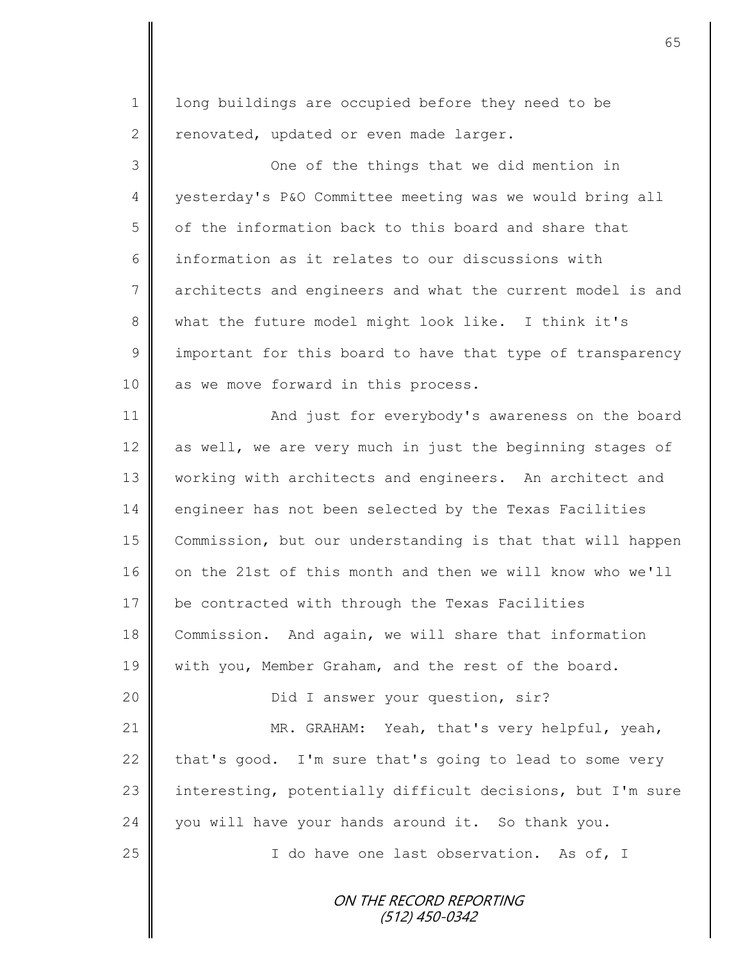1 | long buildings are occupied before they need to be  $2 \parallel$  renovated, updated or even made larger.

3 || One of the things that we did mention in 4 yesterday's P&O Committee meeting was we would bring all 5 | of the information back to this board and share that 6 information as it relates to our discussions with 7 architects and engineers and what the current model is and 8 what the future model might look like. I think it's  $9 \parallel$  important for this board to have that type of transparency 10 as we move forward in this process.

11 **And just for everybody's awareness on the board** 12 as well, we are very much in just the beginning stages of 13 | working with architects and engineers. An architect and 14 engineer has not been selected by the Texas Facilities 15 Commission, but our understanding is that that will happen 16 on the 21st of this month and then we will know who we'll 17 be contracted with through the Texas Facilities 18 Commission. And again, we will share that information 19 | with you, Member Graham, and the rest of the board.

21 | MR. GRAHAM: Yeah, that's very helpful, yeah, 22  $\parallel$  that's good. I'm sure that's going to lead to some very 23 interesting, potentially difficult decisions, but I'm sure 24 you will have your hands around it. So thank you.

20 | Did I answer your question, sir?

25 || I do have one last observation. As of, I

ON THE RECORD REPORTING (512) 450-0342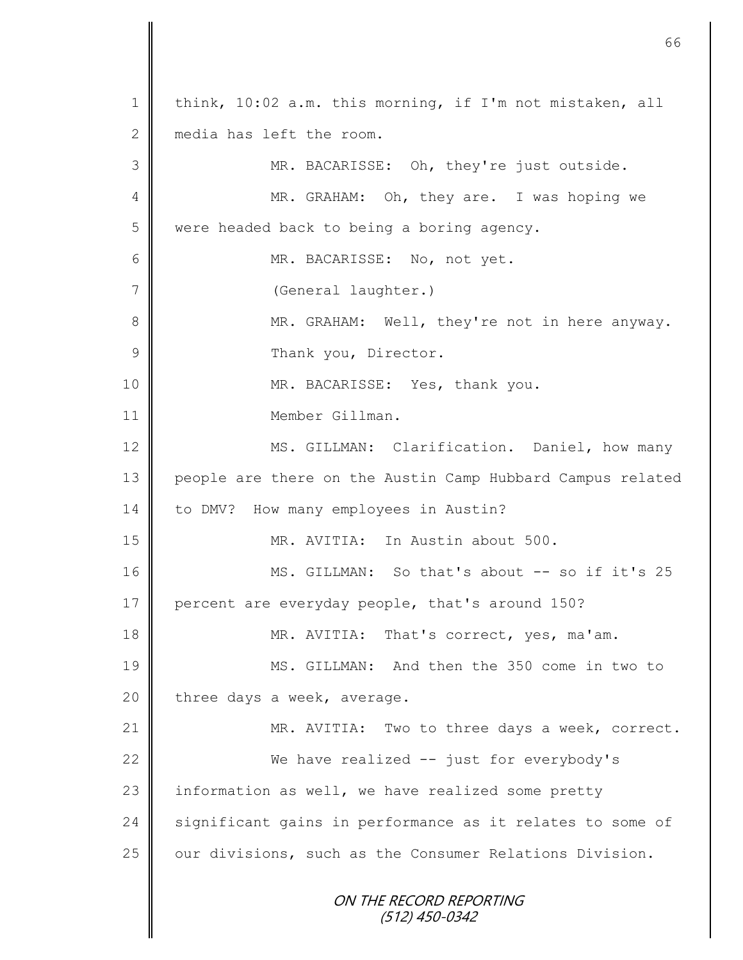ON THE RECORD REPORTING (512) 450-0342 1 | think, 10:02 a.m. this morning, if I'm not mistaken, all 2 media has left the room. 3 MR. BACARISSE: Oh, they're just outside. 4 || MR. GRAHAM: Oh, they are. I was hoping we 5 were headed back to being a boring agency. 6 MR. BACARISSE: No, not yet. 7 (General laughter.) 8 MR. GRAHAM: Well, they're not in here anyway. 9 | Thank you, Director. 10 || MR. BACARISSE: Yes, thank you. 11 **I** Member Gillman. 12 | MS. GILLMAN: Clarification. Daniel, how many 13 people are there on the Austin Camp Hubbard Campus related 14 | to DMV? How many employees in Austin? 15 MR. AVITIA: In Austin about 500. 16 MS. GILLMAN: So that's about -- so if it's 25 17 percent are everyday people, that's around 150? 18 MR. AVITIA: That's correct, yes, ma'am. 19 MS. GILLMAN: And then the 350 come in two to 20 | three days a week, average. 21 | MR. AVITIA: Two to three days a week, correct. 22 We have realized -- just for everybody's  $23$  information as well, we have realized some pretty 24 significant gains in performance as it relates to some of  $25$  | our divisions, such as the Consumer Relations Division.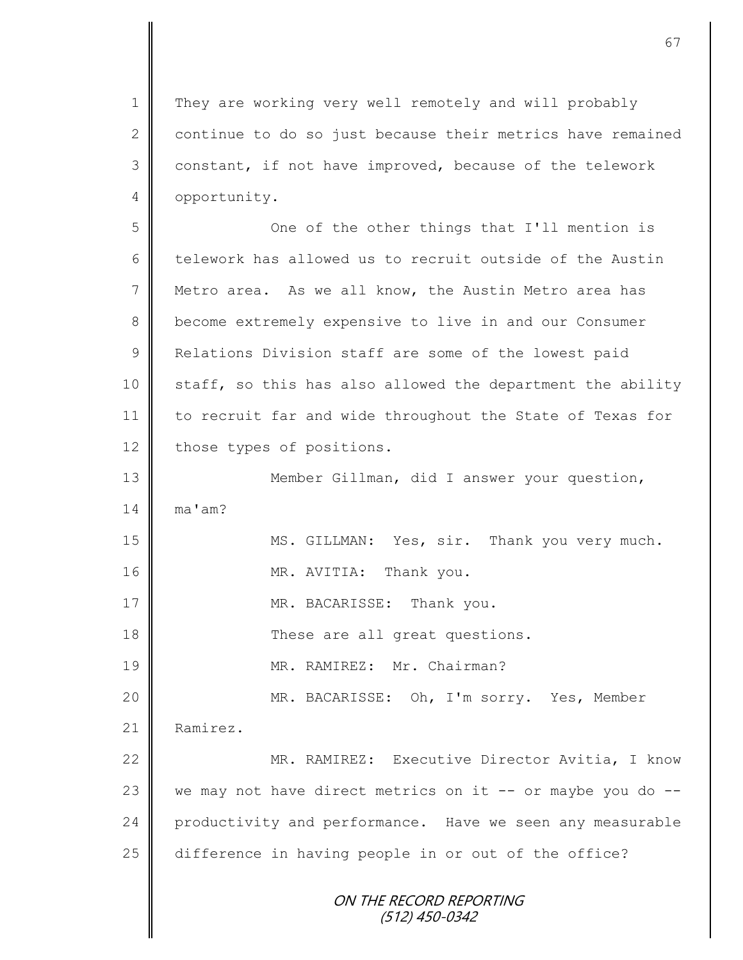ON THE RECORD REPORTING (512) 450-0342 1 They are working very well remotely and will probably 2 continue to do so just because their metrics have remained 3 constant, if not have improved, because of the telework 4 **opportunity.** 5 || One of the other things that I'll mention is 6 telework has allowed us to recruit outside of the Austin 7 Metro area. As we all know, the Austin Metro area has 8 become extremely expensive to live in and our Consumer 9 Relations Division staff are some of the lowest paid 10 staff, so this has also allowed the department the ability 11 to recruit far and wide throughout the State of Texas for 12 those types of positions. 13 || Member Gillman, did I answer your question, 14 ma'am? 15 || MS. GILLMAN: Yes, sir. Thank you very much. 16 MR. AVITIA: Thank you. 17 || MR. BACARISSE: Thank you. 18 || These are all great questions. 19 MR. RAMIREZ: Mr. Chairman? 20 MR. BACARISSE: Oh, I'm sorry. Yes, Member 21 Ramirez. 22 MR. RAMIREZ: Executive Director Avitia, I know 23  $\parallel$  we may not have direct metrics on it -- or maybe you do --24 productivity and performance. Have we seen any measurable 25 difference in having people in or out of the office?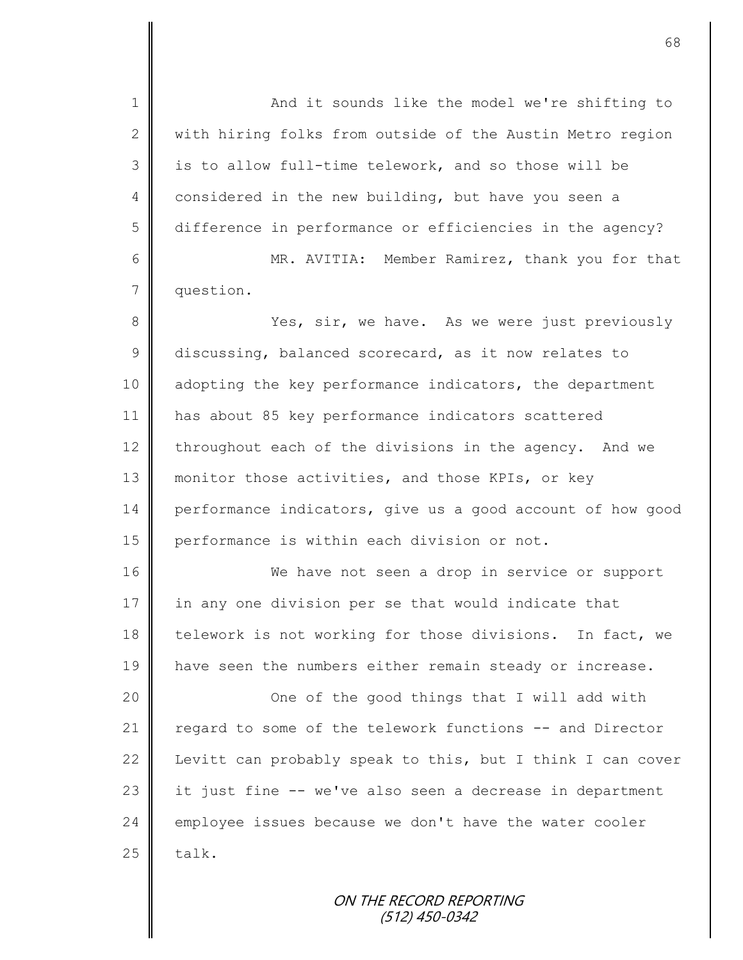1 || And it sounds like the model we're shifting to  $2 \parallel$  with hiring folks from outside of the Austin Metro region 3 || is to allow full-time telework, and so those will be 4 considered in the new building, but have you seen a 5 difference in performance or efficiencies in the agency? 6 MR. AVITIA: Member Ramirez, thank you for that 7 question. 8 Yes, sir, we have. As we were just previously 9 discussing, balanced scorecard, as it now relates to 10 adopting the key performance indicators, the department 11 has about 85 key performance indicators scattered 12 throughout each of the divisions in the agency. And we 13 monitor those activities, and those KPIs, or key 14 performance indicators, give us a good account of how good 15 performance is within each division or not. 16 We have not seen a drop in service or support 17 in any one division per se that would indicate that 18 telework is not working for those divisions. In fact, we 19 | have seen the numbers either remain steady or increase. 20 | Cone of the good things that I will add with 21 regard to some of the telework functions -- and Director 22 Levitt can probably speak to this, but I think I can cover 23  $\parallel$  it just fine -- we've also seen a decrease in department 24 employee issues because we don't have the water cooler  $25$  | talk.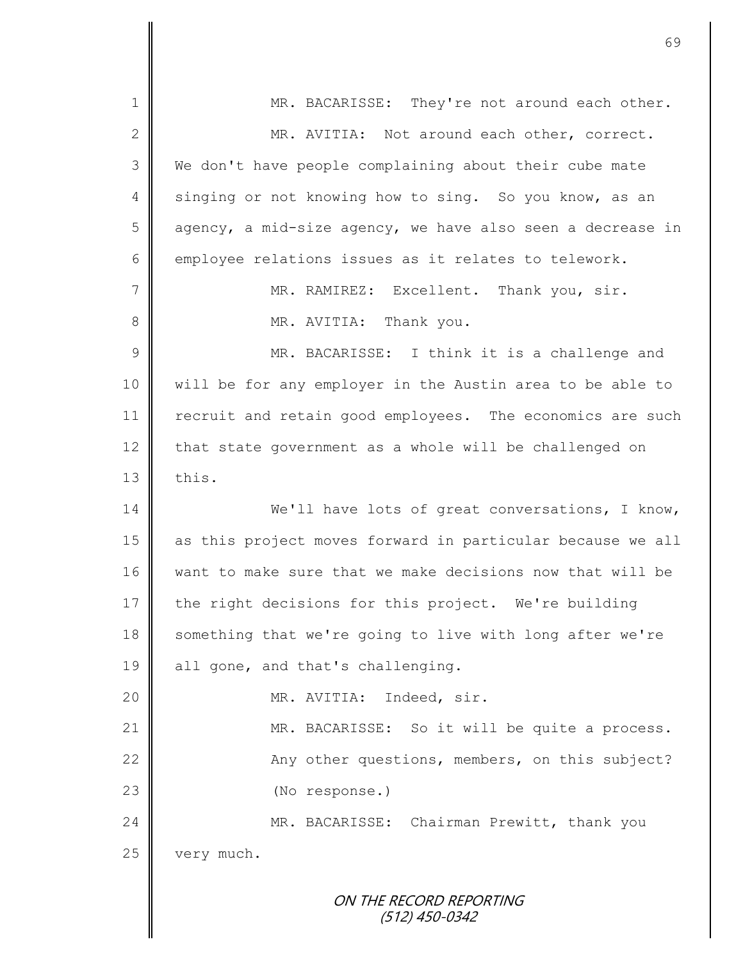| $\mathbf 1$   | MR. BACARISSE: They're not around each other.              |
|---------------|------------------------------------------------------------|
| $\mathbf{2}$  | MR. AVITIA: Not around each other, correct.                |
| 3             | We don't have people complaining about their cube mate     |
| 4             | singing or not knowing how to sing. So you know, as an     |
| 5             | agency, a mid-size agency, we have also seen a decrease in |
| 6             | employee relations issues as it relates to telework.       |
| 7             | MR. RAMIREZ: Excellent. Thank you, sir.                    |
| 8             | MR. AVITIA: Thank you.                                     |
| $\mathcal{G}$ | MR. BACARISSE: I think it is a challenge and               |
| 10            | will be for any employer in the Austin area to be able to  |
| 11            | recruit and retain good employees. The economics are such  |
| 12            | that state government as a whole will be challenged on     |
| 13            | this.                                                      |
| 14            | We'll have lots of great conversations, I know,            |
| 15            | as this project moves forward in particular because we all |
| 16            | want to make sure that we make decisions now that will be  |
| 17            | the right decisions for this project. We're building       |
| 18            | something that we're going to live with long after we're   |
| 19            | all gone, and that's challenging.                          |
| 20            | MR. AVITIA: Indeed, sir.                                   |
| 21            | MR. BACARISSE: So it will be quite a process.              |
| 22            | Any other questions, members, on this subject?             |
| 23            | (No response.)                                             |
| 24            | MR. BACARISSE: Chairman Prewitt, thank you                 |
| 25            | very much.                                                 |
|               | ON THE RECORD REPORTING<br>$(512)$ 450-0342                |

 $\mathbf l$ ║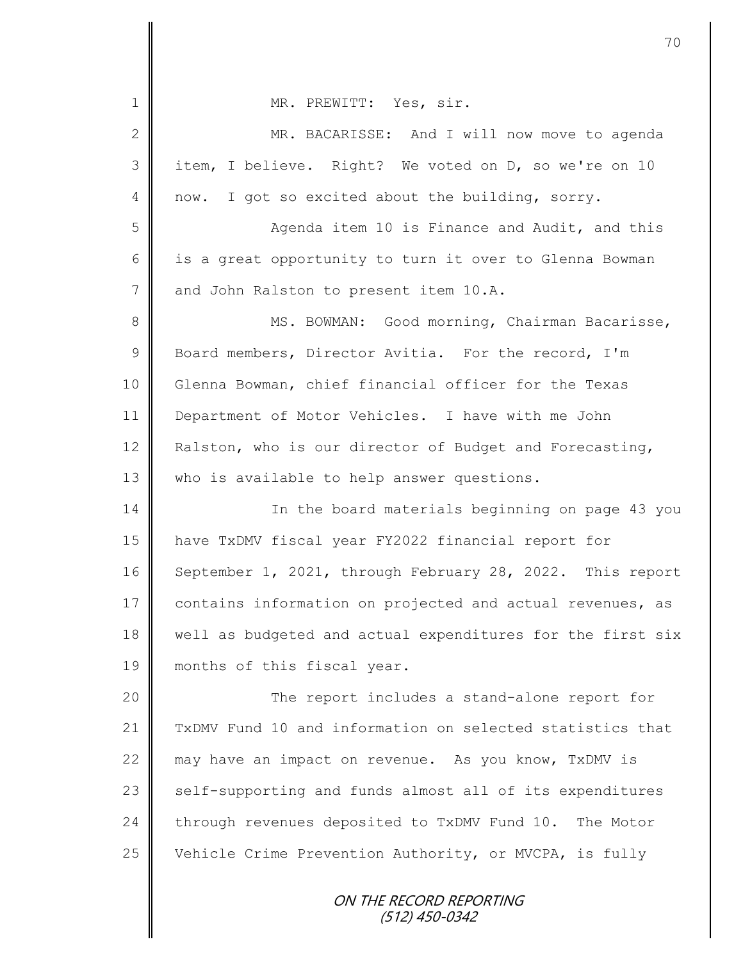| $\mathbf 1$    | MR. PREWITT: Yes, sir.                                     |
|----------------|------------------------------------------------------------|
| $\mathbf{2}$   | MR. BACARISSE: And I will now move to agenda               |
| 3              | item, I believe. Right? We voted on D, so we're on 10      |
| 4              | I got so excited about the building, sorry.<br>now.        |
| 5              | Agenda item 10 is Finance and Audit, and this              |
| 6              | is a great opportunity to turn it over to Glenna Bowman    |
| $\overline{7}$ | and John Ralston to present item 10.A.                     |
| $8\,$          | MS. BOWMAN: Good morning, Chairman Bacarisse,              |
| $\mathsf 9$    | Board members, Director Avitia. For the record, I'm        |
| 10             | Glenna Bowman, chief financial officer for the Texas       |
| 11             | Department of Motor Vehicles. I have with me John          |
| 12             | Ralston, who is our director of Budget and Forecasting,    |
| 13             | who is available to help answer questions.                 |
| 14             | In the board materials beginning on page 43 you            |
| 15             | have TxDMV fiscal year FY2022 financial report for         |
| 16             | September 1, 2021, through February 28, 2022. This report  |
| 17             | contains information on projected and actual revenues, as  |
| 18             | well as budgeted and actual expenditures for the first six |
| 19             | months of this fiscal year.                                |
| 20             | The report includes a stand-alone report for               |
| 21             | TxDMV Fund 10 and information on selected statistics that  |
| 22             | may have an impact on revenue. As you know, TxDMV is       |
| 23             | self-supporting and funds almost all of its expenditures   |
| 24             | through revenues deposited to TxDMV Fund 10. The Motor     |
| 25             | Vehicle Crime Prevention Authority, or MVCPA, is fully     |
|                |                                                            |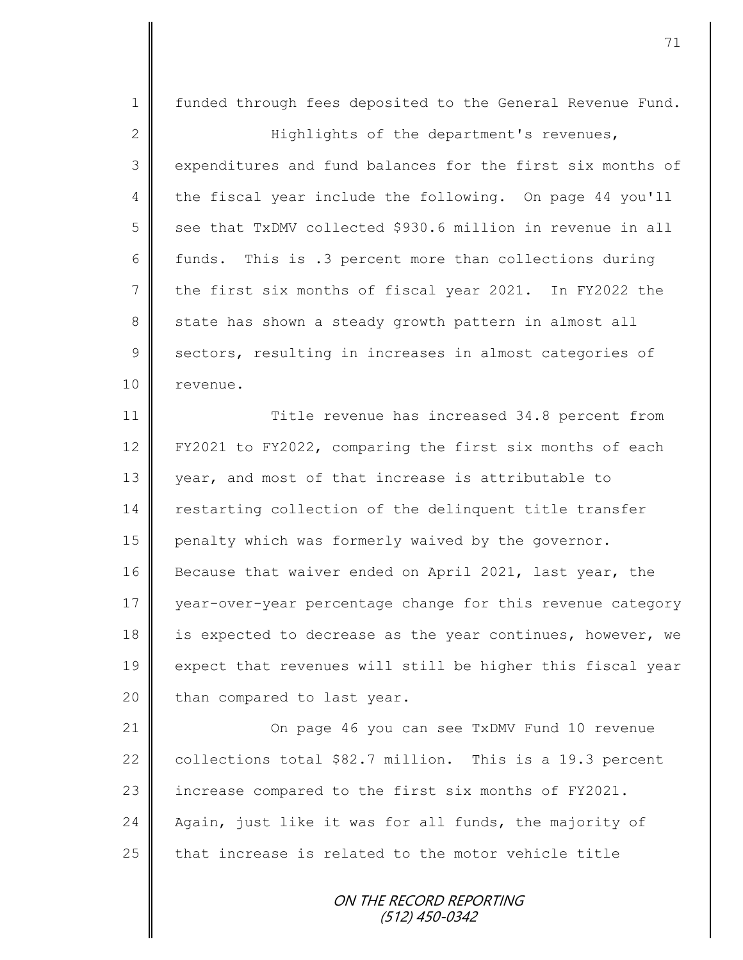ON THE RECORD REPORTING (512) 450-0342 1 | funded through fees deposited to the General Revenue Fund. 2 || Highlights of the department's revenues, 3 expenditures and fund balances for the first six months of 4 the fiscal year include the following. On page 44 you'll 5 see that TxDMV collected \$930.6 million in revenue in all 6 funds. This is .3 percent more than collections during 7 the first six months of fiscal year 2021. In FY2022 the 8 state has shown a steady growth pattern in almost all 9 sectors, resulting in increases in almost categories of 10 || revenue. 11 **Title revenue has increased 34.8 percent from** 12 FY2021 to FY2022, comparing the first six months of each 13 year, and most of that increase is attributable to 14 restarting collection of the delinquent title transfer 15 penalty which was formerly waived by the governor. 16 Because that waiver ended on April 2021, last year, the 17 year-over-year percentage change for this revenue category 18 is expected to decrease as the year continues, however, we 19 expect that revenues will still be higher this fiscal year  $20$  | than compared to last year. 21 On page 46 you can see TxDMV Fund 10 revenue 22 collections total \$82.7 million. This is a 19.3 percent 23 | increase compared to the first six months of FY2021. 24 Again, just like it was for all funds, the majority of  $25$  that increase is related to the motor vehicle title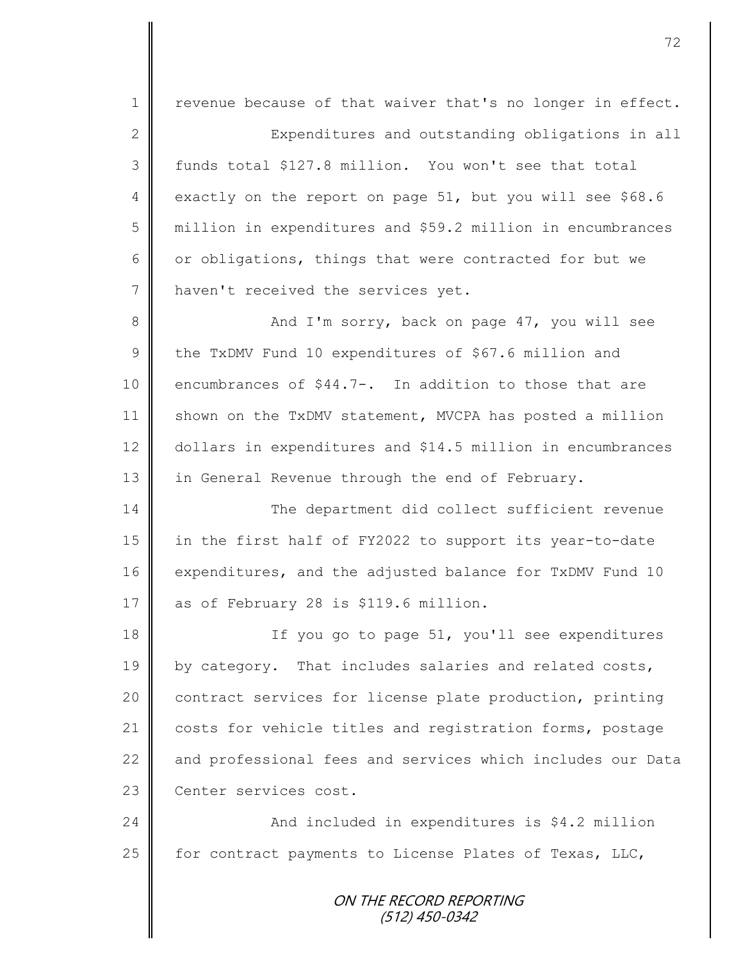ON THE RECORD REPORTING (512) 450-0342 1 | revenue because of that waiver that's no longer in effect. 2 Expenditures and outstanding obligations in all 3 funds total \$127.8 million. You won't see that total 4 exactly on the report on page 51, but you will see \$68.6 5 million in expenditures and \$59.2 million in encumbrances 6 or obligations, things that were contracted for but we 7 | haven't received the services yet. 8 And I'm sorry, back on page 47, you will see 9 the TxDMV Fund 10 expenditures of \$67.6 million and 10 encumbrances of \$44.7-. In addition to those that are 11  $\parallel$  shown on the TxDMV statement, MVCPA has posted a million 12 dollars in expenditures and \$14.5 million in encumbrances 13 in General Revenue through the end of February. 14 The department did collect sufficient revenue 15 in the first half of FY2022 to support its year-to-date 16 expenditures, and the adjusted balance for TxDMV Fund 10 17 as of February 28 is \$119.6 million. 18 || If you go to page 51, you'll see expenditures 19 | by category. That includes salaries and related costs, 20 | contract services for license plate production, printing 21 | costs for vehicle titles and registration forms, postage 22 and professional fees and services which includes our Data 23 | Center services cost. 24 And included in expenditures is \$4.2 million 25  $\parallel$  for contract payments to License Plates of Texas, LLC,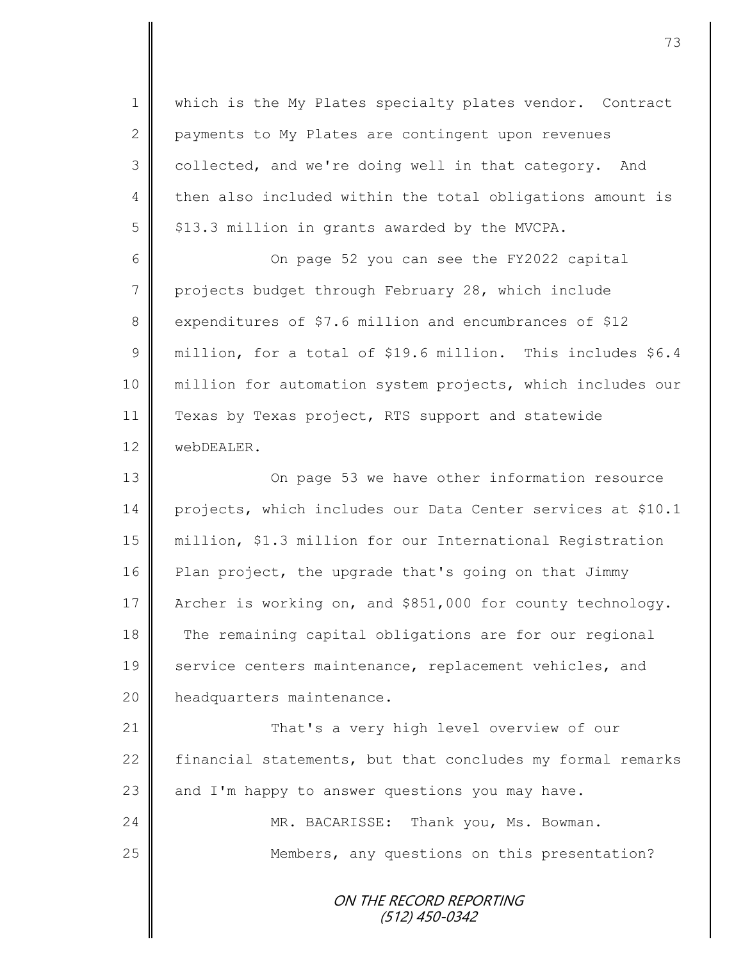1 || which is the My Plates specialty plates vendor. Contract 2 payments to My Plates are contingent upon revenues 3 collected, and we're doing well in that category. And 4 then also included within the total obligations amount is  $5 \parallel$  \$13.3 million in grants awarded by the MVCPA.

6 On page 52 you can see the FY2022 capital 7 projects budget through February 28, which include 8 expenditures of \$7.6 million and encumbrances of \$12 9 million, for a total of \$19.6 million. This includes \$6.4 10 million for automation system projects, which includes our 11 Texas by Texas project, RTS support and statewide 12 **WebDEALER.** 

13 || On page 53 we have other information resource 14 projects, which includes our Data Center services at \$10.1 15 million, \$1.3 million for our International Registration 16 Plan project, the upgrade that's going on that Jimmy 17 Archer is working on, and \$851,000 for county technology. 18 The remaining capital obligations are for our regional 19 service centers maintenance, replacement vehicles, and 20 | headquarters maintenance.

**That's a very high level overview of our**  $\parallel$  financial statements, but that concludes my formal remarks  $\parallel$  and I'm happy to answer questions you may have. MR. BACARISSE: Thank you, Ms. Bowman. 25 | Members, any questions on this presentation?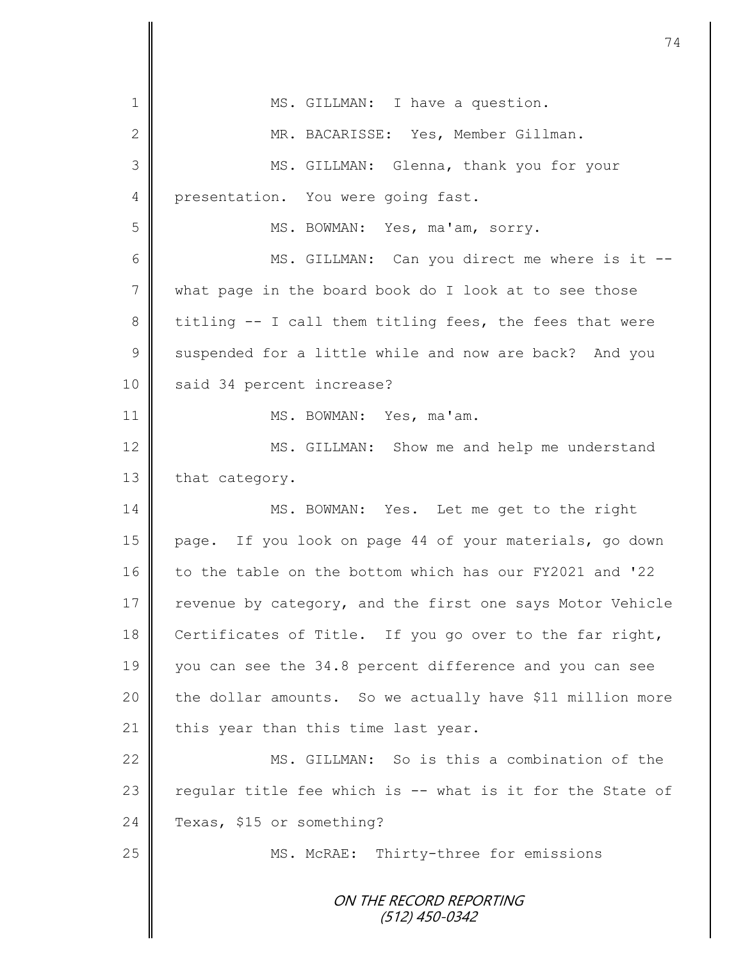ON THE RECORD REPORTING (512) 450-0342 1 || MS. GILLMAN: I have a question. 2 || MR. BACARISSE: Yes, Member Gillman. 3 MS. GILLMAN: Glenna, thank you for your 4 | presentation. You were going fast. 5 || MS. BOWMAN: Yes, ma'am, sorry. 6 || MS. GILLMAN: Can you direct me where is it --7 what page in the board book do I look at to see those 8 titling -- I call them titling fees, the fees that were 9 Suspended for a little while and now are back? And you 10 | said 34 percent increase? 11 || MS. BOWMAN: Yes, ma'am. 12 MS. GILLMAN: Show me and help me understand 13 that category. 14 MS. BOWMAN: Yes. Let me get to the right 15 page. If you look on page 44 of your materials, go down 16 to the table on the bottom which has our FY2021 and '22 17 revenue by category, and the first one says Motor Vehicle 18 Certificates of Title. If you go over to the far right, 19 you can see the 34.8 percent difference and you can see 20 the dollar amounts. So we actually have \$11 million more 21 | this year than this time last year. 22 MS. GILLMAN: So is this a combination of the 23  $\parallel$  regular title fee which is -- what is it for the State of 24 Texas, \$15 or something? 25 || MS. McRAE: Thirty-three for emissions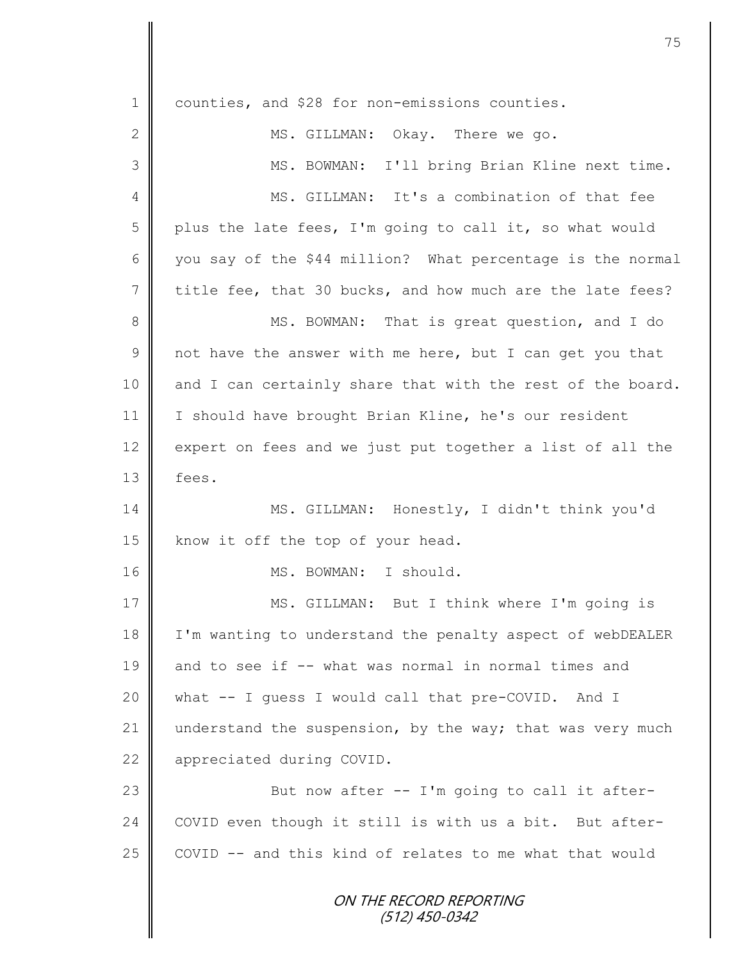ON THE RECORD REPORTING (512) 450-0342 1 counties, and \$28 for non-emissions counties. 2 MS. GILLMAN: Okay. There we go. 3 || MS. BOWMAN: I'll bring Brian Kline next time. 4 || MS. GILLMAN: It's a combination of that fee 5 | plus the late fees, I'm going to call it, so what would 6 | you say of the \$44 million? What percentage is the normal 7 title fee, that 30 bucks, and how much are the late fees? 8 MS. BOWMAN: That is great question, and I do  $9 \parallel$  not have the answer with me here, but I can get you that  $10$  and I can certainly share that with the rest of the board. 11 | I should have brought Brian Kline, he's our resident 12 expert on fees and we just put together a list of all the  $13 \parallel$  fees. 14 MS. GILLMAN: Honestly, I didn't think you'd 15 | know it off the top of your head. 16 || MS. BOWMAN: I should. 17 || MS. GILLMAN: But I think where I'm going is 18 | I'm wanting to understand the penalty aspect of webDEALER 19 and to see if -- what was normal in normal times and 20 what -- I guess I would call that pre-COVID. And I 21 understand the suspension, by the way; that was very much 22 | appreciated during COVID. 23 || But now after -- I'm going to call it after-24 COVID even though it still is with us a bit. But after- $25$   $\parallel$  COVID -- and this kind of relates to me what that would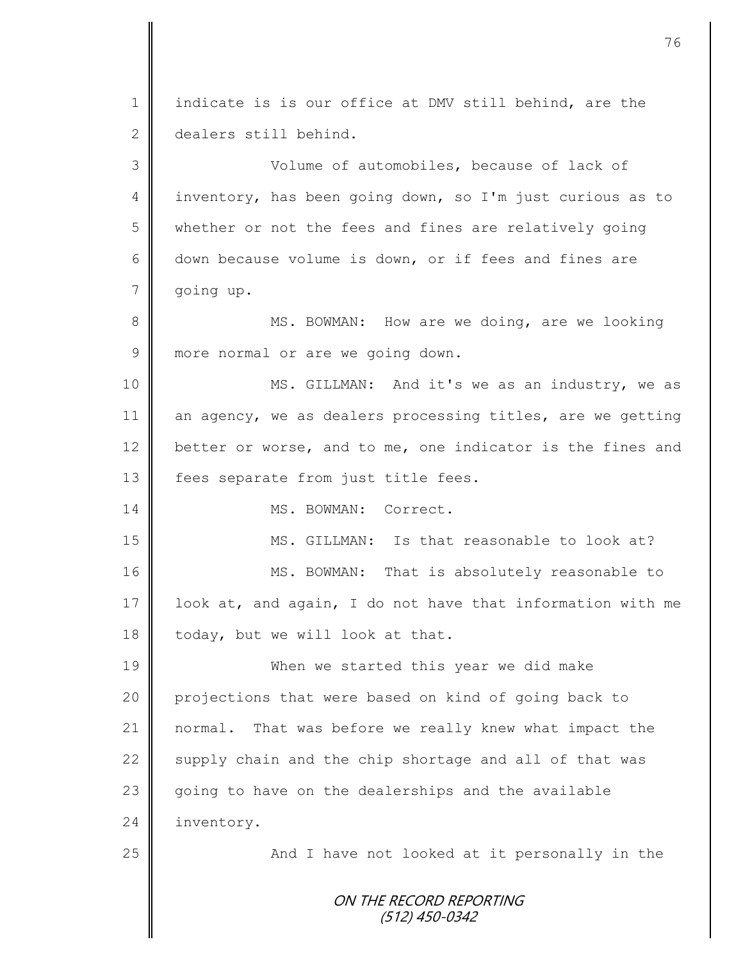ON THE RECORD REPORTING (512) 450-0342 1  $\parallel$  indicate is is our office at DMV still behind, are the 2 dealers still behind. 3 Volume of automobiles, because of lack of 4 inventory, has been going down, so I'm just curious as to 5 whether or not the fees and fines are relatively going 6 down because volume is down, or if fees and fines are 7 going up. 8 MS. BOWMAN: How are we doing, are we looking 9 more normal or are we going down. 10 || MS. GILLMAN: And it's we as an industry, we as 11 an agency, we as dealers processing titles, are we getting 12 better or worse, and to me, one indicator is the fines and 13  $\parallel$  fees separate from just title fees. 14 MS. BOWMAN: Correct. 15 MS. GILLMAN: Is that reasonable to look at? 16 | MS. BOWMAN: That is absolutely reasonable to 17 look at, and again, I do not have that information with me 18 today, but we will look at that. 19 When we started this year we did make 20 projections that were based on kind of going back to 21 normal. That was before we really knew what impact the 22 supply chain and the chip shortage and all of that was 23  $\parallel$  going to have on the dealerships and the available 24 inventory. 25 | And I have not looked at it personally in the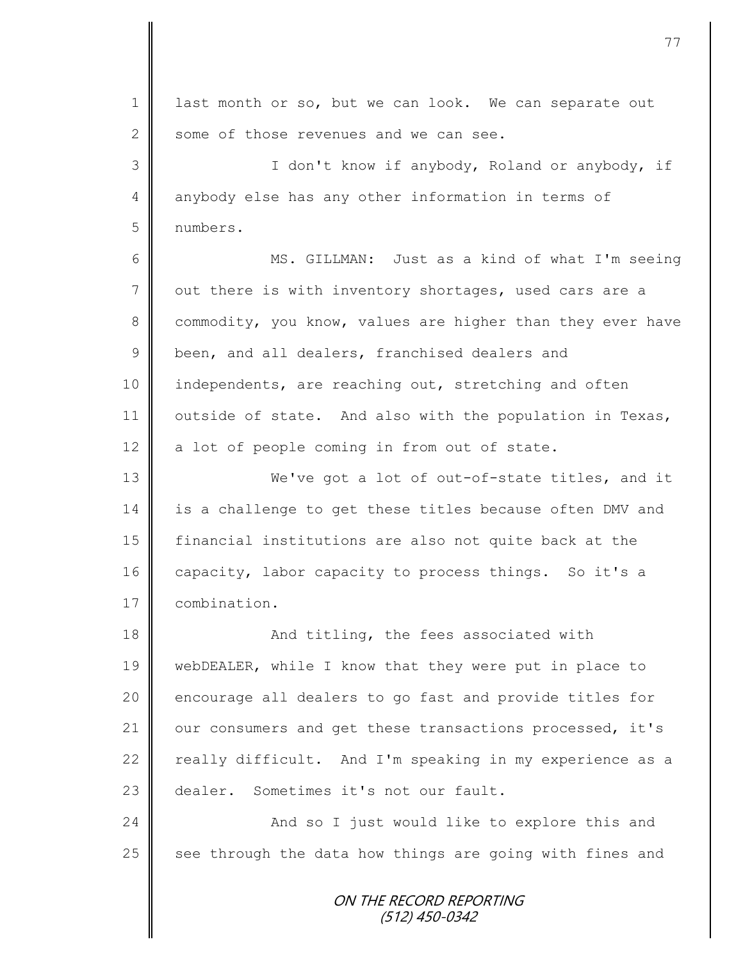ON THE RECORD REPORTING (512) 450-0342 1 ast month or so, but we can look. We can separate out 2 some of those revenues and we can see. 3 || I don't know if anybody, Roland or anybody, if 4 anybody else has any other information in terms of 5 numbers. 6 MS. GILLMAN: Just as a kind of what I'm seeing 7 out there is with inventory shortages, used cars are a 8 commodity, you know, values are higher than they ever have 9 been, and all dealers, franchised dealers and 10 | independents, are reaching out, stretching and often 11 | outside of state. And also with the population in Texas,  $12$  a lot of people coming in from out of state. 13 We've got a lot of out-of-state titles, and it 14 is a challenge to get these titles because often DMV and 15 financial institutions are also not quite back at the 16 capacity, labor capacity to process things. So it's a 17 | combination. 18 **And titling, the fees associated with** 19 webDEALER, while I know that they were put in place to 20 encourage all dealers to go fast and provide titles for 21 | our consumers and get these transactions processed, it's 22  $\parallel$  really difficult. And I'm speaking in my experience as a 23 dealer. Sometimes it's not our fault. 24 || And so I just would like to explore this and  $25$  see through the data how things are going with fines and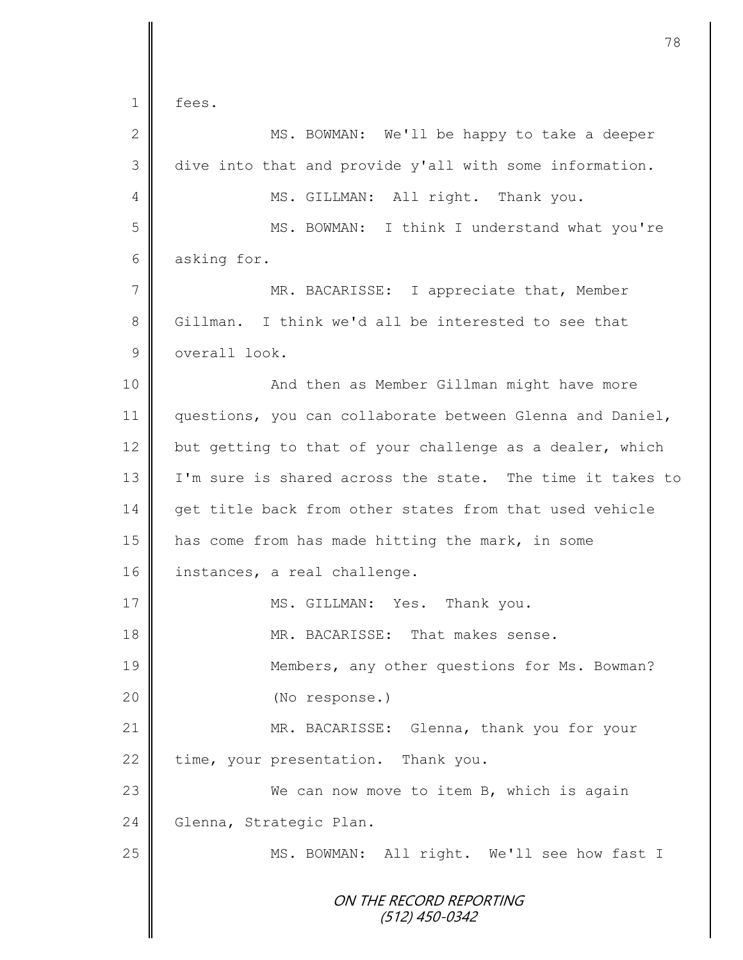| ees |
|-----|
|     |

| $\mathbf{2}$    | MS. BOWMAN: We'll be happy to take a deeper               |
|-----------------|-----------------------------------------------------------|
| 3               | dive into that and provide y'all with some information.   |
| 4               | MS. GILLMAN: All right. Thank you.                        |
| 5               | MS. BOWMAN: I think I understand what you're              |
| 6               | asking for.                                               |
| $7\phantom{.0}$ | MR. BACARISSE: I appreciate that, Member                  |
| $8\,$           | Gillman. I think we'd all be interested to see that       |
| $\mathsf 9$     | overall look.                                             |
| 10              | And then as Member Gillman might have more                |
| 11              | questions, you can collaborate between Glenna and Daniel, |
| 12              | but getting to that of your challenge as a dealer, which  |
| 13              | I'm sure is shared across the state. The time it takes to |
| 14              | get title back from other states from that used vehicle   |
| 15              | has come from has made hitting the mark, in some          |
| 16              | instances, a real challenge.                              |
| 17              | MS. GILLMAN: Yes. Thank you.                              |
| 18              | MR. BACARISSE: That makes sense.                          |
| 19              | Members, any other questions for Ms. Bowman?              |
| 20              | (No response.)                                            |
| 21              | MR. BACARISSE: Glenna, thank you for your                 |
| 22              | time, your presentation. Thank you.                       |
| 23              | We can now move to item B, which is again                 |
| 24              | Glenna, Strategic Plan.                                   |
| 25              | MS. BOWMAN: All right. We'll see how fast I               |
|                 | ON THE RECORD REPORTING<br>$(512)$ 450-0342               |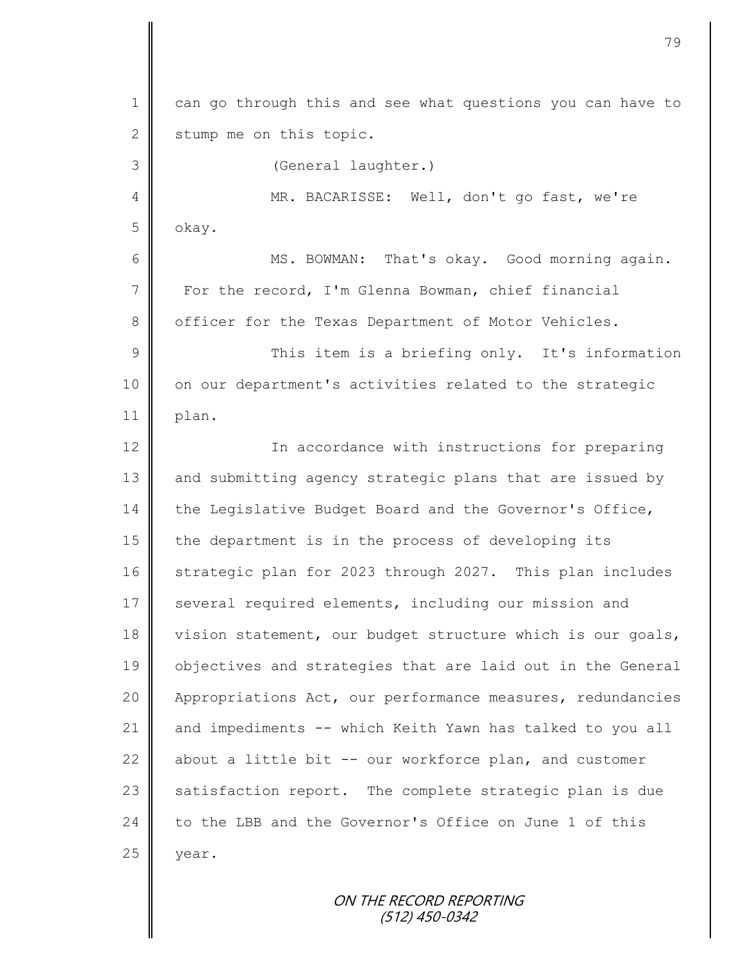1 can go through this and see what questions you can have to  $2 \parallel$  stump me on this topic. 3 (General laughter.) 4 MR. BACARISSE: Well, don't go fast, we're 5 okay. 6 || MS. BOWMAN: That's okay. Good morning again. 7 For the record, I'm Glenna Bowman, chief financial 8 | officer for the Texas Department of Motor Vehicles. 9 || This item is a briefing only. It's information 10 | on our department's activities related to the strategic  $11$  | plan. 12 || In accordance with instructions for preparing 13 and submitting agency strategic plans that are issued by 14 the Legislative Budget Board and the Governor's Office, 15 | the department is in the process of developing its 16 Strategic plan for 2023 through 2027. This plan includes 17 several required elements, including our mission and 18 vision statement, our budget structure which is our goals, 19 | objectives and strategies that are laid out in the General 20 Appropriations Act, our performance measures, redundancies 21 and impediments -- which Keith Yawn has talked to you all 22  $\parallel$  about a little bit -- our workforce plan, and customer  $23$  satisfaction report. The complete strategic plan is due 24 to the LBB and the Governor's Office on June 1 of this  $25$  year.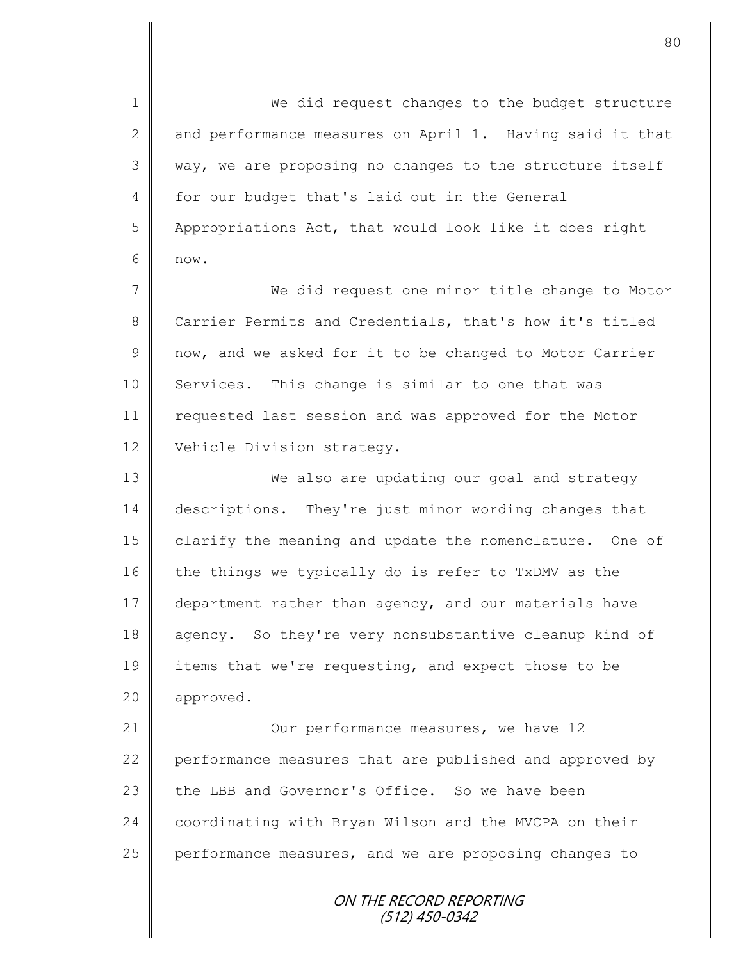1 || We did request changes to the budget structure  $2 \parallel$  and performance measures on April 1. Having said it that 3 || way, we are proposing no changes to the structure itself 4 for our budget that's laid out in the General 5 | Appropriations Act, that would look like it does right  $6 \parallel$  now.

7 || We did request one minor title change to Motor 8 Carrier Permits and Credentials, that's how it's titled 9 now, and we asked for it to be changed to Motor Carrier 10 Services. This change is similar to one that was 11 | requested last session and was approved for the Motor 12 Vehicle Division strategy.

13 We also are updating our goal and strategy 14 descriptions. They're just minor wording changes that 15 clarify the meaning and update the nomenclature. One of 16 the things we typically do is refer to TxDMV as the 17 department rather than agency, and our materials have 18 agency. So they're very nonsubstantive cleanup kind of 19 items that we're requesting, and expect those to be 20 | approved.

21 **Our performance measures, we have 12** 22 performance measures that are published and approved by 23  $\parallel$  the LBB and Governor's Office. So we have been 24 coordinating with Bryan Wilson and the MVCPA on their 25  $\parallel$  performance measures, and we are proposing changes to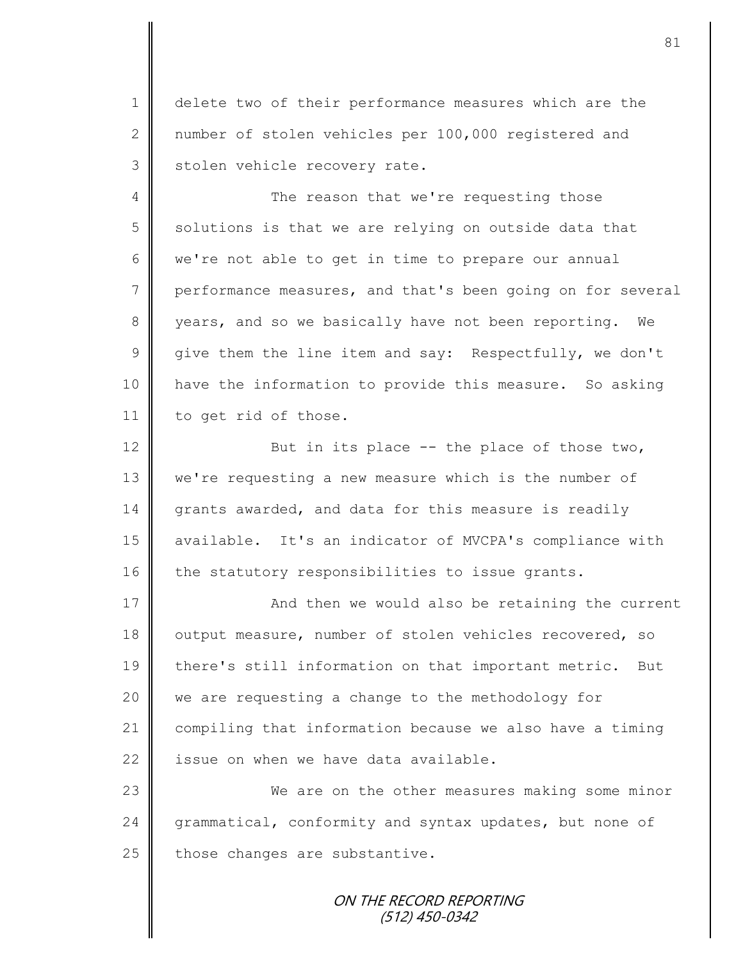1 delete two of their performance measures which are the 2 mumber of stolen vehicles per 100,000 registered and  $3$  stolen vehicle recovery rate.

4 The reason that we're requesting those  $5 \parallel$  solutions is that we are relying on outside data that  $6 \parallel$  we're not able to get in time to prepare our annual 7 performance measures, and that's been going on for several 8 years, and so we basically have not been reporting. We  $9 \parallel$  give them the line item and say: Respectfully, we don't 10 have the information to provide this measure. So asking 11 | to get rid of those.

12  $\parallel$  But in its place -- the place of those two, 13 we're requesting a new measure which is the number of 14 grants awarded, and data for this measure is readily 15 || available. It's an indicator of MVCPA's compliance with 16 the statutory responsibilities to issue grants.

17 | And then we would also be retaining the current 18 output measure, number of stolen vehicles recovered, so 19 || there's still information on that important metric. But 20 || we are requesting a change to the methodology for 21 compiling that information because we also have a timing  $22$  | issue on when we have data available.

23 We are on the other measures making some minor 24 grammatical, conformity and syntax updates, but none of  $25$  those changes are substantive.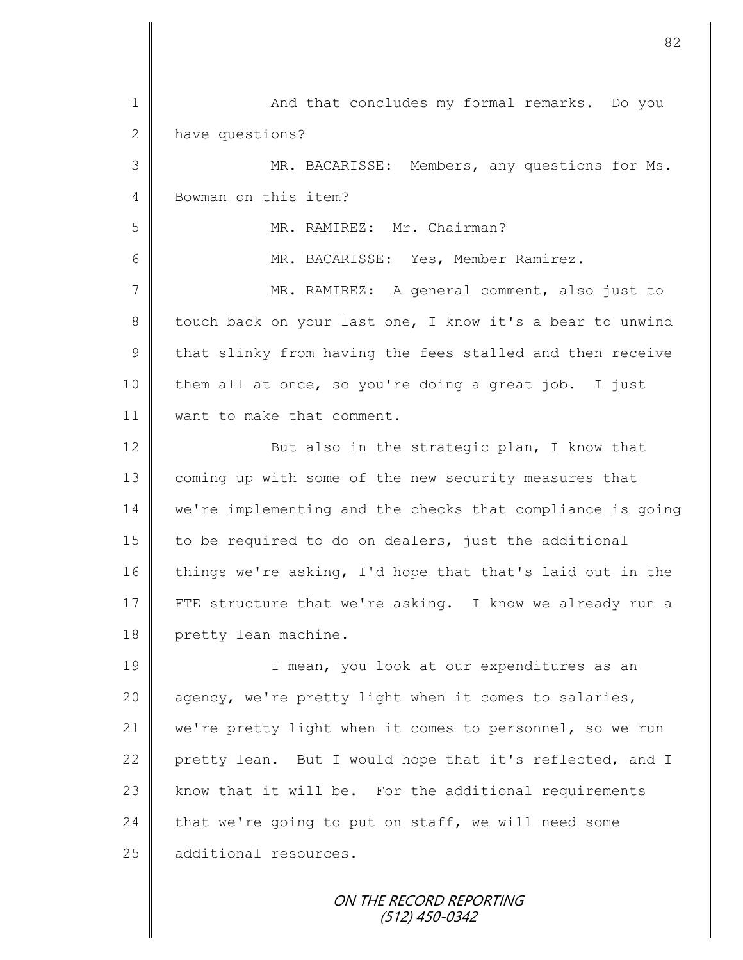| 1            | And that concludes my formal remarks. Do you               |
|--------------|------------------------------------------------------------|
| $\mathbf{2}$ | have questions?                                            |
| 3            | MR. BACARISSE: Members, any questions for Ms.              |
| 4            | Bowman on this item?                                       |
| 5            | MR. RAMIREZ: Mr. Chairman?                                 |
| 6            | MR. BACARISSE: Yes, Member Ramirez.                        |
| 7            | MR. RAMIREZ: A general comment, also just to               |
| 8            | touch back on your last one, I know it's a bear to unwind  |
| $\mathsf 9$  | that slinky from having the fees stalled and then receive  |
| 10           | them all at once, so you're doing a great job. I just      |
| 11           | want to make that comment.                                 |
| 12           | But also in the strategic plan, I know that                |
| 13           | coming up with some of the new security measures that      |
| 14           | we're implementing and the checks that compliance is going |
| 15           | to be required to do on dealers, just the additional       |
| 16           | things we're asking, I'd hope that that's laid out in the  |
| 17           | FTE structure that we're asking. I know we already run a   |
| 18           | pretty lean machine.                                       |
| 19           | I mean, you look at our expenditures as an                 |
| 20           | agency, we're pretty light when it comes to salaries,      |
| 21           | we're pretty light when it comes to personnel, so we run   |
| 22           | pretty lean. But I would hope that it's reflected, and I   |
| 23           | know that it will be. For the additional requirements      |
| 24           | that we're going to put on staff, we will need some        |
| 25           | additional resources.                                      |
|              |                                                            |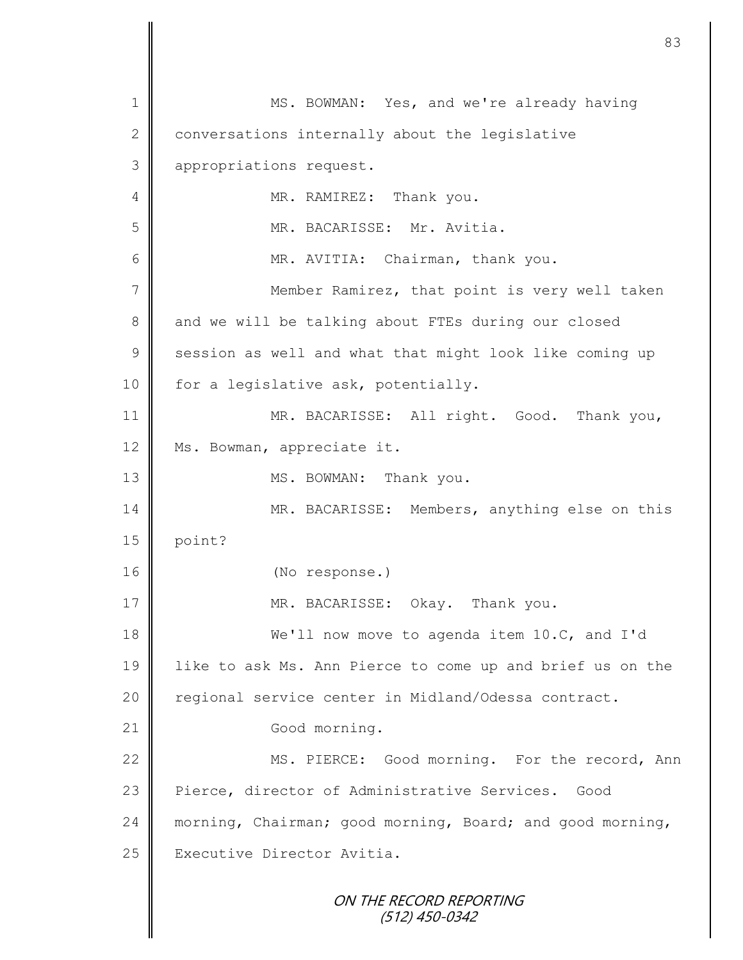ON THE RECORD REPORTING (512) 450-0342 1 || MS. BOWMAN: Yes, and we're already having 2 conversations internally about the legislative 3 | appropriations request. 4 MR. RAMIREZ: Thank you. 5 MR. BACARISSE: Mr. Avitia. 6 || MR. AVITIA: Chairman, thank you. 7 || Member Ramirez, that point is very well taken 8 and we will be talking about FTEs during our closed 9 session as well and what that might look like coming up 10  $\parallel$  for a legislative ask, potentially. 11 MR. BACARISSE: All right. Good. Thank you, 12 | Ms. Bowman, appreciate it. 13 MS. BOWMAN: Thank you. 14 MR. BACARISSE: Members, anything else on this  $15$  point? 16 (No response.) 17 | MR. BACARISSE: Okay. Thank you. 18 We'll now move to agenda item 10.C, and I'd 19 like to ask Ms. Ann Pierce to come up and brief us on the 20 | regional service center in Midland/Odessa contract. 21 Good morning. 22 | MS. PIERCE: Good morning. For the record, Ann 23 Pierce, director of Administrative Services. Good 24 morning, Chairman; good morning, Board; and good morning, 25 | Executive Director Avitia.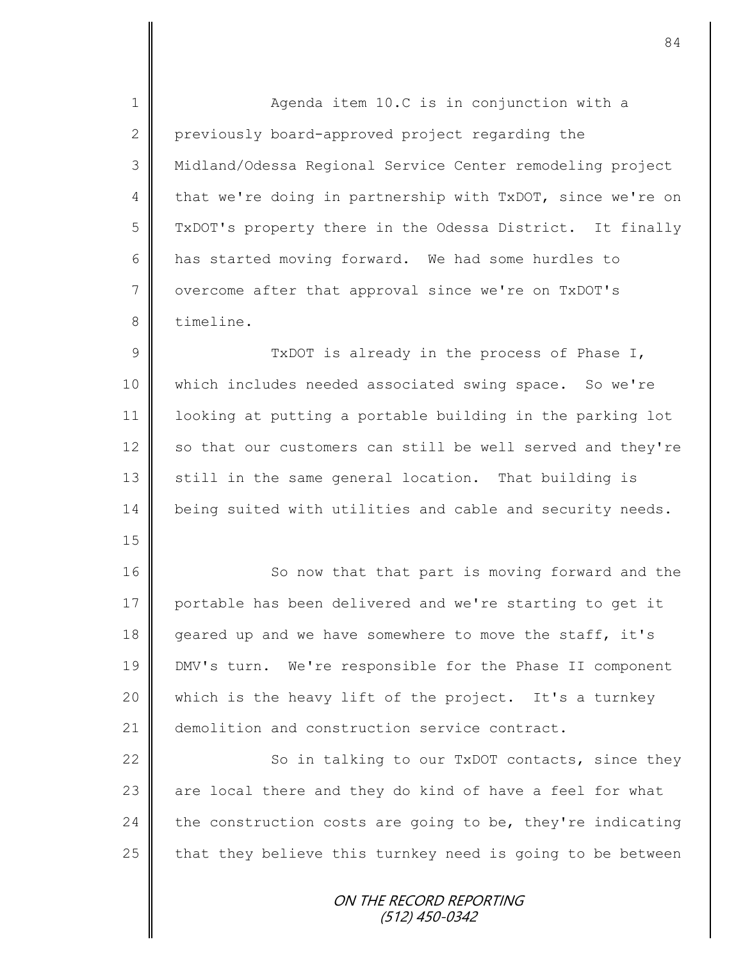ON THE RECORD REPORTING (512) 450-0342 1 || Agenda item 10.C is in conjunction with a 2 previously board-approved project regarding the 3 Midland/Odessa Regional Service Center remodeling project 4 that we're doing in partnership with TxDOT, since we're on 5 TxDOT's property there in the Odessa District. It finally 6 has started moving forward. We had some hurdles to 7 | overcome after that approval since we're on TxDOT's 8 timeline. 9 || TxDOT is already in the process of Phase I, 10 which includes needed associated swing space. So we're 11 looking at putting a portable building in the parking lot 12 so that our customers can still be well served and they're 13  $\parallel$  still in the same general location. That building is 14 being suited with utilities and cable and security needs. 15 16 | So now that that part is moving forward and the 17 portable has been delivered and we're starting to get it 18 geared up and we have somewhere to move the staff, it's 19 DMV's turn. We're responsible for the Phase II component 20 which is the heavy lift of the project. It's a turnkey 21 demolition and construction service contract. 22 So in talking to our TxDOT contacts, since they 23  $\parallel$  are local there and they do kind of have a feel for what 24 the construction costs are going to be, they're indicating 25  $\parallel$  that they believe this turnkey need is going to be between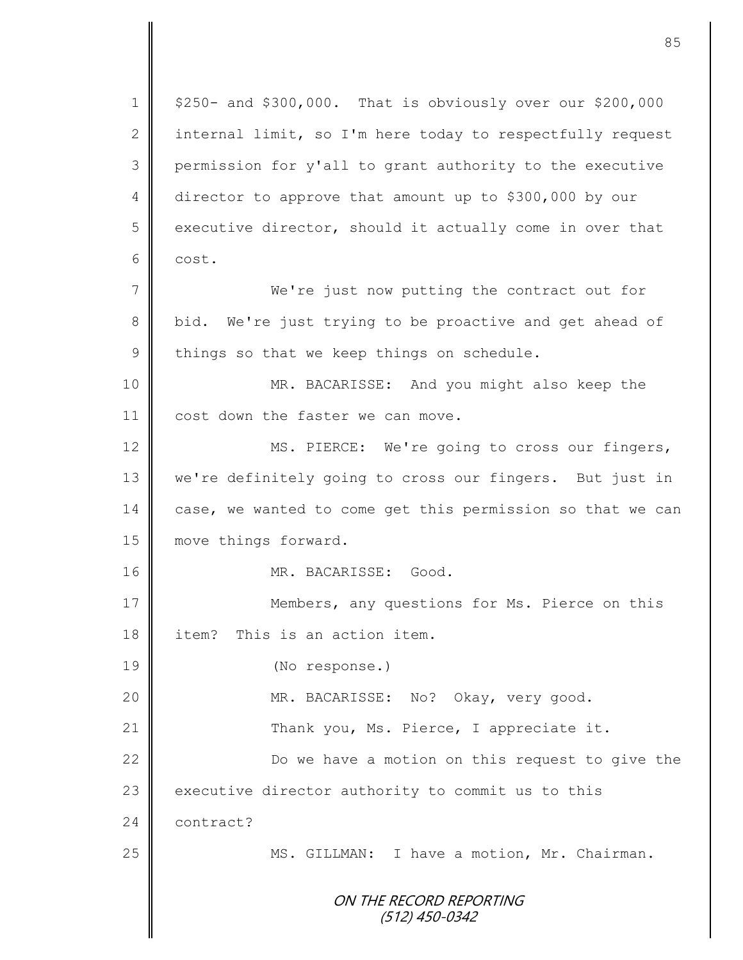ON THE RECORD REPORTING (512) 450-0342  $1 \parallel$  \$250- and \$300,000. That is obviously over our \$200,000 2 internal limit, so I'm here today to respectfully request 3 permission for y'all to grant authority to the executive 4 director to approve that amount up to \$300,000 by our  $5 \parallel$  executive director, should it actually come in over that 6 cost. 7 We're just now putting the contract out for 8 bid. We're just trying to be proactive and get ahead of  $9 \parallel$  things so that we keep things on schedule. 10 || MR. BACARISSE: And you might also keep the 11 cost down the faster we can move. 12 MS. PIERCE: We're going to cross our fingers, 13 | we're definitely going to cross our fingers. But just in 14 case, we wanted to come get this permission so that we can 15 **move** things forward. 16 MR. BACARISSE: Good. 17 Members, any questions for Ms. Pierce on this 18 item? This is an action item. 19 (No response.) 20 || MR. BACARISSE: No? Okay, very good. 21 | Thank you, Ms. Pierce, I appreciate it. 22 | Do we have a motion on this request to give the  $23$  executive director authority to commit us to this 24 **contract?** 25 | MS. GILLMAN: I have a motion, Mr. Chairman.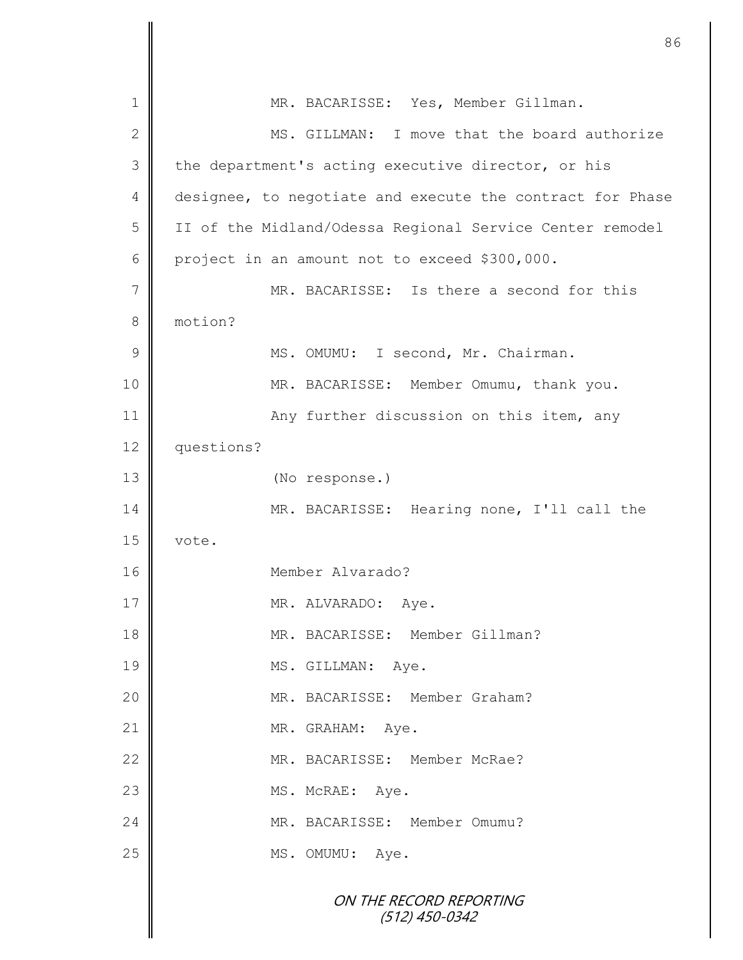| 1            | MR. BACARISSE: Yes, Member Gillman.                       |
|--------------|-----------------------------------------------------------|
| $\mathbf{2}$ | MS. GILLMAN: I move that the board authorize              |
| 3            | the department's acting executive director, or his        |
| 4            | designee, to negotiate and execute the contract for Phase |
| 5            | II of the Midland/Odessa Regional Service Center remodel  |
| 6            | project in an amount not to exceed \$300,000.             |
| 7            | MR. BACARISSE: Is there a second for this                 |
| 8            | motion?                                                   |
| 9            | MS. OMUMU: I second, Mr. Chairman.                        |
| 10           | MR. BACARISSE: Member Omumu, thank you.                   |
| 11           | Any further discussion on this item, any                  |
| 12           | questions?                                                |
| 13           | (No response.)                                            |
| 14           | MR. BACARISSE: Hearing none, I'll call the                |
| 15           | vote.                                                     |
| 16           | Member Alvarado?                                          |
| $17$         | MR. ALVARADO: Aye.                                        |
| 18           | MR. BACARISSE: Member Gillman?                            |
| 19           | MS. GILLMAN: Aye.                                         |
| 20           | MR. BACARISSE: Member Graham?                             |
| 21           | MR. GRAHAM: Aye.                                          |
| 22           | MR. BACARISSE: Member McRae?                              |
| 23           | MS. McRAE: Aye.                                           |
| 24           | MR. BACARISSE: Member Omumu?                              |
| 25           | MS. OMUMU: Aye.                                           |
|              | ON THE RECORD REPORTING<br>$(512)$ 450-0342               |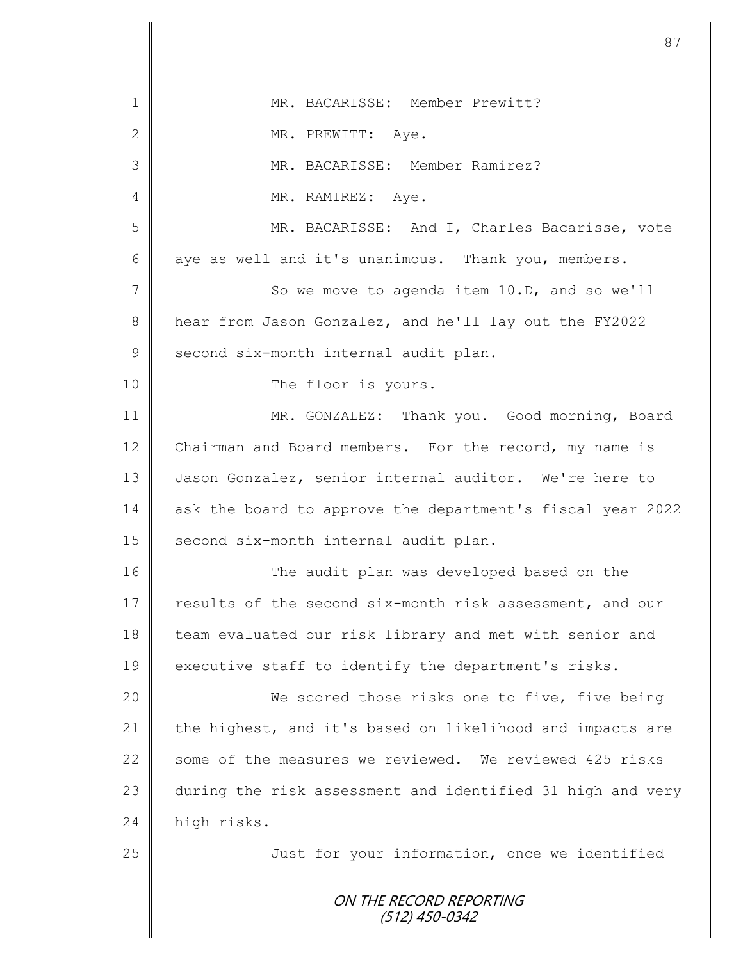| $\mathbf 1$   | MR. BACARISSE: Member Prewitt?                             |
|---------------|------------------------------------------------------------|
| $\mathbf{2}$  | MR. PREWITT: Aye.                                          |
| 3             | MR. BACARISSE: Member Ramirez?                             |
| 4             | MR. RAMIREZ: Aye.                                          |
| 5             | MR. BACARISSE: And I, Charles Bacarisse, vote              |
| 6             | aye as well and it's unanimous. Thank you, members.        |
| $\sqrt{}$     | So we move to agenda item 10.D, and so we'll               |
| 8             | hear from Jason Gonzalez, and he'll lay out the FY2022     |
| $\mathcal{G}$ | second six-month internal audit plan.                      |
| 10            | The floor is yours.                                        |
| 11            | MR. GONZALEZ: Thank you. Good morning, Board               |
| 12            | Chairman and Board members. For the record, my name is     |
| 13            | Jason Gonzalez, senior internal auditor. We're here to     |
| 14            | ask the board to approve the department's fiscal year 2022 |
| 15            | second six-month internal audit plan.                      |
| 16            | The audit plan was developed based on the                  |
| $17$          | results of the second six-month risk assessment, and our   |
| 18            | team evaluated our risk library and met with senior and    |
| 19            | executive staff to identify the department's risks.        |
| 20            | We scored those risks one to five, five being              |
| 21            | the highest, and it's based on likelihood and impacts are  |
| 22            | some of the measures we reviewed. We reviewed 425 risks    |
| 23            | during the risk assessment and identified 31 high and very |
| 24            | high risks.                                                |
| 25            | Just for your information, once we identified              |
|               | ON THE RECORD REPORTING                                    |
|               | (512) 450-0342                                             |
|               |                                                            |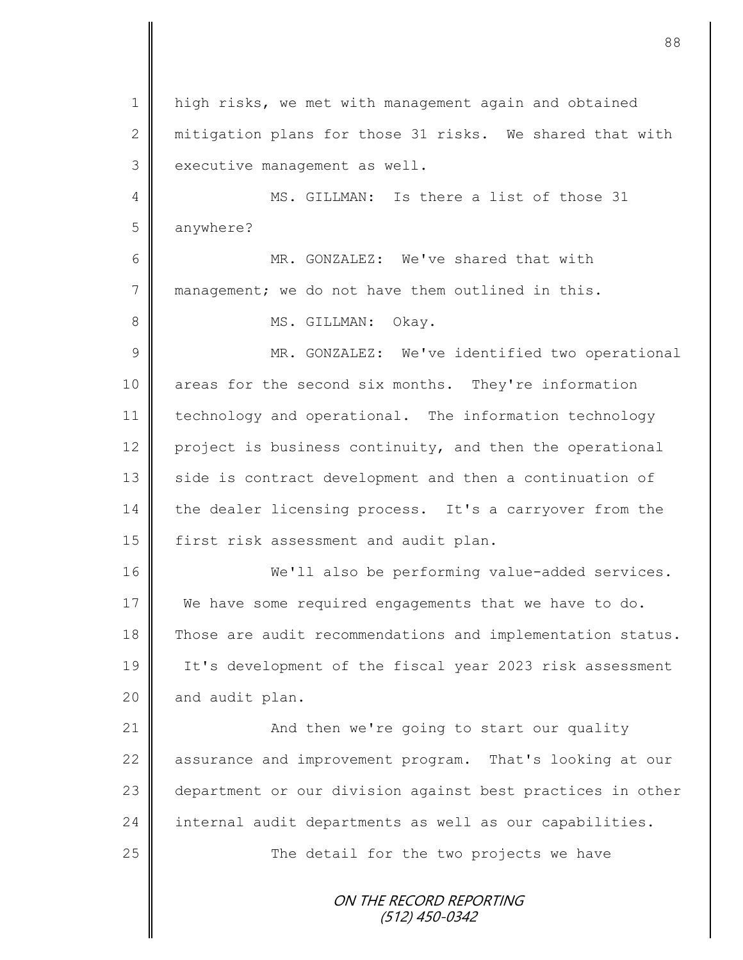ON THE RECORD REPORTING (512) 450-0342 1 | high risks, we met with management again and obtained 2 mitigation plans for those 31 risks. We shared that with  $3 \parallel$  executive management as well. 4 MS. GILLMAN: Is there a list of those 31 5 anywhere? 6 || MR. GONZALEZ: We've shared that with 7 management; we do not have them outlined in this. 8 || MS. GILLMAN: Okay. 9 || MR. GONZALEZ: We've identified two operational 10 areas for the second six months. They're information 11 technology and operational. The information technology 12 project is business continuity, and then the operational 13 side is contract development and then a continuation of 14 the dealer licensing process. It's a carryover from the 15 | first risk assessment and audit plan. 16 We'll also be performing value-added services. 17 We have some required engagements that we have to do. 18 Those are audit recommendations and implementation status. 19 It's development of the fiscal year 2023 risk assessment  $20$  | and audit plan. 21 | And then we're going to start our quality 22 assurance and improvement program. That's looking at our 23 department or our division against best practices in other 24 | internal audit departments as well as our capabilities.  $25$   $\parallel$  The detail for the two projects we have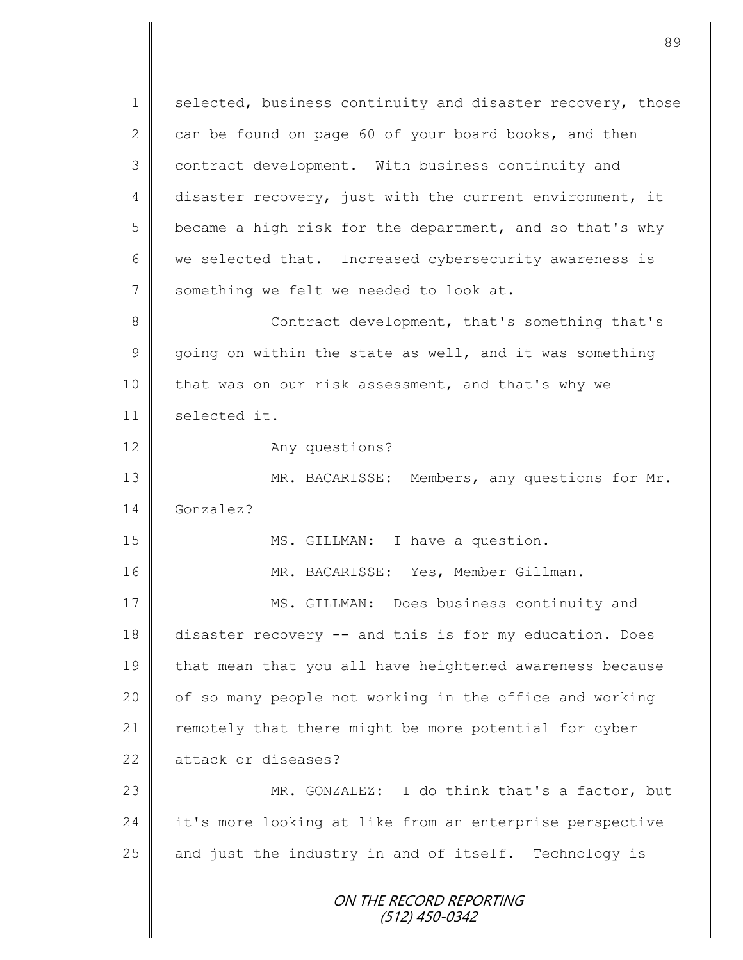ON THE RECORD REPORTING (512) 450-0342 1 selected, business continuity and disaster recovery, those 2 can be found on page 60 of your board books, and then 3 contract development. With business continuity and 4 disaster recovery, just with the current environment, it  $5 \parallel$  became a high risk for the department, and so that's why 6 | we selected that. Increased cybersecurity awareness is 7 Something we felt we needed to look at. 8 Contract development, that's something that's  $9 \parallel$  going on within the state as well, and it was something 10 that was on our risk assessment, and that's why we 11 | selected it. 12 Any questions? 13 MR. BACARISSE: Members, any questions for Mr. 14 Gonzalez? 15 || MS. GILLMAN: I have a question. 16 MR. BACARISSE: Yes, Member Gillman. 17 **MS. GILLMAN:** Does business continuity and 18 disaster recovery -- and this is for my education. Does 19 | that mean that you all have heightened awareness because 20 | of so many people not working in the office and working 21 | remotely that there might be more potential for cyber 22 attack or diseases? 23 MR. GONZALEZ: I do think that's a factor, but 24 | it's more looking at like from an enterprise perspective 25 and just the industry in and of itself. Technology is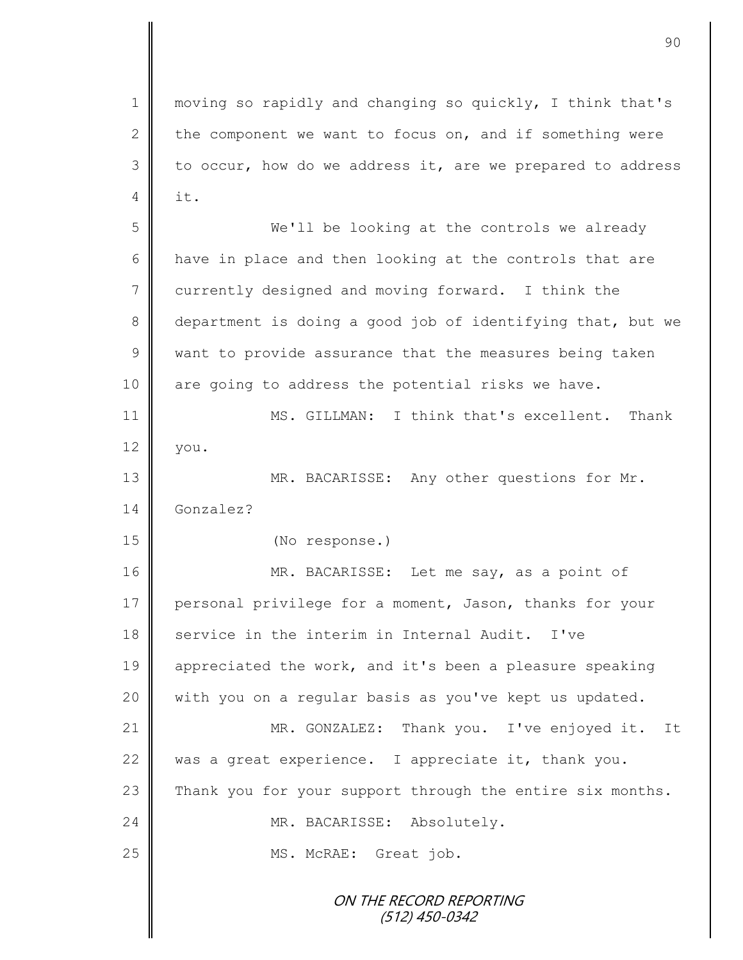ON THE RECORD REPORTING (512) 450-0342 1 || moving so rapidly and changing so quickly, I think that's 2 the component we want to focus on, and if something were  $3 \parallel$  to occur, how do we address it, are we prepared to address  $4 \parallel$  it. 5 We'll be looking at the controls we already 6 | have in place and then looking at the controls that are 7 currently designed and moving forward. I think the 8 department is doing a good job of identifying that, but we  $9 \parallel$  want to provide assurance that the measures being taken 10 || are going to address the potential risks we have. 11 MS. GILLMAN: I think that's excellent. Thank  $12 \parallel$  you. 13 || MR. BACARISSE: Any other questions for Mr. 14 Gonzalez? 15 (No response.) 16 MR. BACARISSE: Let me say, as a point of 17 personal privilege for a moment, Jason, thanks for your 18 service in the interim in Internal Audit. I've 19 appreciated the work, and it's been a pleasure speaking 20 with you on a regular basis as you've kept us updated. 21 | MR. GONZALEZ: Thank you. I've enjoyed it. It 22 was a great experience. I appreciate it, thank you. 23 Thank you for your support through the entire six months. 24 | MR. BACARISSE: Absolutely. 25 || MS. McRAE: Great job.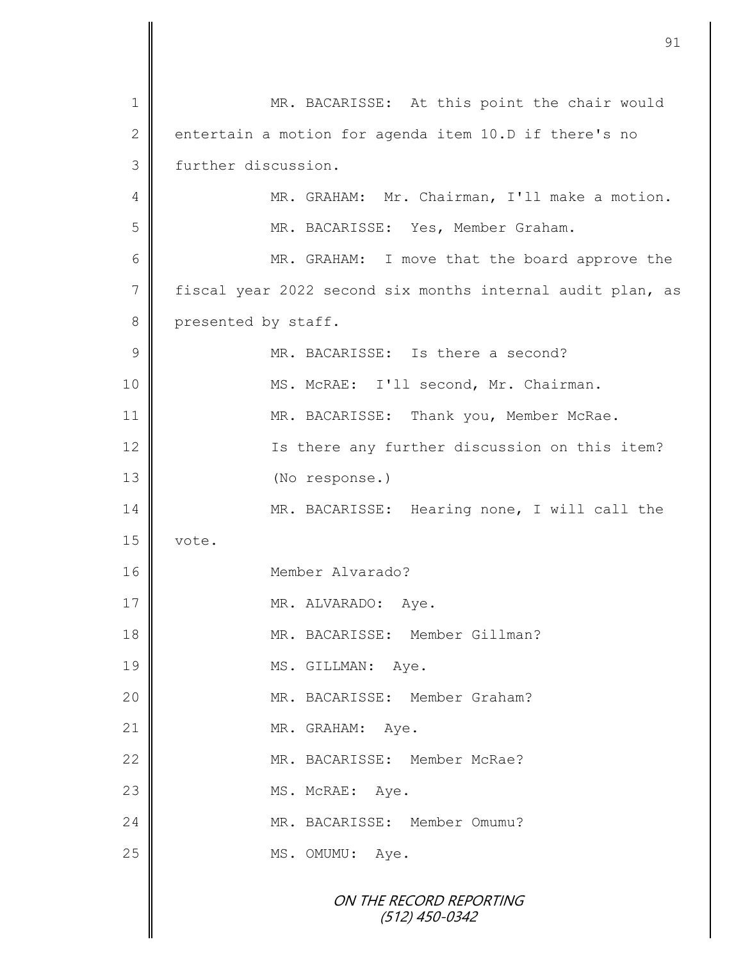|               | 91                                                         |
|---------------|------------------------------------------------------------|
|               |                                                            |
| 1             | MR. BACARISSE: At this point the chair would               |
| 2             | entertain a motion for agenda item 10.D if there's no      |
| 3             | further discussion.                                        |
| 4             | MR. GRAHAM: Mr. Chairman, I'll make a motion.              |
| 5             | MR. BACARISSE: Yes, Member Graham.                         |
| 6             | MR. GRAHAM: I move that the board approve the              |
| 7             | fiscal year 2022 second six months internal audit plan, as |
| 8             | presented by staff.                                        |
| $\mathcal{G}$ | MR. BACARISSE: Is there a second?                          |
| 10            | MS. McRAE: I'll second, Mr. Chairman.                      |
| 11            | MR. BACARISSE: Thank you, Member McRae.                    |
| 12            | Is there any further discussion on this item?              |
| 13            | (No response.)                                             |
| 14            | MR. BACARISSE: Hearing none, I will call the               |
| 15            | vote.                                                      |
| 16            | Member Alvarado?                                           |
| 17            | MR. ALVARADO: Aye.                                         |
| 18            | MR. BACARISSE: Member Gillman?                             |
| 19            | MS. GILLMAN: Aye.                                          |
| 20            | MR. BACARISSE: Member Graham?                              |
| 21            | MR. GRAHAM: Aye.                                           |
| 22            | MR. BACARISSE: Member McRae?                               |
| 23            | MS. McRAE: Aye.                                            |
| 24            | MR. BACARISSE: Member Omumu?                               |
| 25            | MS. OMUMU: Aye.                                            |
|               | ON THE RECORD REPORTING<br>$(512)$ 450-0342                |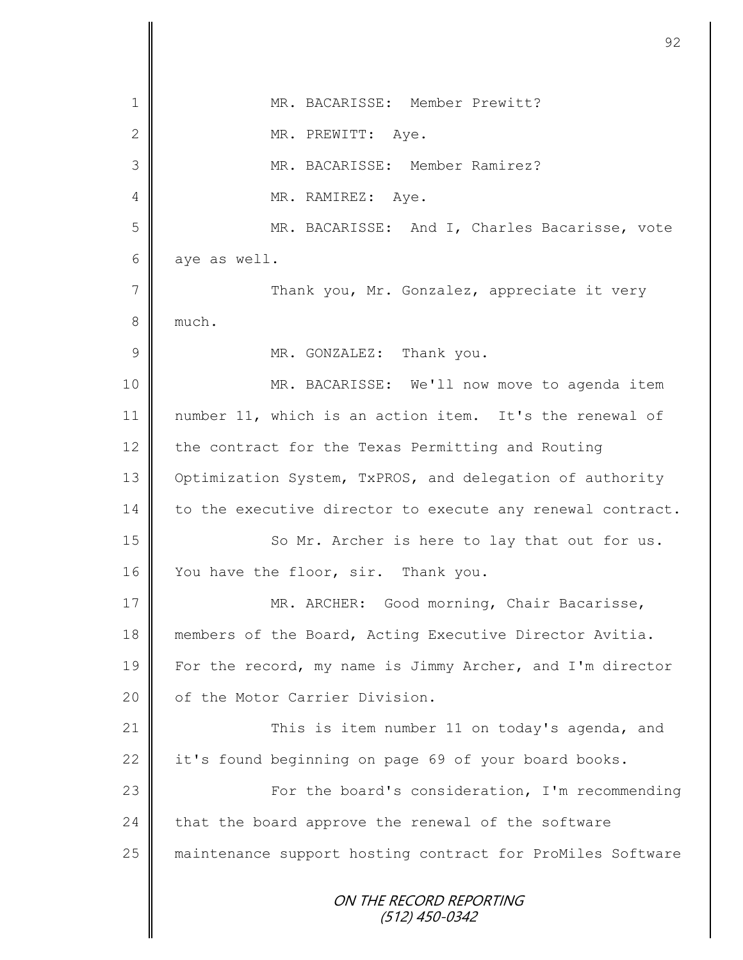|                | 92                                                         |
|----------------|------------------------------------------------------------|
| 1              | MR. BACARISSE: Member Prewitt?                             |
| $\mathbf{2}$   | MR. PREWITT: Aye.                                          |
| 3              | MR. BACARISSE: Member Ramirez?                             |
| 4              | MR. RAMIREZ: Aye.                                          |
| 5              | MR. BACARISSE: And I, Charles Bacarisse, vote              |
| 6              | aye as well.                                               |
| $\overline{7}$ | Thank you, Mr. Gonzalez, appreciate it very                |
| 8              | much.                                                      |
| $\mathcal{G}$  | MR. GONZALEZ: Thank you.                                   |
| 10             | MR. BACARISSE: We'll now move to agenda item               |
|                |                                                            |
| 11             | number 11, which is an action item. It's the renewal of    |
| 12             | the contract for the Texas Permitting and Routing          |
| 13             | Optimization System, TxPROS, and delegation of authority   |
| 14             | to the executive director to execute any renewal contract. |
| 15             | So Mr. Archer is here to lay that out for us.              |
| 16             | You have the floor, sir. Thank you.                        |
| 17             | MR. ARCHER: Good morning, Chair Bacarisse,                 |
| 18             | members of the Board, Acting Executive Director Avitia.    |
| 19             | For the record, my name is Jimmy Archer, and I'm director  |
| 20             | of the Motor Carrier Division.                             |
| 21             | This is item number 11 on today's agenda, and              |
| 22             | it's found beginning on page 69 of your board books.       |
| 23             | For the board's consideration, I'm recommending            |
| 24             | that the board approve the renewal of the software         |
| 25             | maintenance support hosting contract for ProMiles Software |
|                | ON THE RECORD REPORTING<br>(512) 450-0342                  |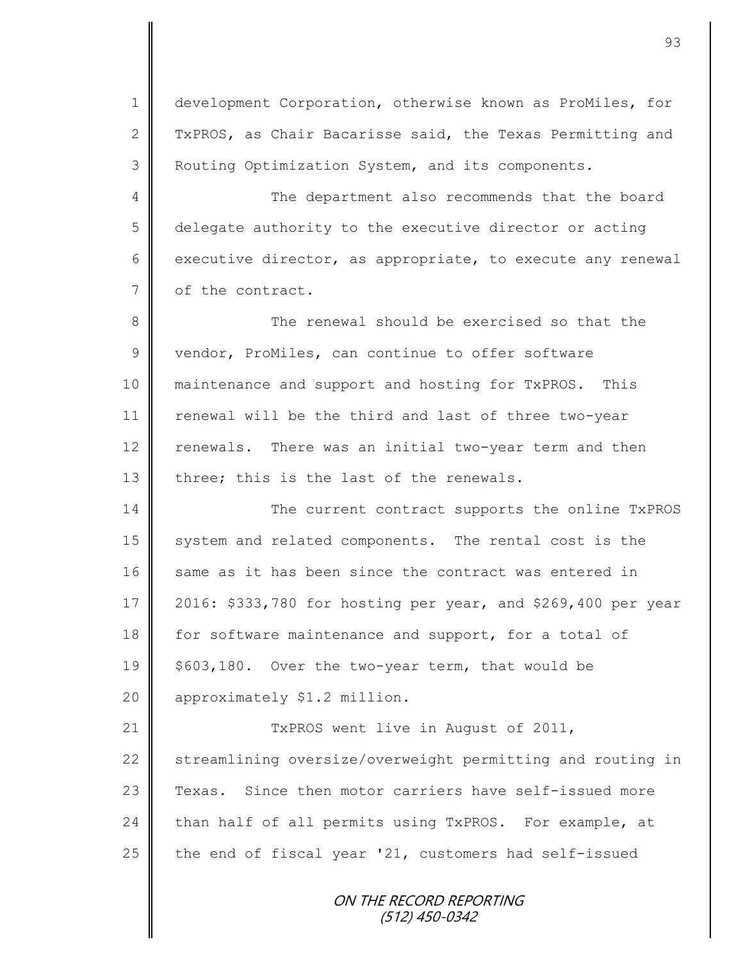1 development Corporation, otherwise known as ProMiles, for 2 TxPROS, as Chair Bacarisse said, the Texas Permitting and 3 Routing Optimization System, and its components.

4 The department also recommends that the board 5 delegate authority to the executive director or acting 6 executive director, as appropriate, to execute any renewal 7 | of the contract.

8  $\parallel$  The renewal should be exercised so that the  $9 \parallel$  vendor, ProMiles, can continue to offer software 10 || maintenance and support and hosting for TxPROS. This 11 | renewal will be the third and last of three two-year 12 renewals. There was an initial two-year term and then 13  $\parallel$  three; this is the last of the renewals.

14 The current contract supports the online TxPROS 15 system and related components. The rental cost is the 16 same as it has been since the contract was entered in 17 2016: \$333,780 for hosting per year, and \$269,400 per year 18 for software maintenance and support, for a total of 19  $\parallel$  \$603,180. Over the two-year term, that would be 20 | approximately \$1.2 million.

21 || TxPROS went live in August of 2011, 22 Streamlining oversize/overweight permitting and routing in 23 Texas. Since then motor carriers have self-issued more 24 than half of all permits using TxPROS. For example, at 25  $\parallel$  the end of fiscal year '21, customers had self-issued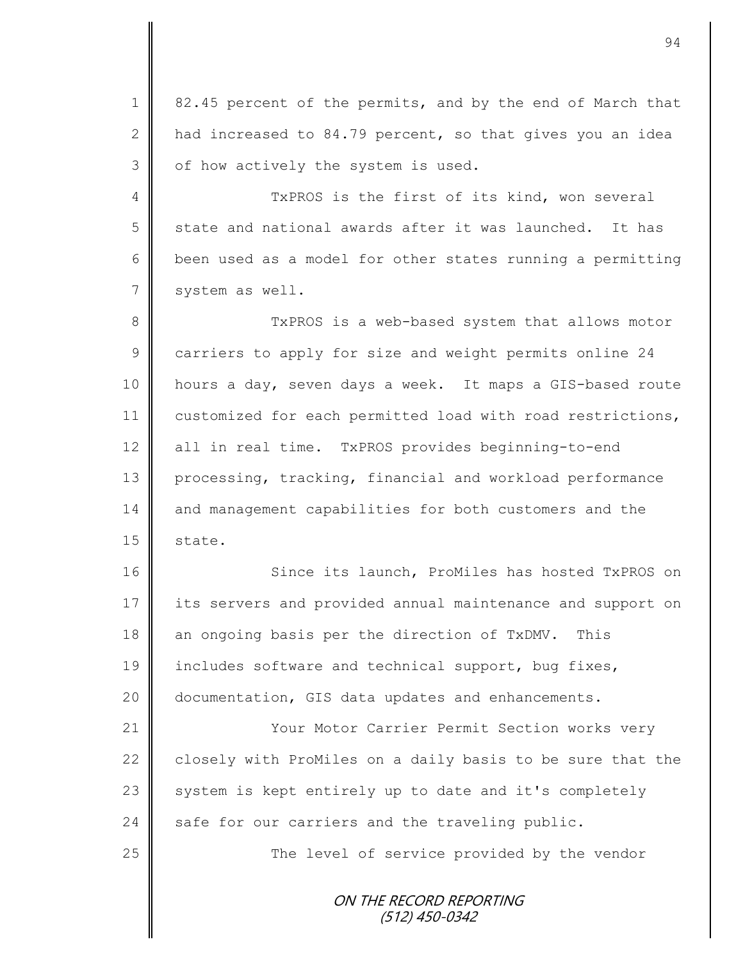1 82.45 percent of the permits, and by the end of March that 2  $\parallel$  had increased to 84.79 percent, so that gives you an idea  $3$  | of how actively the system is used.

4 TxPROS is the first of its kind, won several 5 state and national awards after it was launched. It has 6 been used as a model for other states running a permitting 7 | system as well.

8 || TxPROS is a web-based system that allows motor 9 carriers to apply for size and weight permits online 24 10 hours a day, seven days a week. It maps a GIS-based route 11 customized for each permitted load with road restrictions, 12 all in real time. TxPROS provides beginning-to-end 13 processing, tracking, financial and workload performance 14 and management capabilities for both customers and the  $15 \parallel$  state.

16 Since its launch, ProMiles has hosted TxPROS on 17 its servers and provided annual maintenance and support on 18 an ongoing basis per the direction of TxDMV. This 19 includes software and technical support, bug fixes, 20 documentation, GIS data updates and enhancements.

21 | Your Motor Carrier Permit Section works very 22 closely with ProMiles on a daily basis to be sure that the 23 system is kept entirely up to date and it's completely 24 safe for our carriers and the traveling public.

25 | The level of service provided by the vendor

ON THE RECORD REPORTING (512) 450-0342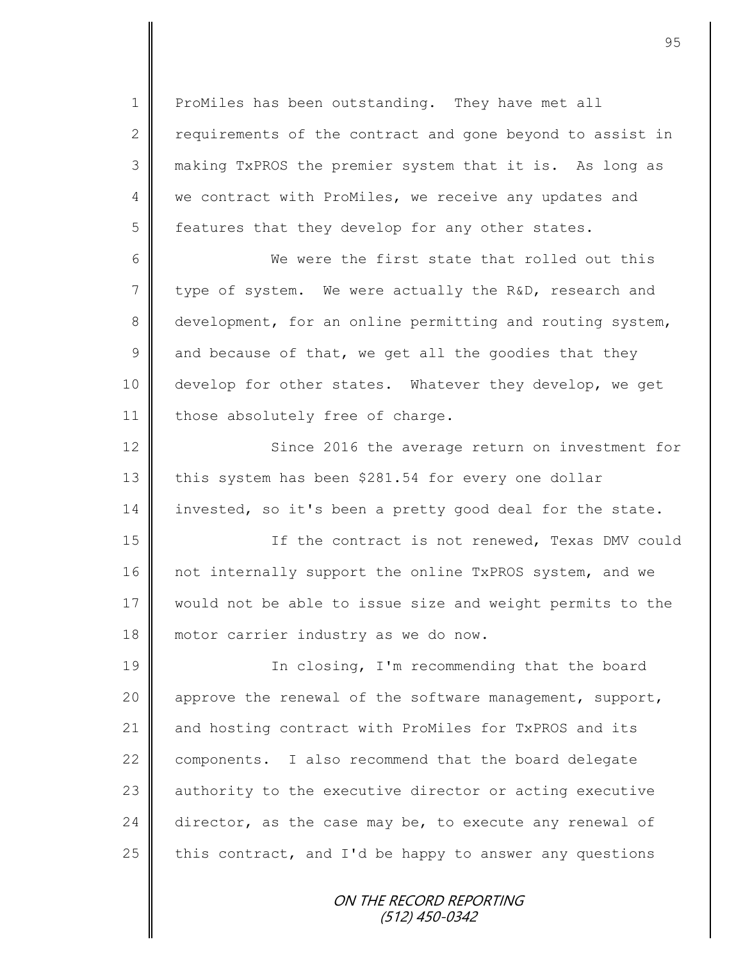1 ProMiles has been outstanding. They have met all 2  $\parallel$  requirements of the contract and gone beyond to assist in 3 making TxPROS the premier system that it is. As long as 4 we contract with ProMiles, we receive any updates and  $5 \parallel$  features that they develop for any other states.

6 We were the first state that rolled out this  $7 \parallel$  type of system. We were actually the R&D, research and 8 development, for an online permitting and routing system, 9 and because of that, we get all the goodies that they 10 develop for other states. Whatever they develop, we get 11 | those absolutely free of charge.

12 Since 2016 the average return on investment for 13 this system has been \$281.54 for every one dollar 14 invested, so it's been a pretty good deal for the state.

15 | The contract is not renewed, Texas DMV could 16 not internally support the online TxPROS system, and we 17 would not be able to issue size and weight permits to the 18 motor carrier industry as we do now.

19 || In closing, I'm recommending that the board 20 | approve the renewal of the software management, support, 21 and hosting contract with ProMiles for TxPROS and its 22 components. I also recommend that the board delegate 23 authority to the executive director or acting executive  $24$  director, as the case may be, to execute any renewal of 25 this contract, and I'd be happy to answer any questions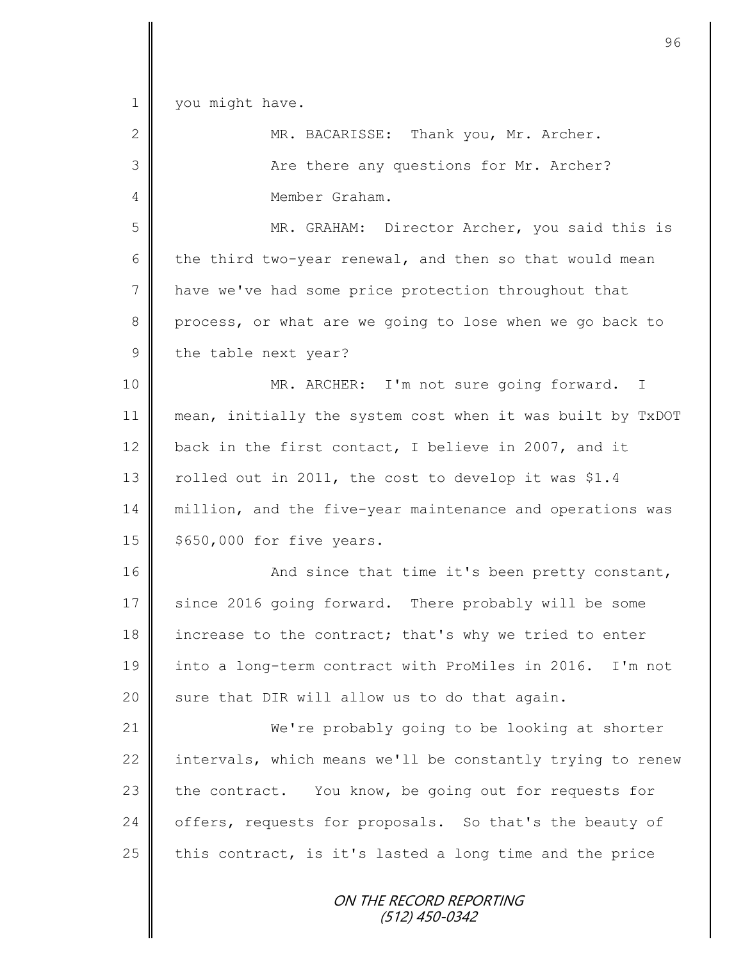ON THE RECORD REPORTING (512) 450-0342 1 | you might have. 2 MR. BACARISSE: Thank you, Mr. Archer. 3 Are there any questions for Mr. Archer? 4 Member Graham. 5 MR. GRAHAM: Director Archer, you said this is 6 the third two-year renewal, and then so that would mean 7 | have we've had some price protection throughout that 8 process, or what are we going to lose when we go back to 9 the table next year? 10 || MR. ARCHER: I'm not sure going forward. I 11 || mean, initially the system cost when it was built by TxDOT 12 back in the first contact, I believe in 2007, and it 13 | rolled out in 2011, the cost to develop it was \$1.4 14 | million, and the five-year maintenance and operations was  $15 \parallel$  \$650,000 for five years. 16 And since that time it's been pretty constant, 17 since 2016 going forward. There probably will be some 18 increase to the contract; that's why we tried to enter 19 into a long-term contract with ProMiles in 2016. I'm not 20 sure that DIR will allow us to do that again. 21 We're probably going to be looking at shorter 22  $\parallel$  intervals, which means we'll be constantly trying to renew 23 the contract. You know, be going out for requests for 24 offers, requests for proposals. So that's the beauty of 25 this contract, is it's lasted a long time and the price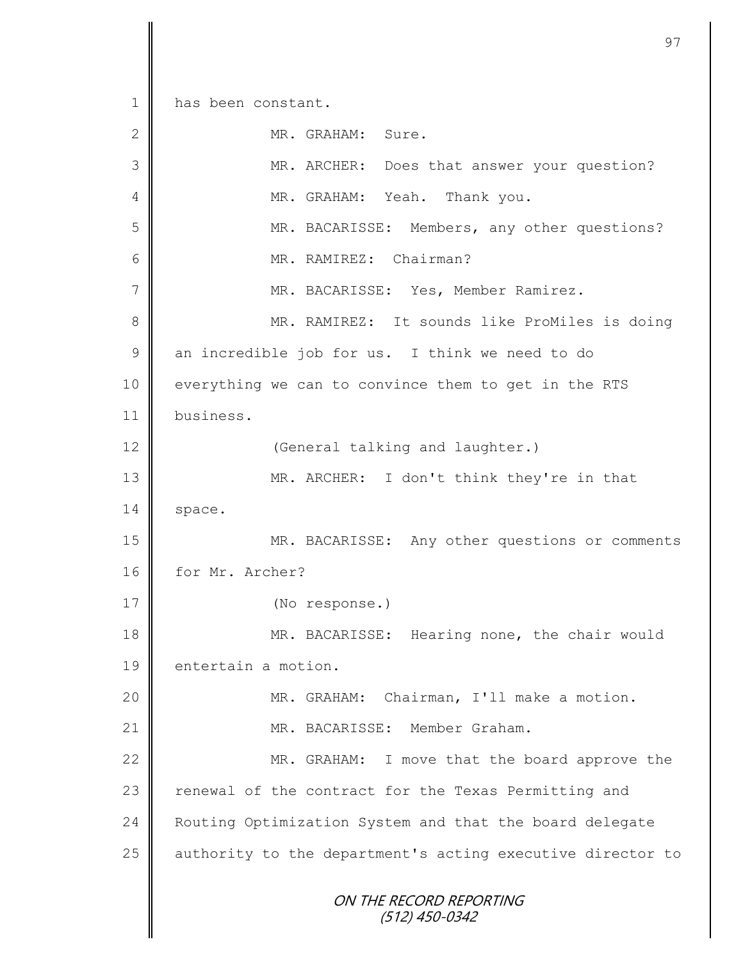ON THE RECORD REPORTING (512) 450-0342 1 has been constant. 2 MR. GRAHAM: Sure. 3 MR. ARCHER: Does that answer your question? 4 || MR. GRAHAM: Yeah. Thank you. 5 || MR. BACARISSE: Members, any other questions? 6 MR. RAMIREZ: Chairman? 7 || MR. BACARISSE: Yes, Member Ramirez. 8 || MR. RAMIREZ: It sounds like ProMiles is doing  $9 \parallel$  an incredible job for us. I think we need to do 10 | everything we can to convince them to get in the RTS 11 business. 12 || (General talking and laughter.) 13 || MR. ARCHER: I don't think they're in that  $14 \parallel$  space. 15 || MR. BACARISSE: Any other questions or comments 16 for Mr. Archer? 17 (No response.) 18 MR. BACARISSE: Hearing none, the chair would 19 entertain a motion. 20 MR. GRAHAM: Chairman, I'll make a motion. 21 | MR. BACARISSE: Member Graham. 22 MR. GRAHAM: I move that the board approve the 23 | renewal of the contract for the Texas Permitting and 24 Routing Optimization System and that the board delegate 25 | authority to the department's acting executive director to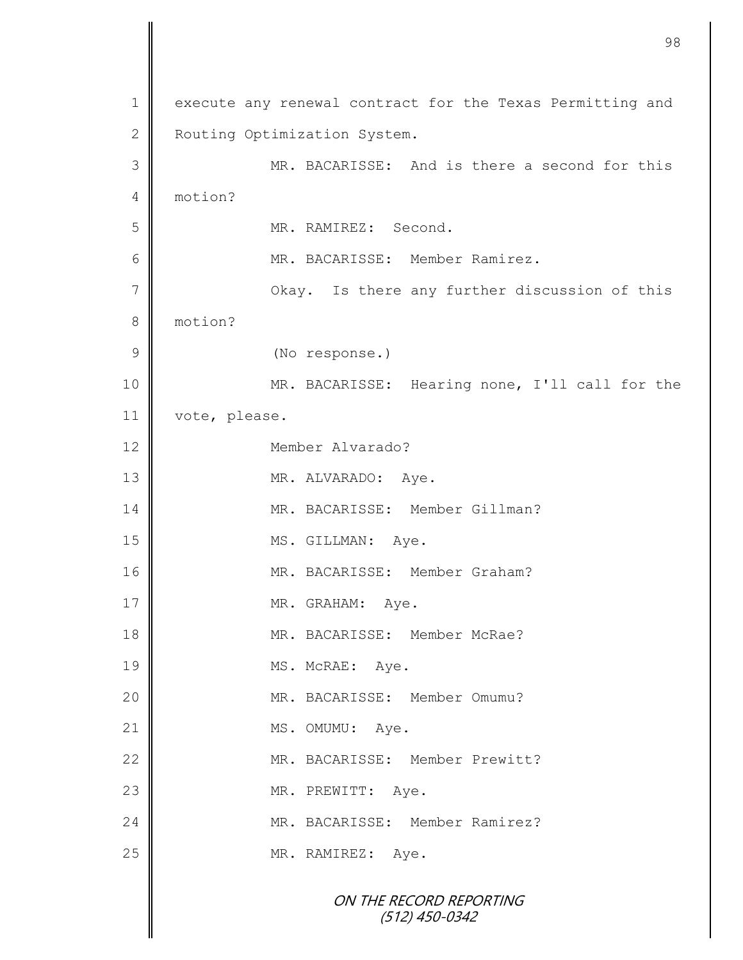ON THE RECORD REPORTING (512) 450-0342 1 execute any renewal contract for the Texas Permitting and 2 Routing Optimization System. 3 MR. BACARISSE: And is there a second for this 4 motion? 5 MR. RAMIREZ: Second. 6 | MR. BACARISSE: Member Ramirez. 7 | Okay. Is there any further discussion of this 8 motion? 9 (No response.) 10 MR. BACARISSE: Hearing none, I'll call for the 11 vote, please. 12 Member Alvarado? 13 MR. ALVARADO: Aye. 14 MR. BACARISSE: Member Gillman? 15 MS. GILLMAN: Aye. 16 || MR. BACARISSE: Member Graham? 17 NR. GRAHAM: Aye. 18 || MR. BACARISSE: Member McRae? 19 MS. McRAE: Aye. 20  $\parallel$  MR. BACARISSE: Member Omumu? 21 MS. OMUMU: Aye. 22 WR. BACARISSE: Member Prewitt? 23 MR. PREWITT: Aye. 24 | MR. BACARISSE: Member Ramirez? 25 MR. RAMIREZ: Aye.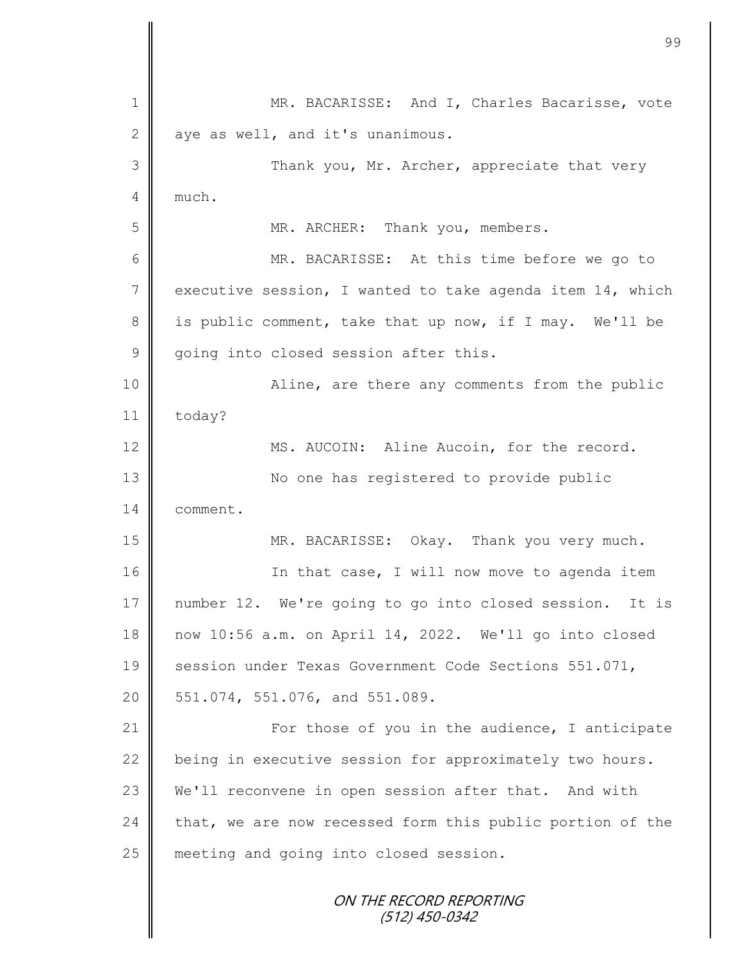ON THE RECORD REPORTING (512) 450-0342 1 MR. BACARISSE: And I, Charles Bacarisse, vote  $2 \parallel$  aye as well, and it's unanimous. 3 Thank you, Mr. Archer, appreciate that very  $4 \parallel$  much. 5 || MR. ARCHER: Thank you, members. 6 MR. BACARISSE: At this time before we go to 7 executive session, I wanted to take agenda item 14, which 8 is public comment, take that up now, if I may. We'll be 9 going into closed session after this. 10 || Aline, are there any comments from the public 11 today? 12 | MS. AUCOIN: Aline Aucoin, for the record. 13 || No one has registered to provide public 14 comment. 15 MR. BACARISSE: Okay. Thank you very much. 16 | The that case, I will now move to agenda item 17 number 12. We're going to go into closed session. It is 18 now 10:56 a.m. on April 14, 2022. We'll go into closed 19 Session under Texas Government Code Sections 551.071, 20 | 551.074, 551.076, and 551.089. 21 | For those of you in the audience, I anticipate  $22$  being in executive session for approximately two hours. 23 We'll reconvene in open session after that. And with  $24$  that, we are now recessed form this public portion of the 25 meeting and going into closed session.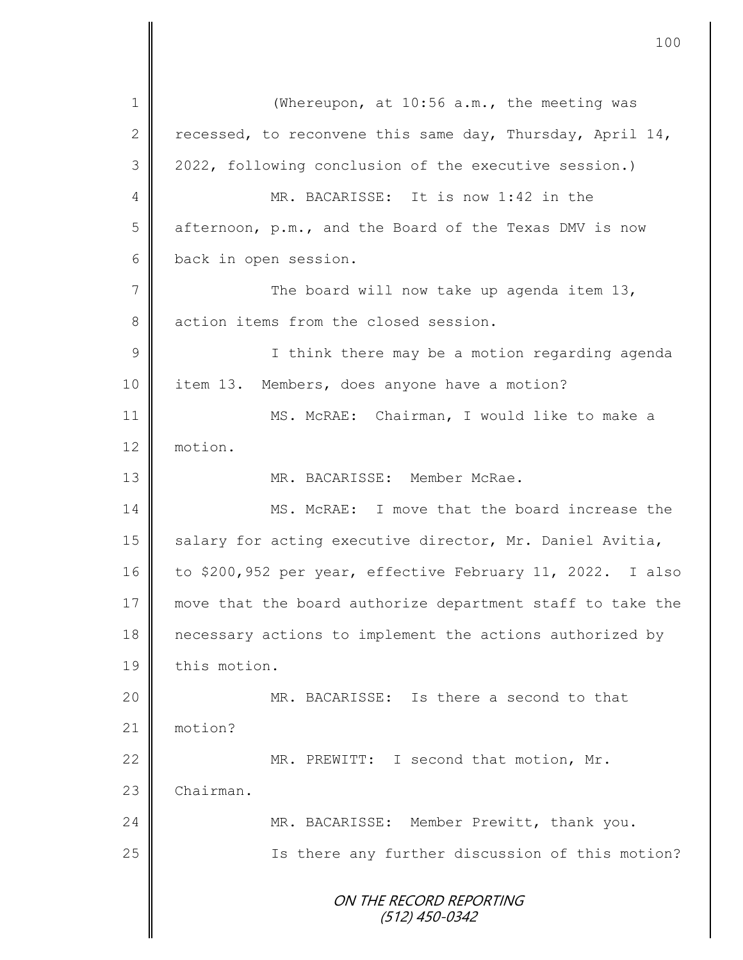ON THE RECORD REPORTING (512) 450-0342 1 (Whereupon, at 10:56 a.m., the meeting was 2 recessed, to reconvene this same day, Thursday, April 14, 3 2022, following conclusion of the executive session.) 4 MR. BACARISSE: It is now 1:42 in the 5 afternoon, p.m., and the Board of the Texas DMV is now 6 back in open session. 7 The board will now take up agenda item 13, 8 action items from the closed session. 9 ||<br>
I think there may be a motion regarding agenda 10 item 13. Members, does anyone have a motion? 11 MS. McRAE: Chairman, I would like to make a 12 motion. 13 MR. BACARISSE: Member McRae. 14 || MS. McRAE: I move that the board increase the 15 | salary for acting executive director, Mr. Daniel Avitia, 16 to \$200,952 per year, effective February 11, 2022. I also 17 move that the board authorize department staff to take the 18 necessary actions to implement the actions authorized by 19 | this motion. 20 || MR. BACARISSE: Is there a second to that 21 motion? 22 MR. PREWITT: I second that motion, Mr. 23 Chairman. 24 MR. BACARISSE: Member Prewitt, thank you. 25 | Solution Is there any further discussion of this motion?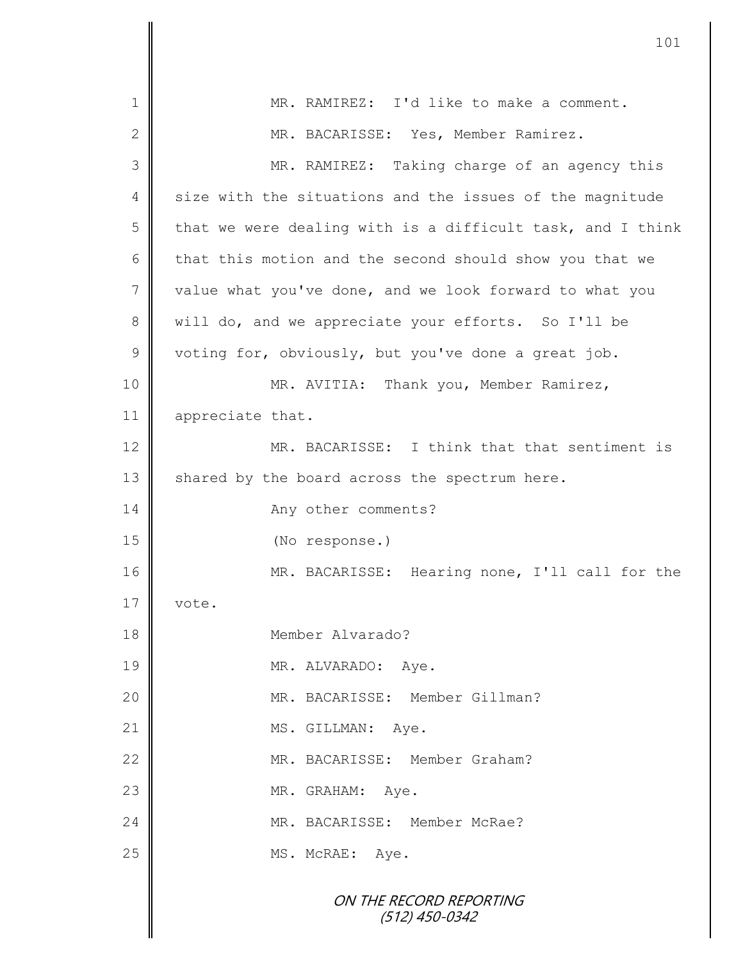| 1              | MR. RAMIREZ: I'd like to make a comment.                   |
|----------------|------------------------------------------------------------|
| $\mathbf{2}$   | MR. BACARISSE: Yes, Member Ramirez.                        |
| 3              | MR. RAMIREZ: Taking charge of an agency this               |
| 4              | size with the situations and the issues of the magnitude   |
| 5              | that we were dealing with is a difficult task, and I think |
| 6              | that this motion and the second should show you that we    |
| $\overline{7}$ | value what you've done, and we look forward to what you    |
| 8              | will do, and we appreciate your efforts. So I'll be        |
| $\mathsf 9$    | voting for, obviously, but you've done a great job.        |
| 10             | MR. AVITIA: Thank you, Member Ramirez,                     |
| 11             | appreciate that.                                           |
| 12             | MR. BACARISSE: I think that that sentiment is              |
| 13             | shared by the board across the spectrum here.              |
| 14             | Any other comments?                                        |
| 15             | (No response.)                                             |
| 16             | MR. BACARISSE: Hearing none, I'll call for the             |
| 17             | vote                                                       |
| 18             | Member Alvarado?                                           |
| 19             | MR. ALVARADO: Aye.                                         |
| 20             | MR. BACARISSE: Member Gillman?                             |
| 21             | MS. GILLMAN: Aye.                                          |
| 22             | MR. BACARISSE: Member Graham?                              |
| 23             | MR. GRAHAM: Aye.                                           |
| 24             | MR. BACARISSE: Member McRae?                               |
| 25             | MS. McRAE: Aye.                                            |
|                | ON THE RECORD REPORTING<br>$(512)$ 450-0342                |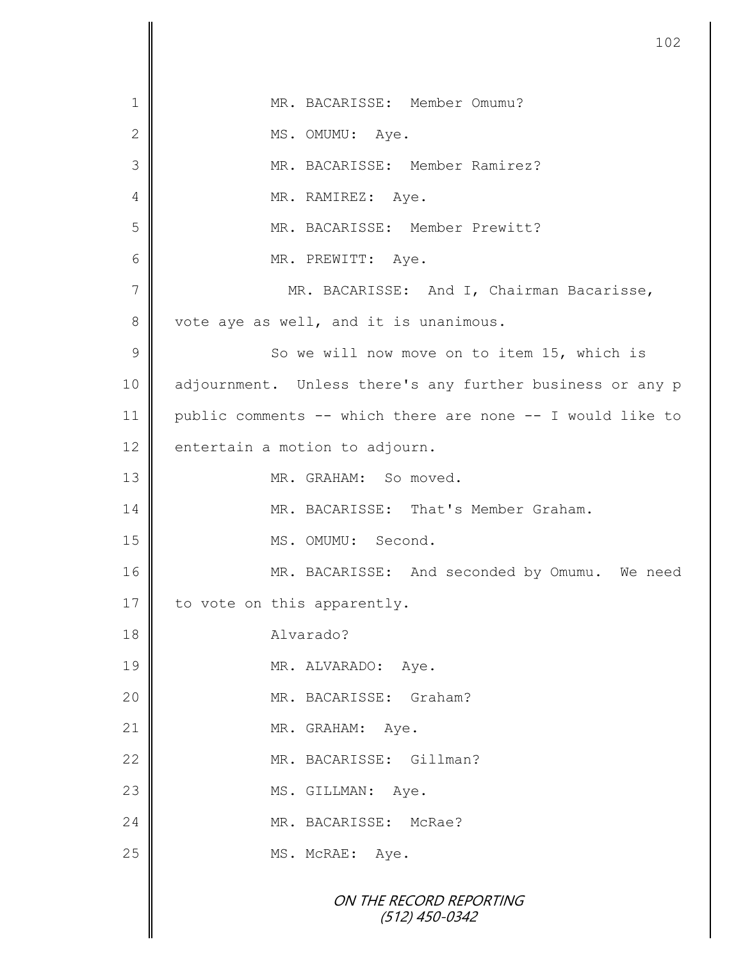|                | 102                                                        |
|----------------|------------------------------------------------------------|
| $\mathbf 1$    | MR. BACARISSE: Member Omumu?                               |
| $\mathbf{2}$   | MS. OMUMU: Aye.                                            |
| 3              | MR. BACARISSE: Member Ramirez?                             |
| 4              | MR. RAMIREZ: Aye.                                          |
| 5              | MR. BACARISSE: Member Prewitt?                             |
| 6              | MR. PREWITT: Aye.                                          |
| $\overline{7}$ | MR. BACARISSE: And I, Chairman Bacarisse,                  |
| 8              | vote aye as well, and it is unanimous.                     |
| 9              | So we will now move on to item 15, which is                |
| 10             | adjournment. Unless there's any further business or any p  |
| 11             | public comments -- which there are none -- I would like to |
| 12             | entertain a motion to adjourn.                             |
| 13             | MR. GRAHAM: So moved.                                      |
| 14             | MR. BACARISSE: That's Member Graham.                       |
| 15             | MS. OMUMU: Second.                                         |
| 16             | MR. BACARISSE: And seconded by Omumu. We need              |
| 17             | to vote on this apparently.                                |
| 18             | Alvarado?                                                  |
| 19             | MR. ALVARADO: Aye.                                         |
| 20             | MR. BACARISSE: Graham?                                     |
| 21             | MR. GRAHAM:<br>Aye.                                        |
| 22             | MR. BACARISSE: Gillman?                                    |
| 23             | MS. GILLMAN: Aye.                                          |
| 24             | MR. BACARISSE: McRae?                                      |
| 25             | MS. McRAE: Aye.                                            |
|                | ON THE RECORD REPORTING<br>$(512)$ 450-0342                |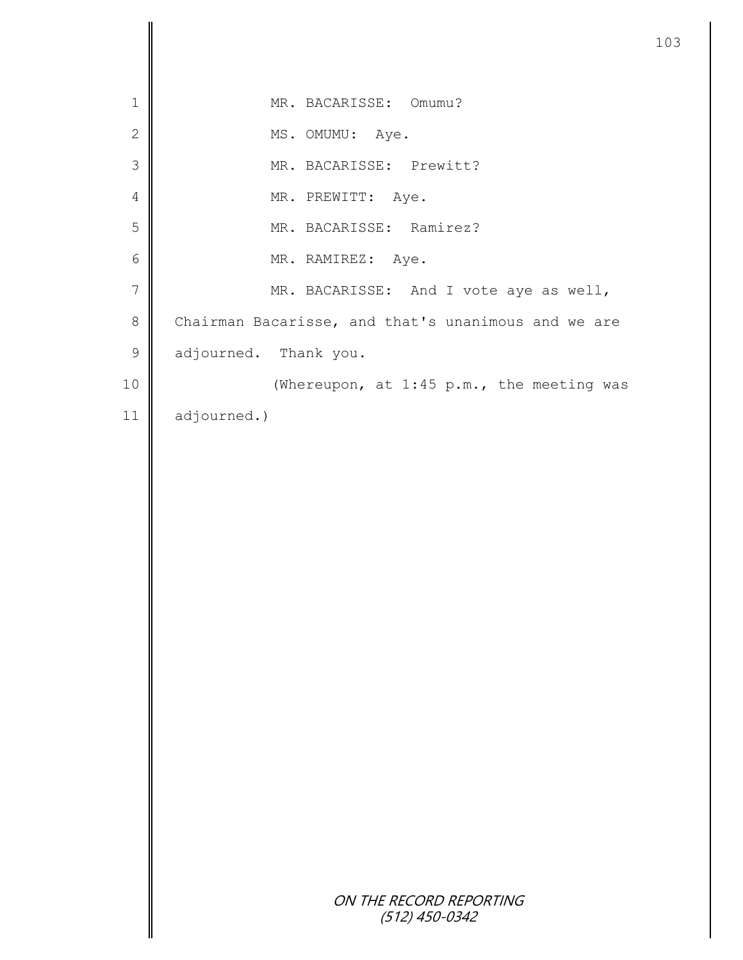| MR. BACARISSE: Omumu?                               |
|-----------------------------------------------------|
| MS. OMUMU: Aye.                                     |
| MR. BACARISSE: Prewitt?                             |
| MR. PREWITT: Aye.                                   |
| MR. BACARISSE: Ramirez?                             |
| MR. RAMIREZ: Aye.                                   |
| MR. BACARISSE: And I vote aye as well,              |
| Chairman Bacarisse, and that's unanimous and we are |
| adjourned. Thank you.                               |
| (Whereupon, at 1:45 p.m., the meeting was           |
| adjourned.)                                         |
|                                                     |
|                                                     |
|                                                     |
|                                                     |
|                                                     |
|                                                     |
|                                                     |
|                                                     |
|                                                     |
|                                                     |
|                                                     |
|                                                     |
|                                                     |
|                                                     |
|                                                     |
|                                                     |